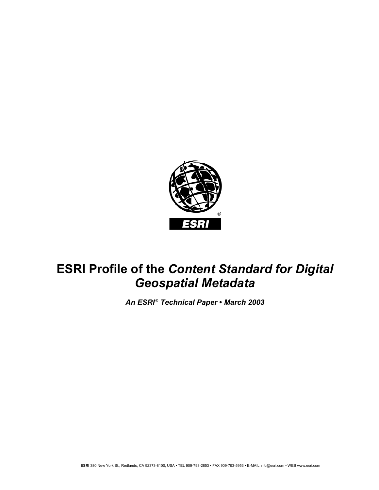

# **ESRI Profile of the** *Content Standard for Digital Geospatial Metadata*

*An ESRI* ®  *Technical Paper* **•** *March 2003*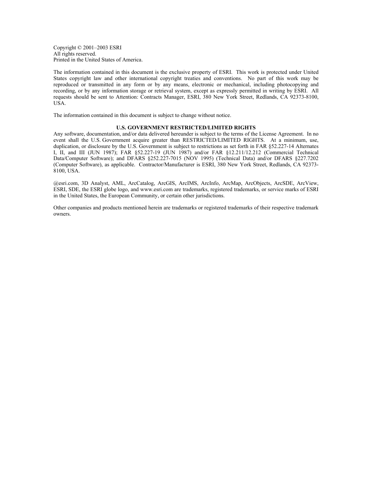Copyright © 2001–2003 ESRI All rights reserved. Printed in the United States of America.

The information contained in this document is the exclusive property of ESRI. This work is protected under United States copyright law and other international copyright treaties and conventions. No part of this work may be reproduced or transmitted in any form or by any means, electronic or mechanical, including photocopying and recording, or by any information storage or retrieval system, except as expressly permitted in writing by ESRI. All requests should be sent to Attention: Contracts Manager, ESRI, 380 New York Street, Redlands, CA 92373-8100, USA.

The information contained in this document is subject to change without notice.

#### **U.S. GOVERNMENT RESTRICTED/LIMITED RIGHTS**

Any software, documentation, and/or data delivered hereunder is subject to the terms of the License Agreement. In no event shall the U.S. Government acquire greater than RESTRICTED/LIMITED RIGHTS. At a minimum, use, duplication, or disclosure by the U.S. Government is subject to restrictions as set forth in FAR §52.227-14 Alternates I, II, and III (JUN 1987); FAR §52.227-19 (JUN 1987) and/or FAR §12.211/12.212 (Commercial Technical Data/Computer Software); and DFARS §252.227-7015 (NOV 1995) (Technical Data) and/or DFARS §227.7202 (Computer Software), as applicable. Contractor/Manufacturer is ESRI, 380 New York Street, Redlands, CA 92373- 8100, USA.

@esri.com, 3D Analyst, AML, ArcCatalog, ArcGIS, ArcIMS, ArcInfo, ArcMap, ArcObjects, ArcSDE, ArcView, ESRI, SDE, the ESRI globe logo, and www.esri.com are trademarks, registered trademarks, or service marks of ESRI in the United States, the European Community, or certain other jurisdictions.

Other companies and products mentioned herein are trademarks or registered trademarks of their respective trademark owners.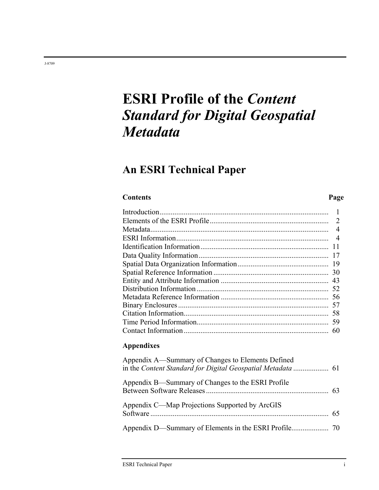# **ESRI Profile of the** *Content Standard for Digital Geospatial Metadata*

## **An ESRI Technical Paper**

### **Contents Page**

### Introduction........................................................................................... 1 Elements of the ESRI Profile................................................................ 2 Metadata................................................................................................ 4 ESRI Information.................................................................................. 4 Identification Information..................................................................... 11 Data Quality Information...................................................................... 17 Spatial Data Organization Information................................................. 19 Spatial Reference Information .............................................................. 30 Entity and Attribute Information .......................................................... 43 Distribution Information ....................................................................... 52 Metadata Reference Information .......................................................... 56 Binary Enclosures ................................................................................. 57 Citation Information.............................................................................. 58 Time Period Information....................................................................... 59 Contact Information.............................................................................. 60

### **Appendixes**

| Appendix A—Summary of Changes to Elements Defined<br>in the Content Standard for Digital Geospatial Metadata  61 |  |
|------------------------------------------------------------------------------------------------------------------|--|
| Appendix B—Summary of Changes to the ESRI Profile                                                                |  |
| Appendix C—Map Projections Supported by ArcGIS                                                                   |  |
|                                                                                                                  |  |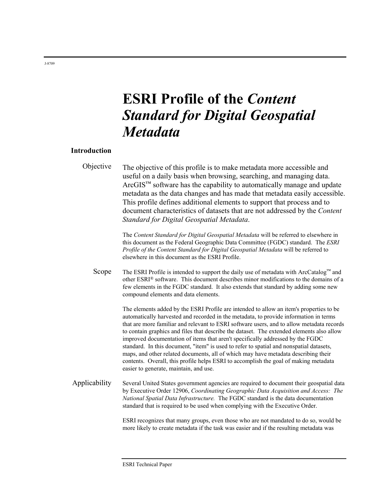# **ESRI Profile of the** *Content Standard for Digital Geospatial Metadata*

### **Introduction**

| Objective | The objective of this profile is to make metadata more accessible and<br>useful on a daily basis when browsing, searching, and managing data.<br>$ArcGISTM$ software has the capability to automatically manage and update<br>metadata as the data changes and has made that metadata easily accessible.<br>This profile defines additional elements to support that process and to<br>document characteristics of datasets that are not addressed by the Content<br>Standard for Digital Geospatial Metadata. |
|-----------|----------------------------------------------------------------------------------------------------------------------------------------------------------------------------------------------------------------------------------------------------------------------------------------------------------------------------------------------------------------------------------------------------------------------------------------------------------------------------------------------------------------|
|           | The Content Standard for Digital Geospatial Metadata will be referred to elsewhere in<br>this document as the Federal Geographic Data Committee (FGDC) standard. The ESRI<br>Profile of the Content Standard for Digital Geospatial Metadata will be referred to<br>elsewhere in this document as the ESRI Profile.                                                                                                                                                                                            |

Scope The ESRI Profile is intended to support the daily use of metadata with ArcCatalog™ and other ESRI® software. This document describes minor modifications to the domains of a few elements in the FGDC standard. It also extends that standard by adding some new compound elements and data elements.

> The elements added by the ESRI Profile are intended to allow an item's properties to be automatically harvested and recorded in the metadata, to provide information in terms that are more familiar and relevant to ESRI software users, and to allow metadata records to contain graphics and files that describe the dataset. The extended elements also allow improved documentation of items that aren't specifically addressed by the FGDC standard. In this document, "item" is used to refer to spatial and nonspatial datasets, maps, and other related documents, all of which may have metadata describing their contents. Overall, this profile helps ESRI to accomplish the goal of making metadata easier to generate, maintain, and use.

Applicability Several United States government agencies are required to document their geospatial data by Executive Order 12906, *Coordinating Geographic Data Acquisition and Access: The National Spatial Data Infrastructure.* The FGDC standard is the data documentation standard that is required to be used when complying with the Executive Order.

> ESRI recognizes that many groups, even those who are not mandated to do so, would be more likely to create metadata if the task was easier and if the resulting metadata was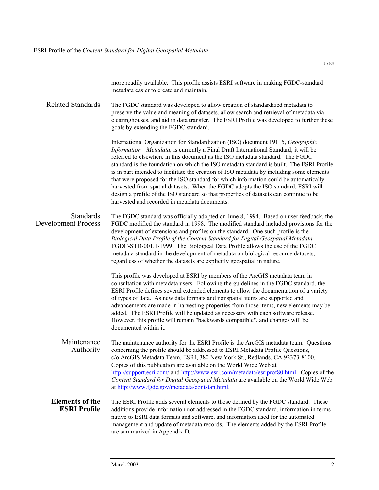|                                                | more readily available. This profile assists ESRI software in making FGDC-standard<br>metadata easier to create and maintain.                                                                                                                                                                                                                                                                                                                                                                                                                                                                                                                                                                                                                                            |  |  |  |
|------------------------------------------------|--------------------------------------------------------------------------------------------------------------------------------------------------------------------------------------------------------------------------------------------------------------------------------------------------------------------------------------------------------------------------------------------------------------------------------------------------------------------------------------------------------------------------------------------------------------------------------------------------------------------------------------------------------------------------------------------------------------------------------------------------------------------------|--|--|--|
| <b>Related Standards</b>                       | The FGDC standard was developed to allow creation of standardized metadata to<br>preserve the value and meaning of datasets, allow search and retrieval of metadata via<br>clearinghouses, and aid in data transfer. The ESRI Profile was developed to further these<br>goals by extending the FGDC standard.                                                                                                                                                                                                                                                                                                                                                                                                                                                            |  |  |  |
|                                                | International Organization for Standardization (ISO) document 19115, Geographic<br>Information-Metadata, is currently a Final Draft International Standard; it will be<br>referred to elsewhere in this document as the ISO metadata standard. The FGDC<br>standard is the foundation on which the ISO metadata standard is built. The ESRI Profile<br>is in part intended to facilitate the creation of ISO metadata by including some elements<br>that were proposed for the ISO standard for which information could be automatically<br>harvested from spatial datasets. When the FGDC adopts the ISO standard, ESRI will<br>design a profile of the ISO standard so that properties of datasets can continue to be<br>harvested and recorded in metadata documents. |  |  |  |
| <b>Standards</b><br><b>Development Process</b> | The FGDC standard was officially adopted on June 8, 1994. Based on user feedback, the<br>FGDC modified the standard in 1998. The modified standard included provisions for the<br>development of extensions and profiles on the standard. One such profile is the<br>Biological Data Profile of the Content Standard for Digital Geospatial Metadata,<br>FGDC-STD-001.1-1999. The Biological Data Profile allows the use of the FGDC<br>metadata standard in the development of metadata on biological resource datasets,<br>regardless of whether the datasets are explicitly geospatial in nature.                                                                                                                                                                     |  |  |  |
|                                                | This profile was developed at ESRI by members of the ArcGIS metadata team in<br>consultation with metadata users. Following the guidelines in the FGDC standard, the<br>ESRI Profile defines several extended elements to allow the documentation of a variety<br>of types of data. As new data formats and nonspatial items are supported and<br>advancements are made in harvesting properties from those items, new elements may be<br>added. The ESRI Profile will be updated as necessary with each software release.<br>However, this profile will remain "backwards compatible", and changes will be<br>documented within it.                                                                                                                                     |  |  |  |
| Maintenance<br>Authority                       | The maintenance authority for the ESRI Profile is the ArcGIS metadata team. Questions<br>concerning the profile should be addressed to ESRI Metadata Profile Questions,<br>c/o ArcGIS Metadata Team, ESRI, 380 New York St., Redlands, CA 92373-8100.<br>Copies of this publication are available on the World Wide Web at<br>http://support.esri.com/ and http://www.esri.com/metadata/esriprof80.html. Copies of the<br>Content Standard for Digital Geospatial Metadata are available on the World Wide Web<br>at http://www.fgdc.gov/metadata/contstan.html.                                                                                                                                                                                                         |  |  |  |
| <b>Elements of the</b><br><b>ESRI Profile</b>  | The ESRI Profile adds several elements to those defined by the FGDC standard. These<br>additions provide information not addressed in the FGDC standard, information in terms<br>native to ESRI data formats and software, and information used for the automated<br>management and update of metadata records. The elements added by the ESRI Profile<br>are summarized in Appendix D.                                                                                                                                                                                                                                                                                                                                                                                  |  |  |  |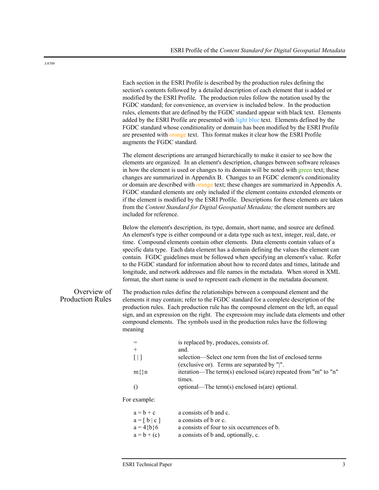Each section in the ESRI Profile is described by the production rules defining the section's contents followed by a detailed description of each element that is added or modified by the ESRI Profile. The production rules follow the notation used by the FGDC standard; for convenience, an overview is included below. In the production rules, elements that are defined by the FGDC standard appear with black text. Elements added by the ESRI Profile are presented with light blue text. Elements defined by the FGDC standard whose conditionality or domain has been modified by the ESRI Profile are presented with orange text. This format makes it clear how the ESRI Profile augments the FGDC standard.

The element descriptions are arranged hierarchically to make it easier to see how the elements are organized. In an element's description, changes between software releases in how the element is used or changes to its domain will be noted with green text; these changes are summarized in Appendix B. Changes to an FGDC element's conditionality or domain are described with orange text; these changes are summarized in Appendix A. FGDC standard elements are only included if the element contains extended elements or if the element is modified by the ESRI Profile. Descriptions for these elements are taken from the *Content Standard for Digital Geospatial Metadata;* the element numbers are included for reference.

Below the element's description, its type, domain, short name, and source are defined. An element's type is either compound or a data type such as text, integer, real, date, or time. Compound elements contain other elements. Data elements contain values of a specific data type. Each data element has a domain defining the values the element can contain. FGDC guidelines must be followed when specifying an element's value. Refer to the FGDC standard for information about how to record dates and times, latitude and longitude, and network addresses and file names in the metadata. When stored in XML format, the short name is used to represent each element in the metadata document.

### Overview of Production Rules

The production rules define the relationships between a compound element and the elements it may contain; refer to the FGDC standard for a complete description of the production rules. Each production rule has the compound element on the left, an equal sign, and an expression on the right. The expression may include data elements and other compound elements. The symbols used in the production rules have the following meaning

|        | is replaced by, produces, consists of.                           |
|--------|------------------------------------------------------------------|
| $^+$   | and.                                                             |
|        | selection—Select one term from the list of enclosed terms        |
|        | (exclusive or). Terms are separated by " ".                      |
| $m\$ n | iteration—The term(s) enclosed is (are) repeated from "m" to "n" |
|        | times.                                                           |
|        | optional—The term(s) enclosed is (are) optional.                 |

For example:

| $a = b + c$                    | a consists of b and c.                      |
|--------------------------------|---------------------------------------------|
| $a = \lceil b \rceil c \rceil$ | a consists of b or c.                       |
| $a = 4{b}6$                    | a consists of four to six occurrences of b. |
| $a = b + (c)$                  | a consists of b and, optionally, c.         |
|                                |                                             |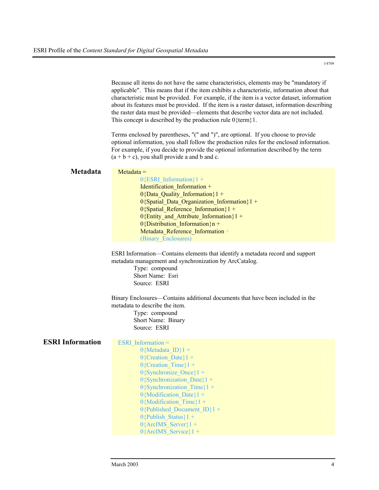Because all items do not have the same characteristics, elements may be "mandatory if applicable". This means that if the item exhibits a characteristic, information about that characteristic must be provided. For example, if the item is a vector dataset, information about its features must be provided. If the item is a raster dataset, information describing the raster data must be provided—elements that describe vector data are not included. This concept is described by the production rule 0{term}1.

Terms enclosed by parentheses, "(" and ")", are optional. If you choose to provide optional information, you shall follow the production rules for the enclosed information. For example, if you decide to provide the optional information described by the term  $(a + b + c)$ , you shall provide a and b and c.

| Metadata                | $Metadata =$<br>$0$ {ESRI Information}1 +<br>Identification Information +<br>$0$ {Data Quality Information}1 +<br>0{Spatial_Data_Organization_Information}1 +<br>$0$ {Spatial Reference Information}1 +<br>$0$ {Entity and Attribute Information}1 +<br>$0$ {Distribution Information}n +<br>Metadata Reference Information +<br>(Binary Enclosures)<br>ESRI Information—Contains elements that identify a metadata record and support<br>metadata management and synchronization by ArcCatalog.<br>Type: compound<br>Short Name: Esri |  |  |
|-------------------------|----------------------------------------------------------------------------------------------------------------------------------------------------------------------------------------------------------------------------------------------------------------------------------------------------------------------------------------------------------------------------------------------------------------------------------------------------------------------------------------------------------------------------------------|--|--|
|                         | Source: ESRI<br>Binary Enclosures-Contains additional documents that have been included in the<br>metadata to describe the item.<br>Type: compound<br>Short Name: Binary<br>Source: ESRI                                                                                                                                                                                                                                                                                                                                               |  |  |
| <b>ESRI Information</b> | ESRI Information $=$<br>$0$ {Metadata ID}1 +<br>$0$ {Creation Date}1 +<br>$0$ {Creation Time}1 +<br>$0$ {Synchronize Once}1 +<br>$0$ {Synchronization Date}1 +<br>$0$ {Synchronization Time}1 +<br>$0\{Modification\ Date\}1 +$<br>$0\{Modification$ Time} $1 +$<br>0{Published Document ID}1 +<br>$0$ {Publish Status}1 +<br>$0$ {ArcIMS Server}1 +<br>$0$ {ArcIMS Service}1 +                                                                                                                                                        |  |  |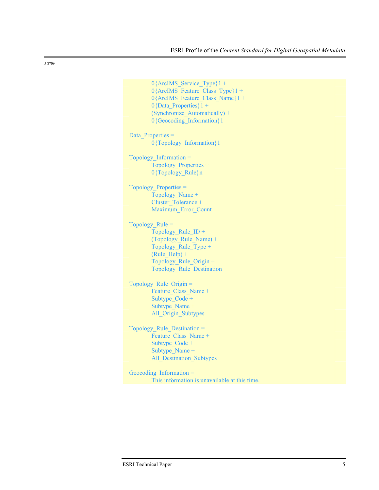```
0{ArcIMS Service Type}1 +
        0{ArcIMS Feature Class Type}1 +
        0{ArcIMS_Feature_Class_Name}1 + 
        0{Data Properties}1 +
        (Synchronize_Automatically) + 
        0{Geocoding_Information}1
Data Properties =
        0{Topology_Information}1 
Topology_Information = 
        Topology_Properties + 
        0{Topology_Rule}n
Topology_Properties = 
        Topology_Name + 
        Cluster Tolerance +
        Maximum_Error_Count 
Topology_Rule = 
        Topology Rule ID +(Topology_Rule_Name) + 
        Topology_Rule_Type + 
        (Rule Help) +Topology_Rule_Origin + 
        Topology_Rule_Destination 
Topology Rule Origin =Feature Class Name +
        Subtype_Code + 
        Subtype_Name + 
        All Origin Subtypes
Topology Rule Destination =
        Feature Class Name +
        Subtype_Code + 
        Subtype Name +
        All Destination Subtypes
Geocoding Information =
        This information is unavailable at this time.
```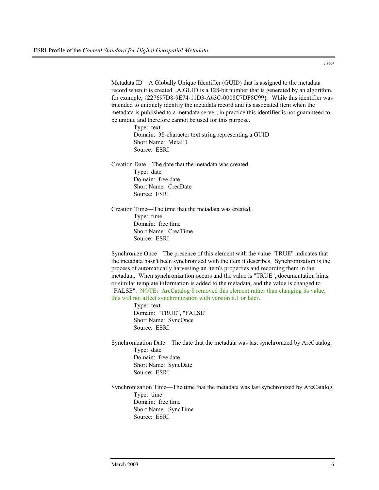Metadata ID—A Globally Unique Identifier (GUID) that is assigned to the metadata record when it is created. A GUID is a 128-bit number that is generated by an algorithm, for example, {227697D8-9E74-11D3-A63C-0008C7DF8C99}. While this identifier was intended to uniquely identify the metadata record and its associated item when the metadata is published to a metadata server, in practice this identifier is not guaranteed to be unique and therefore cannot be used for this purpose.

Type: text Domain: 38-character text string representing a GUID Short Name: MetaID Source: ESRI

Creation Date—The date that the metadata was created. Type: date Domain: free date Short Name: CreaDate Source: ESRI

Creation Time—The time that the metadata was created. Type: time Domain: free time Short Name: CreaTime Source: ESRI

Synchronize Once—The presence of this element with the value "TRUE" indicates that the metadata hasn't been synchronized with the item it describes. Synchronization is the process of automatically harvesting an item's properties and recording them in the metadata. When synchronization occurs and the value is "TRUE", documentation hints or similar template information is added to the metadata, and the value is changed to "FALSE". NOTE: ArcCatalog 8 removed this element rather than changing its value; this will not affect synchronization with version 8.1 or later.

> Type: text Domain: "TRUE", "FALSE" Short Name: SyncOnce Source: ESRI

Synchronization Date—The date that the metadata was last synchronized by ArcCatalog. Type: date Domain: free date Short Name: SyncDate Source: ESRI

Synchronization Time—The time that the metadata was last synchronized by ArcCatalog. Type: time Domain: free time Short Name: SyncTime Source: ESRI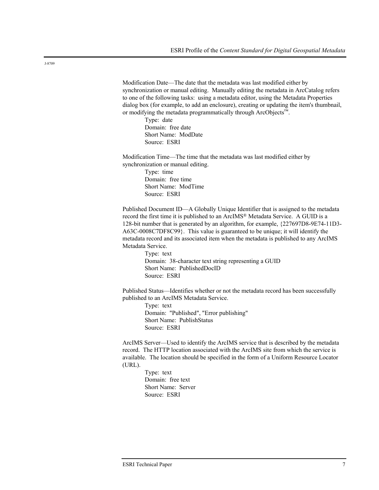Modification Date—The date that the metadata was last modified either by synchronization or manual editing. Manually editing the metadata in ArcCatalog refers to one of the following tasks: using a metadata editor, using the Metadata Properties dialog box (for example, to add an enclosure), creating or updating the item's thumbnail, or modifying the metadata programmatically through ArcObjects™.

> Type: date Domain: free date Short Name: ModDate Source: ESRI

Modification Time—The time that the metadata was last modified either by synchronization or manual editing.

> Type: time Domain: free time Short Name: ModTime Source: ESRI

Published Document ID—A Globally Unique Identifier that is assigned to the metadata record the first time it is published to an ArcIMS® Metadata Service. A GUID is a 128-bit number that is generated by an algorithm, for example, {227697D8-9E74-11D3- A63C-0008C7DF8C99}. This value is guaranteed to be unique; it will identify the metadata record and its associated item when the metadata is published to any ArcIMS Metadata Service.

Type: text Domain: 38-character text string representing a GUID Short Name: PublishedDocID Source: ESRI

Published Status—Identifies whether or not the metadata record has been successfully published to an ArcIMS Metadata Service.

Type: text Domain: "Published", "Error publishing" Short Name: PublishStatus Source: ESRI

ArcIMS Server—Used to identify the ArcIMS service that is described by the metadata record. The HTTP location associated with the ArcIMS site from which the service is available. The location should be specified in the form of a Uniform Resource Locator (URL).

> Type: text Domain: free text Short Name: Server Source: ESRI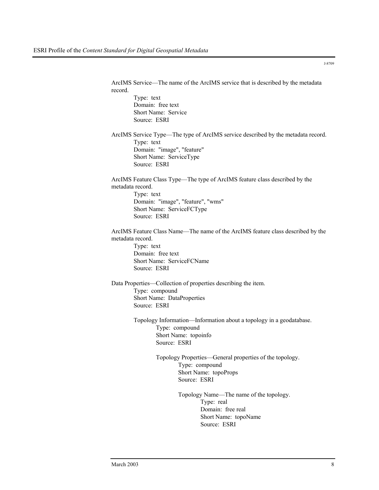ArcIMS Service—The name of the ArcIMS service that is described by the metadata record. Type: text Domain: free text Short Name: Service Source: ESRI ArcIMS Service Type—The type of ArcIMS service described by the metadata record. Type: text Domain: "image", "feature" Short Name: ServiceType Source: ESRI ArcIMS Feature Class Type—The type of ArcIMS feature class described by the metadata record. Type: text Domain: "image", "feature", "wms" Short Name: ServiceFCType Source: ESRI ArcIMS Feature Class Name—The name of the ArcIMS feature class described by the metadata record. Type: text Domain: free text Short Name: ServiceFCName Source: ESRI Data Properties—Collection of properties describing the item. Type: compound Short Name: DataProperties Source: ESRI Topology Information—Information about a topology in a geodatabase. Type: compound Short Name: topoinfo Source: ESRI Topology Properties—General properties of the topology. Type: compound Short Name: topoProps Source: ESRI Topology Name—The name of the topology. Type: real Domain: free real Short Name: topoName Source: ESRI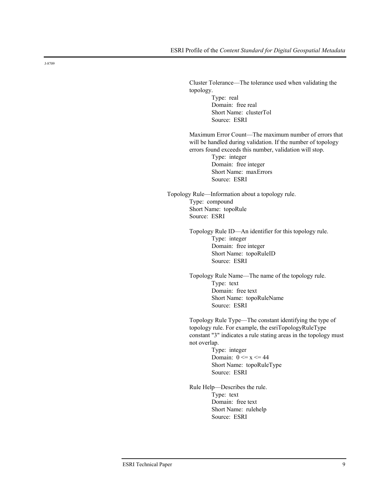Cluster Tolerance—The tolerance used when validating the topology. Type: real Domain: free real Short Name: clusterTol

Source: ESRI Maximum Error Count—The maximum number of errors that

will be handled during validation. If the number of topology errors found exceeds this number, validation will stop.

Type: integer Domain: free integer Short Name: maxErrors Source: ESRI

Topology Rule—Information about a topology rule. Type: compound Short Name: topoRule Source: ESRI

> Topology Rule ID—An identifier for this topology rule. Type: integer Domain: free integer Short Name: topoRuleID Source: ESRI

Topology Rule Name—The name of the topology rule. Type: text Domain: free text Short Name: topoRuleName Source: ESRI

Topology Rule Type—The constant identifying the type of topology rule. For example, the esriTopologyRuleType constant "3" indicates a rule stating areas in the topology must not overlap.

> Type: integer Domain:  $0 \le x \le 44$ Short Name: topoRuleType Source: ESRI

Rule Help—Describes the rule. Type: text Domain: free text Short Name: rulehelp Source: ESRI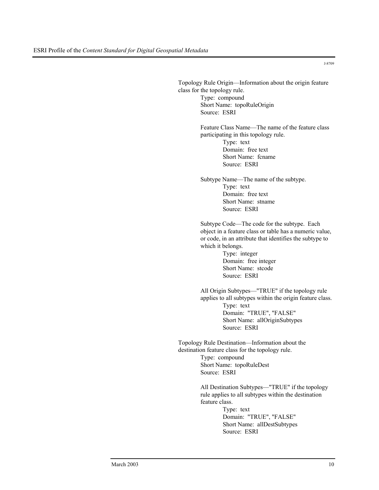Topology Rule Origin—Information about the origin feature class for the topology rule. Type: compound Short Name: topoRuleOrigin Source: ESRI Feature Class Name—The name of the feature class participating in this topology rule. Type: text Domain: free text Short Name: fcname Source: ESRI Subtype Name—The name of the subtype. Type: text Domain: free text Short Name: stname Source: ESRI Subtype Code—The code for the subtype. Each object in a feature class or table has a numeric value, or code, in an attribute that identifies the subtype to which it belongs. Type: integer Domain: free integer Short Name: stcode Source: ESRI All Origin Subtypes—"TRUE" if the topology rule applies to all subtypes within the origin feature class. Type: text Domain: "TRUE", "FALSE" Short Name: allOriginSubtypes Source: ESRI Topology Rule Destination—Information about the destination feature class for the topology rule. Type: compound Short Name: topoRuleDest Source: ESRI All Destination Subtypes—"TRUE" if the topology rule applies to all subtypes within the destination feature class. Type: text Domain: "TRUE", "FALSE" Short Name: allDestSubtypes Source: ESRI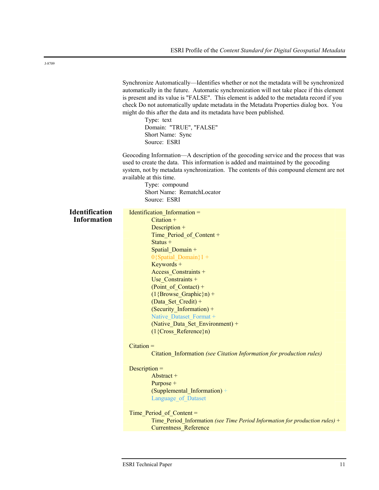|                       | Synchronize Automatically—Identifies whether or not the metadata will be synchronized<br>automatically in the future. Automatic synchronization will not take place if this element<br>is present and its value is "FALSE". This element is added to the metadata record if you<br>check Do not automatically update metadata in the Metadata Properties dialog box. You<br>might do this after the data and its metadata have been published.<br>Type: text<br>Domain: "TRUE", "FALSE"<br>Short Name: Sync<br>Source: ESRI |
|-----------------------|-----------------------------------------------------------------------------------------------------------------------------------------------------------------------------------------------------------------------------------------------------------------------------------------------------------------------------------------------------------------------------------------------------------------------------------------------------------------------------------------------------------------------------|
|                       | Geocoding Information—A description of the geocoding service and the process that was<br>used to create the data. This information is added and maintained by the geocoding<br>system, not by metadata synchronization. The contents of this compound element are not<br>available at this time.<br>Type: compound<br>Short Name: RematchLocator<br>Source: ESRI                                                                                                                                                            |
| <b>Identification</b> | Identification Information =                                                                                                                                                                                                                                                                                                                                                                                                                                                                                                |
| <b>Information</b>    | $Citation +$                                                                                                                                                                                                                                                                                                                                                                                                                                                                                                                |
|                       | Description +<br>Time Period of Content +                                                                                                                                                                                                                                                                                                                                                                                                                                                                                   |
|                       | Status $+$                                                                                                                                                                                                                                                                                                                                                                                                                                                                                                                  |
|                       | Spatial Domain +                                                                                                                                                                                                                                                                                                                                                                                                                                                                                                            |
|                       | $0$ {Spatial Domain}1 +                                                                                                                                                                                                                                                                                                                                                                                                                                                                                                     |
|                       | $Keywords +$                                                                                                                                                                                                                                                                                                                                                                                                                                                                                                                |
|                       | Access Constraints +                                                                                                                                                                                                                                                                                                                                                                                                                                                                                                        |
|                       | Use Constraints +<br>$(Point_of_ {contact}) +$                                                                                                                                                                                                                                                                                                                                                                                                                                                                              |
|                       | $(1 {Browse_Graphic} n) +$                                                                                                                                                                                                                                                                                                                                                                                                                                                                                                  |
|                       | (Data_Set_Credit) +                                                                                                                                                                                                                                                                                                                                                                                                                                                                                                         |
|                       | (Security_Information) +                                                                                                                                                                                                                                                                                                                                                                                                                                                                                                    |
|                       | Native Dataset Format +                                                                                                                                                                                                                                                                                                                                                                                                                                                                                                     |
|                       | (Native Data Set Environment) +                                                                                                                                                                                                                                                                                                                                                                                                                                                                                             |
|                       | $(1\{Cross Reference\})$                                                                                                                                                                                                                                                                                                                                                                                                                                                                                                    |
|                       | $Citation =$                                                                                                                                                                                                                                                                                                                                                                                                                                                                                                                |
|                       | Citation_Information (see Citation Information for production rules)                                                                                                                                                                                                                                                                                                                                                                                                                                                        |
|                       | Description $=$                                                                                                                                                                                                                                                                                                                                                                                                                                                                                                             |
|                       | Abstract +                                                                                                                                                                                                                                                                                                                                                                                                                                                                                                                  |
|                       | $Purpose +$                                                                                                                                                                                                                                                                                                                                                                                                                                                                                                                 |
|                       | (Supplemental Information) +                                                                                                                                                                                                                                                                                                                                                                                                                                                                                                |
|                       | Language of Dataset                                                                                                                                                                                                                                                                                                                                                                                                                                                                                                         |
|                       | Time Period of Content =                                                                                                                                                                                                                                                                                                                                                                                                                                                                                                    |
|                       | Time_Period_Information (see Time Period Information for production rules) +                                                                                                                                                                                                                                                                                                                                                                                                                                                |
|                       | <b>Currentness Reference</b>                                                                                                                                                                                                                                                                                                                                                                                                                                                                                                |
|                       |                                                                                                                                                                                                                                                                                                                                                                                                                                                                                                                             |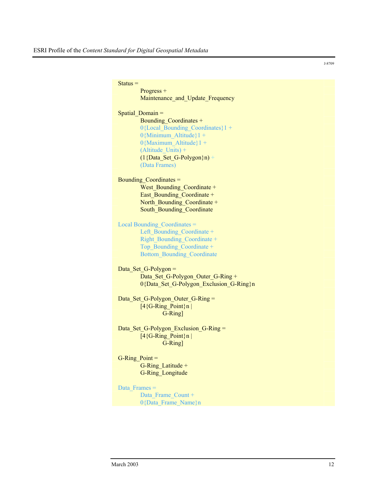$Status =$ Progress + Maintenance\_and\_Update\_Frequency Spatial Domain = Bounding Coordinates + 0{Local Bounding Coordinates}1 + 0{Minimum\_Altitude}1 + 0{Maximum\_Altitude}1 + (Altitude  $\overline{Units}$ ) +  $(1{PhiSetG-Polygon}n) +$ (Data Frames) Bounding Coordinates = West Bounding Coordinate + East Bounding Coordinate + North Bounding Coordinate + South Bounding Coordinate Local Bounding\_Coordinates = Left\_Bounding\_Coordinate + Right\_Bounding\_Coordinate + Top\_Bounding\_Coordinate + Bottom\_Bounding\_Coordinate Data Set G-Polygon = Data Set G-Polygon Outer G-Ring + 0{Data Set G-Polygon Exclusion G-Ring}n Data Set G-Polygon Outer G-Ring =  $[4{G-Ring\_Point}n]$ G-Ring] Data Set G-Polygon Exclusion G-Ring =  $[4{G-Ring Point}n]$ G-Ring] G-Ring  $Point =$ G-Ring\_Latitude + G-Ring\_Longitude Data Frames = Data Frame Count + 0{Data\_Frame\_Name}n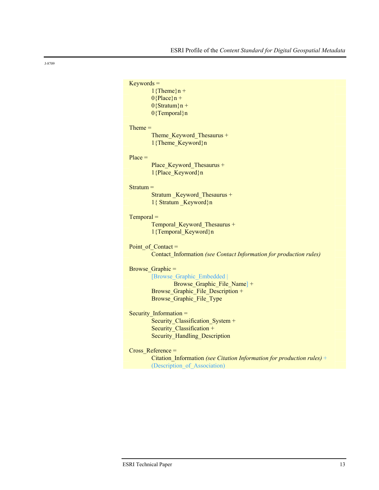| $Keywords =$ |                                                                        |
|--------------|------------------------------------------------------------------------|
|              | $1$ {Theme}n +                                                         |
|              | $0$ {Place}n +                                                         |
|              | $0$ {Stratum}n +                                                       |
|              | $0$ {Temporal}n                                                        |
| $Thene =$    |                                                                        |
|              | Theme Keyword Thesaurus +                                              |
|              | 1{Theme Keyword}n                                                      |
| $Place =$    |                                                                        |
|              | Place_Keyword_Thesaurus +                                              |
|              | 1{Place_Keyword}n                                                      |
| $Stratum =$  |                                                                        |
|              | Stratum Keyword Thesaurus +                                            |
|              | 1{ Stratum Keyword}n                                                   |
| $Temporal =$ |                                                                        |
|              | Temporal Keyword Thesaurus +                                           |
|              | 1{Temporal_Keyword}n                                                   |
|              | Point of $Context =$                                                   |
|              | Contact_Information (see Contact Information for production rules)     |
|              | Browse Graphic =                                                       |
|              | [Browse Graphic Embedded]                                              |
|              | Browse Graphic File Name] +                                            |
|              | Browse Graphic File Description +                                      |
|              | Browse Graphic File Type                                               |
|              | Security_Information $=$                                               |
|              | Security_Classification_System +                                       |
|              | Security_Classification +                                              |
|              | <b>Security Handling Description</b>                                   |
|              | Cross Reference =                                                      |
|              | Citation_Information (see Citation Information for production rules) + |

(Description\_of\_Association)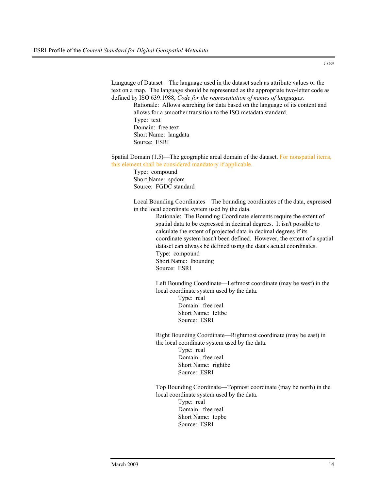Language of Dataset—The language used in the dataset such as attribute values or the text on a map. The language should be represented as the appropriate two-letter code as defined by ISO 639:1988, *Code for the representation of names of languages.*

Rationale: Allows searching for data based on the language of its content and allows for a smoother transition to the ISO metadata standard. Type: text Domain: free text Short Name: langdata Source: ESRI

Spatial Domain (1.5)—The geographic areal domain of the dataset. For nonspatial items, this element shall be considered mandatory if applicable.

> Type: compound Short Name: spdom Source: FGDC standard

Local Bounding Coordinates—The bounding coordinates of the data, expressed in the local coordinate system used by the data.

> Rationale: The Bounding Coordinate elements require the extent of spatial data to be expressed in decimal degrees. It isn't possible to calculate the extent of projected data in decimal degrees if its coordinate system hasn't been defined. However, the extent of a spatial dataset can always be defined using the data's actual coordinates. Type: compound Short Name: lboundng Source: ESRI

Left Bounding Coordinate—Leftmost coordinate (may be west) in the local coordinate system used by the data.

> Type: real Domain: free real Short Name: leftbc Source: ESRI

Right Bounding Coordinate—Rightmost coordinate (may be east) in the local coordinate system used by the data.

> Type: real Domain: free real Short Name: rightbc Source: ESRI

Top Bounding Coordinate—Topmost coordinate (may be north) in the local coordinate system used by the data.

Type: real Domain: free real Short Name: topbc Source: ESRI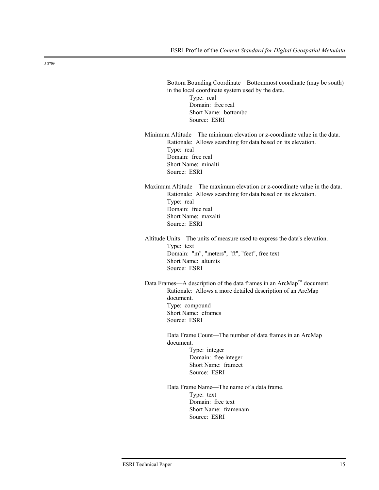| Bottom Bounding Coordinate—Bottommost coordinate (may be south)<br>in the local coordinate system used by the data.<br>Type: real<br>Domain: free real<br>Short Name: bottombc<br>Source: ESRI                                                                                                                                                               |
|--------------------------------------------------------------------------------------------------------------------------------------------------------------------------------------------------------------------------------------------------------------------------------------------------------------------------------------------------------------|
| Minimum Altitude—The minimum elevation or z-coordinate value in the data.<br>Rationale: Allows searching for data based on its elevation.<br>Type: real<br>Domain: free real<br>Short Name: minalti<br>Source: ESRI                                                                                                                                          |
| Maximum Altitude—The maximum elevation or z-coordinate value in the data.<br>Rationale: Allows searching for data based on its elevation.<br>Type: real<br>Domain: free real<br>Short Name: maxalti<br>Source: ESRI                                                                                                                                          |
| Altitude Units—The units of measure used to express the data's elevation.<br>Type: text<br>Domain: "m", "meters", "ft", "feet", free text<br>Short Name: altunits<br>Source: ESRI                                                                                                                                                                            |
| Data Frames—A description of the data frames in an ArcMap <sup>™</sup> document.<br>Rationale: Allows a more detailed description of an ArcMap<br>document.<br>Type: compound<br>Short Name: eframes<br>Source: ESRI<br>Data Frame Count—The number of data frames in an ArcMap<br>document.<br>Type: integer<br>Domain: free integer<br>Short Name: framect |
| Source: ESRI<br>Data Frame Name—The name of a data frame.<br>Type: text<br>Domain: free text<br>Short Name: framenam<br>Source: ESRI                                                                                                                                                                                                                         |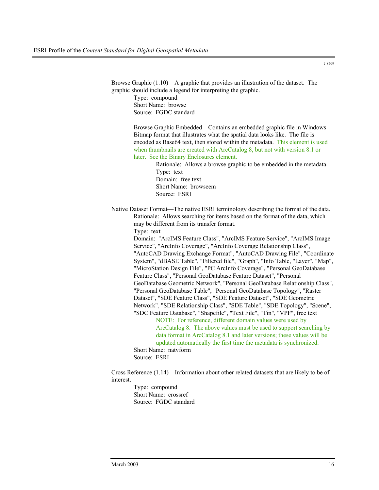Browse Graphic (1.10)—A graphic that provides an illustration of the dataset. The graphic should include a legend for interpreting the graphic.

Type: compound Short Name: browse Source: FGDC standard

Browse Graphic Embedded—Contains an embedded graphic file in Windows Bitmap format that illustrates what the spatial data looks like. The file is encoded as Base64 text, then stored within the metadata. This element is used when thumbnails are created with ArcCatalog 8, but not with version 8.1 or later. See the Binary Enclosures element.

> Rationale: Allows a browse graphic to be embedded in the metadata. Type: text Domain: free text Short Name: browseem Source: ESRI

Native Dataset Format—The native ESRI terminology describing the format of the data. Rationale: Allows searching for items based on the format of the data, which may be different from its transfer format.

Type: text

Domain: "ArcIMS Feature Class", "ArcIMS Feature Service", "ArcIMS Image Service", "ArcInfo Coverage", "ArcInfo Coverage Relationship Class", "AutoCAD Drawing Exchange Format", "AutoCAD Drawing File", "Coordinate System", "dBASE Table", "Filtered file", "Graph", "Info Table, "Layer", "Map", "MicroStation Design File", "PC ArcInfo Coverage", "Personal GeoDatabase Feature Class", "Personal GeoDatabase Feature Dataset", "Personal GeoDatabase Geometric Network", "Personal GeoDatabase Relationship Class", "Personal GeoDatabase Table", "Personal GeoDatabase Topology", "Raster Dataset", "SDE Feature Class", "SDE Feature Dataset", "SDE Geometric Network", "SDE Relationship Class", "SDE Table", "SDE Topology", "Scene", "SDC Feature Database", "Shapefile", "Text File", "Tin", "VPF", free text NOTE: For reference, different domain values were used by

ArcCatalog 8. The above values must be used to support searching by data format in ArcCatalog 8.1 and later versions; these values will be updated automatically the first time the metadata is synchronized. Short Name: natvform

Source: ESRI

Cross Reference (1.14)—Information about other related datasets that are likely to be of interest.

> Type: compound Short Name: crossref Source: FGDC standard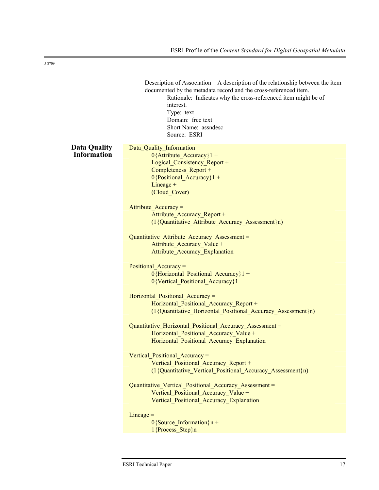|                                           | Description of Association—A description of the relationship between the item<br>documented by the metadata record and the cross-referenced item.<br>Rationale: Indicates why the cross-referenced item might be of<br>interest.<br>Type: text<br>Domain: free text<br>Short Name: assndesc<br>Source: ESRI |
|-------------------------------------------|-------------------------------------------------------------------------------------------------------------------------------------------------------------------------------------------------------------------------------------------------------------------------------------------------------------|
| <b>Data Quality</b><br><b>Information</b> | Data Quality Information =<br>$0$ {Attribute Accuracy}1 +<br>Logical Consistency Report +<br>Completeness Report +<br>$0$ {Positional_Accuracy}1 +<br>$Lineage +$<br>(Cloud Cover)                                                                                                                          |
|                                           | Attribute Accuracy =<br>Attribute Accuracy Report +<br>(1{Quantitative Attribute Accuracy Assessment}n)                                                                                                                                                                                                     |
|                                           | Quantitative Attribute Accuracy Assessment =<br>Attribute Accuracy Value +<br><b>Attribute Accuracy Explanation</b>                                                                                                                                                                                         |
|                                           | Positional Accuracy =<br>$0$ {Horizontal Positional Accuracy}1 +<br>0{Vertical Positional Accuracy}1                                                                                                                                                                                                        |
|                                           | Horizontal Positional Accuracy =<br>Horizontal Positional Accuracy Report +<br>(1{Quantitative_Horizontal_Positional_Accuracy_Assessment}n)                                                                                                                                                                 |
|                                           | Quantitative Horizontal Positional Accuracy Assessment =<br>Horizontal Positional Accuracy Value +<br>Horizontal Positional Accuracy Explanation                                                                                                                                                            |
|                                           | Vertical Positional Accuracy =<br>Vertical Positional Accuracy Report +<br>(1{Quantitative Vertical Positional Accuracy Assessment}n)                                                                                                                                                                       |
|                                           | Quantitative Vertical Positional Accuracy Assessment =<br>Vertical Positional Accuracy Value +<br>Vertical Positional Accuracy Explanation                                                                                                                                                                  |
|                                           | $Lineage =$<br>$0$ {Source_Information}n +<br>1{Process Step}n                                                                                                                                                                                                                                              |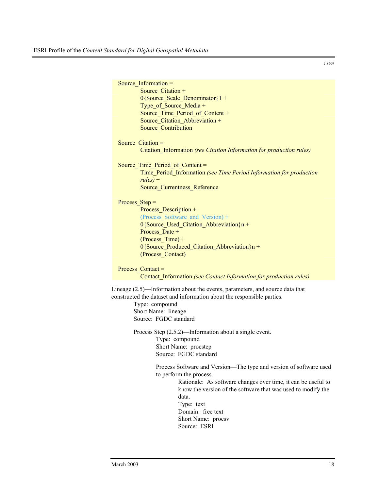| Source Information $=$          |                                                                              |
|---------------------------------|------------------------------------------------------------------------------|
| Source Citation +               |                                                                              |
|                                 | $0$ {Source Scale Denominator}1 +                                            |
| Type of Source Media +          |                                                                              |
|                                 | Source_Time_Period_of_Content +                                              |
|                                 | Source Citation Abbreviation +                                               |
| <b>Source Contribution</b>      |                                                                              |
|                                 |                                                                              |
| Source Citation =               |                                                                              |
|                                 | Citation_Information (see Citation Information for production rules)         |
|                                 |                                                                              |
| Source Time Period of Content = |                                                                              |
|                                 | Time_Period_Information (see Time Period Information for production          |
| $rules$ ) +                     |                                                                              |
|                                 | Source_Currentness_Reference                                                 |
|                                 |                                                                              |
| Process $Step =$                |                                                                              |
| Process_Description +           |                                                                              |
|                                 | (Process Software and Version) +                                             |
|                                 | $0$ {Source Used Citation Abbreviation}n +                                   |
|                                 |                                                                              |
| Process Date +                  |                                                                              |
| $(Process Time) +$              |                                                                              |
|                                 | 0{Source_Produced_Citation_Abbreviation}n +                                  |
| (Process Contact)               |                                                                              |
|                                 |                                                                              |
| Process $Content =$             |                                                                              |
|                                 | Contact Information (see Contact Information for production rules)           |
|                                 | Lineage (2.5)—Information about the events, parameters, and source data that |
|                                 |                                                                              |
|                                 | constructed the dataset and information about the responsible parties.       |
| Type: compound                  |                                                                              |
| Short Name: lineage             |                                                                              |
| Source: FGDC standard           |                                                                              |
|                                 | Process Step (2.5.2)—Information about a single event.                       |
|                                 |                                                                              |
| Type: compound                  |                                                                              |
|                                 | Short Name: procstep                                                         |
|                                 | Source: FGDC standard                                                        |
|                                 | Process Software and Version—The type and version of software used           |
|                                 | to perform the process.                                                      |
|                                 |                                                                              |
|                                 | Rationale: As software changes over time, it can be useful to                |
|                                 | know the version of the software that was used to modify the                 |
|                                 | data.                                                                        |
|                                 | Type: text                                                                   |
|                                 | Domain: free text                                                            |
|                                 | Short Name: procsv                                                           |

Source: ESRI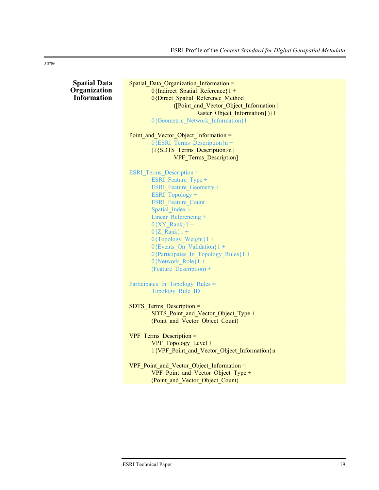|  |  | <b>Spatial Data</b><br>Organization<br><b>Information</b> |
|--|--|-----------------------------------------------------------|
|  |  |                                                           |
|  |  |                                                           |
|  |  |                                                           |

| Spatial_Data_Organization_Information =     |
|---------------------------------------------|
| 0{Indirect_Spatial_Reference}1 +            |
| 0{Direct Spatial Reference Method +         |
| ([Point_and_Vector_Object_Information       |
| Raster_Object_Information])}1+              |
| 0{Geometric Network Information}1           |
|                                             |
| Point and Vector Object Information =       |
| $0$ {ESRI Terms Description}n +             |
| [1{SDTS_Terms_Description}n                 |
| <b>VPF</b> Terms Description]               |
|                                             |
| <b>ESRI</b> Terms Description =             |
| ESRI Feature Type +                         |
| <b>ESRI</b> Feature Geometry +              |
| ESRI_Topology +                             |
| <b>ESRI</b> Feature Count +                 |
| Spatial Index +                             |
| Linear Referencing +                        |
| $0\{XY$ Rank}1 +                            |
| $0{Z$ Rank}1 +                              |
| $0$ {Topology Weight}1 +                    |
| 0{Events_On_Validation}1 +                  |
| 0{Participates_In_Topology_Rules}1+         |
| $0$ {Network Role}1 +                       |
| (Feature Description) +                     |
|                                             |
| Participates In Topology Rules =            |
| Topology Rule ID                            |
|                                             |
| SDTS_Terms_Description =                    |
| SDTS_Point_and_Vector_Object_Type +         |
| (Point and Vector Object Count)             |
|                                             |
| VPF Terms Description =                     |
| VPF_Topology_Level +                        |
| 1{VPF_Point_and_Vector_Object_Information}n |

VPF\_Point\_and\_Vector\_Object\_Information = VPF\_Point\_and\_Vector\_Object\_Type + (Point\_and\_Vector\_Object\_Count)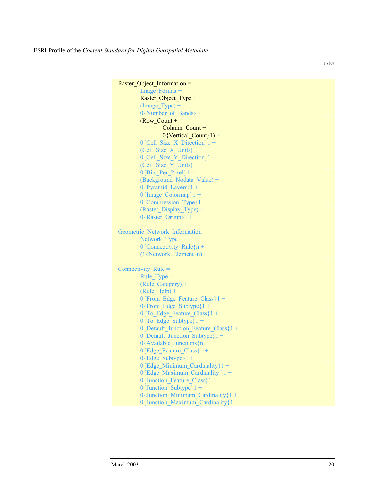```
Raster_Object_Information =
        Image_Format +
        Raster_Object_Type + 
        (Image Type) +0{Number of Bands}1 +
        (Row_Count + 
                Column_Count + 
                0{Vertical Count}1) +
        0{Cell Size X Direction}1 +
        (Cell Size \overline{X} Units) +
        0{Cell Size Y Direction}1 +
        (Cell Size Y Units) +
        0{Bits Per Pixel}1 +
        (Background_Nodata_Value) +
        0{Pyramid Layers}1 +
        0{Image_Colormap}1 +
        0{Compression_Type}1
        (Raster Display Type) +
        0{Raster Origin}1 +
Geometric Network Information =
        Network Type +
        0{Connectivity Rule}n +
        (1{Network_Element}n)
Connectivity Rule =
        Rule_Type +
        (Rule_Category) +
        (Rule_Help) +0{From Edge Feature Class}1 +
        0{From Edge Subtype}1 +
        0{To Edge Feature Class}1 +
        0{To Edge Subtype}1 +
        0{Default Junction Feature Class}1 +
        0{Default_Junction_Subtype}1 +
        0{Available Junctions}n +
        0{Edge Feature Class}1 +
        0{Edge Subtype}1 +
        0{Edge_Minimum_Cardinality}1 +
        0{Edge Maximum Cardinality }1 +0{Junction Feature Class}1 +
        0{Junction Subtype}1 +
        0{Junction_Minimum_Cardinality}1 +
        0{Junction_Maximum_Cardinality}1
```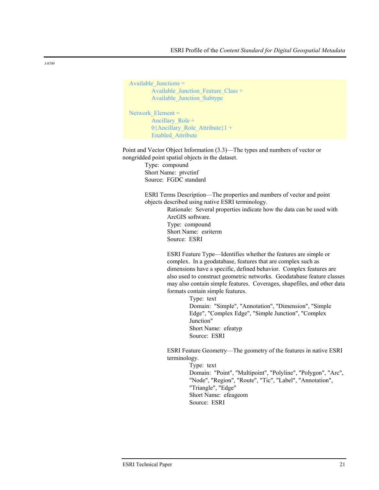```
Available_Junctions =
        Available_Junction_Feature_Class +
        Available_Junction_Subtype
Network Element =
```

```
Ancillary Role +
0{Ancillary Role Attribute}1 +
Enabled_Attribute
```
Point and Vector Object Information (3.3)—The types and numbers of vector or nongridded point spatial objects in the dataset.

> Type: compound Short Name: ptvctinf Source: FGDC standard

ESRI Terms Description—The properties and numbers of vector and point objects described using native ESRI terminology.

> Rationale: Several properties indicate how the data can be used with ArcGIS software. Type: compound Short Name: esriterm Source: ESRI

ESRI Feature Type—Identifies whether the features are simple or complex. In a geodatabase, features that are complex such as dimensions have a specific, defined behavior. Complex features are also used to construct geometric networks. Geodatabase feature classes may also contain simple features. Coverages, shapefiles, and other data formats contain simple features.

> Type: text Domain: "Simple", "Annotation", "Dimension", "Simple Edge", "Complex Edge", "Simple Junction", "Complex Junction" Short Name: efeatyp Source: ESRI

ESRI Feature Geometry—The geometry of the features in native ESRI terminology.

> Type: text Domain: "Point", "Multipoint", "Polyline", "Polygon", "Arc", "Node", "Region", "Route", "Tic", "Label", "Annotation", "Triangle", "Edge" Short Name: efeageom Source: ESRI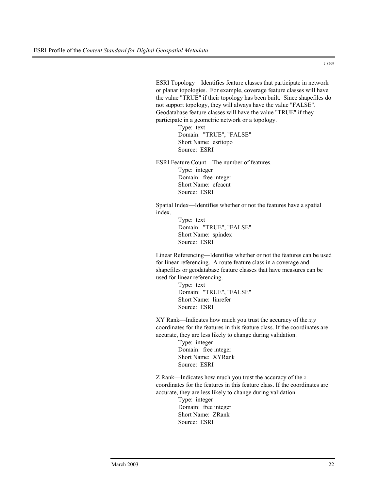ESRI Topology—Identifies feature classes that participate in network or planar topologies. For example, coverage feature classes will have the value "TRUE" if their topology has been built. Since shapefiles do not support topology, they will always have the value "FALSE". Geodatabase feature classes will have the value "TRUE" if they participate in a geometric network or a topology.

> Type: text Domain: "TRUE", "FALSE" Short Name: esritopo Source: ESRI

ESRI Feature Count—The number of features. Type: integer Domain: free integer Short Name: efeacnt Source: ESRI

Spatial Index—Identifies whether or not the features have a spatial index.

> Type: text Domain: "TRUE", "FALSE" Short Name: spindex Source: ESRI

Linear Referencing—Identifies whether or not the features can be used for linear referencing. A route feature class in a coverage and shapefiles or geodatabase feature classes that have measures can be used for linear referencing.

> Type: text Domain: "TRUE", "FALSE" Short Name: linrefer Source: ESRI

XY Rank—Indicates how much you trust the accuracy of the *x,y* coordinates for the features in this feature class. If the coordinates are accurate, they are less likely to change during validation.

> Type: integer Domain: free integer Short Name: XYRank Source: ESRI

Z Rank—Indicates how much you trust the accuracy of the *z* coordinates for the features in this feature class. If the coordinates are accurate, they are less likely to change during validation.

> Type: integer Domain: free integer Short Name: ZRank Source: ESRI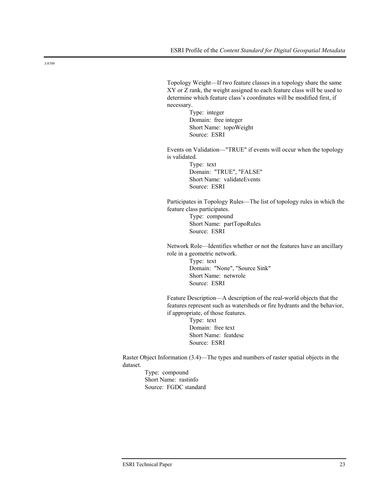Topology Weight—If two feature classes in a topology share the same XY or Z rank, the weight assigned to each feature class will be used to determine which feature class's coordinates will be modified first, if necessary.

> Type: integer Domain: free integer Short Name: topoWeight Source: ESRI

Events on Validation—"TRUE" if events will occur when the topology is validated.

> Type: text Domain: "TRUE", "FALSE" Short Name: validateEvents Source: ESRI

Participates in Topology Rules—The list of topology rules in which the feature class participates.

> Type: compound Short Name: partTopoRules Source: ESRI

Network Role—Identifies whether or not the features have an ancillary role in a geometric network.

> Type: text Domain: "None", "Source Sink" Short Name: netwrole Source: ESRI

Feature Description—A description of the real-world objects that the features represent such as watersheds or fire hydrants and the behavior, if appropriate, of those features.

> Type: text Domain: free text Short Name: featdesc Source: ESRI

Raster Object Information (3.4)—The types and numbers of raster spatial objects in the dataset.

Type: compound Short Name: rastinfo Source: FGDC standard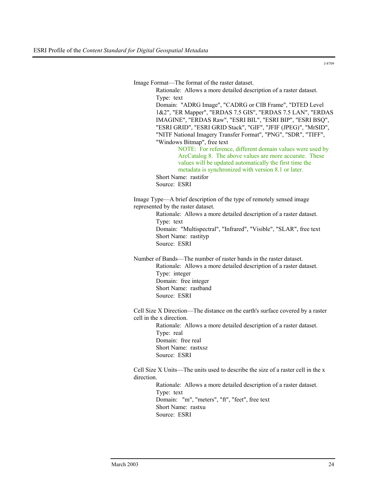Image Format—The format of the raster dataset.

Type: text Domain: "ADRG Image", "CADRG or CIB Frame", "DTED Level 1&2", "ER Mapper", "ERDAS 7.5 GIS", "ERDAS 7.5 LAN", "ERDAS IMAGINE", "ERDAS Raw", "ESRI BIL", "ESRI BIP", "ESRI BSQ", "ESRI GRID", "ESRI GRID Stack", "GIF", "JFIF (JPEG)", "MrSID", "NITF National Imagery Transfer Format", "PNG", "SDR", "TIFF", "Windows Bitmap", free text NOTE: For reference, different domain values were used by ArcCatalog 8. The above values are more accurate. These values will be updated automatically the first time the metadata is synchronized with version 8.1 or later. Short Name: rastifor Source: ESRI Image Type—A brief description of the type of remotely sensed image represented by the raster dataset. Rationale: Allows a more detailed description of a raster dataset. Type: text Domain: "Multispectral", "Infrared", "Visible", "SLAR", free text Short Name: rastityp Source: ESRI Number of Bands—The number of raster bands in the raster dataset. Rationale: Allows a more detailed description of a raster dataset. Type: integer Domain: free integer Short Name: rastband Source: ESRI

Rationale: Allows a more detailed description of a raster dataset.

Cell Size X Direction—The distance on the earth's surface covered by a raster cell in the x direction.

Rationale: Allows a more detailed description of a raster dataset. Type: real Domain: free real Short Name: rastxsz Source: ESRI

Cell Size X Units—The units used to describe the size of a raster cell in the x direction.

> Rationale: Allows a more detailed description of a raster dataset. Type: text Domain: "m", "meters", "ft", "feet", free text Short Name: rastxu Source: ESRI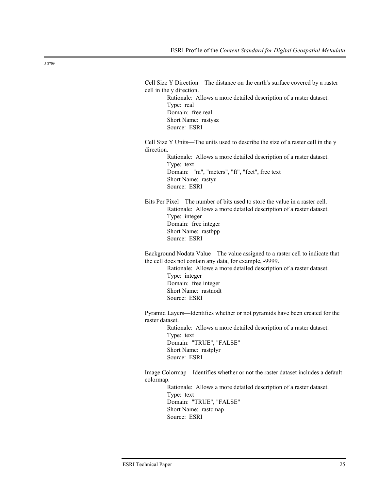Cell Size Y Direction—The distance on the earth's surface covered by a raster cell in the y direction. Rationale: Allows a more detailed description of a raster dataset. Type: real Domain: free real Short Name: rastysz Source: ESRI Cell Size Y Units—The units used to describe the size of a raster cell in the y direction. Rationale: Allows a more detailed description of a raster dataset. Type: text Domain: "m", "meters", "ft", "feet", free text Short Name: rastyu Source: ESRI Bits Per Pixel—The number of bits used to store the value in a raster cell. Rationale: Allows a more detailed description of a raster dataset. Type: integer Domain: free integer Short Name: rastbpp Source: ESRI Background Nodata Value—The value assigned to a raster cell to indicate that the cell does not contain any data, for example, -9999. Rationale: Allows a more detailed description of a raster dataset. Type: integer Domain: free integer Short Name: rastnodt Source: ESRI Pyramid Layers—Identifies whether or not pyramids have been created for the raster dataset. Rationale: Allows a more detailed description of a raster dataset. Type: text Domain: "TRUE", "FALSE" Short Name: rastplyr Source: ESRI Image Colormap—Identifies whether or not the raster dataset includes a default colormap. Rationale: Allows a more detailed description of a raster dataset. Type: text Domain: "TRUE", "FALSE" Short Name: rastcmap Source: ESRI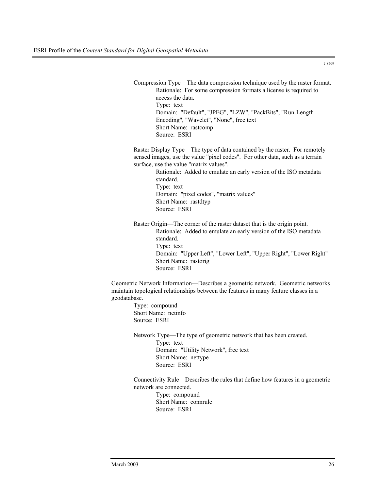Compression Type—The data compression technique used by the raster format. Rationale: For some compression formats a license is required to access the data. Type: text Domain: "Default", "JPEG", "LZW", "PackBits", "Run-Length Encoding", "Wavelet", "None", free text Short Name: rastcomp Source: ESRI

Raster Display Type—The type of data contained by the raster. For remotely sensed images, use the value "pixel codes". For other data, such as a terrain surface, use the value "matrix values".

Rationale: Added to emulate an early version of the ISO metadata standard. Type: text Domain: "pixel codes", "matrix values" Short Name: rastdtyp Source: ESRI

Raster Origin—The corner of the raster dataset that is the origin point. Rationale: Added to emulate an early version of the ISO metadata standard. Type: text Domain: "Upper Left", "Lower Left", "Upper Right", "Lower Right" Short Name: rastorig Source: ESRI

Geometric Network Information—Describes a geometric network. Geometric networks maintain topological relationships between the features in many feature classes in a geodatabase.

Type: compound Short Name: netinfo Source: ESRI

Network Type—The type of geometric network that has been created. Type: text Domain: "Utility Network", free text Short Name: nettype Source: ESRI

Connectivity Rule—Describes the rules that define how features in a geometric network are connected.

Type: compound Short Name: connrule Source: ESRI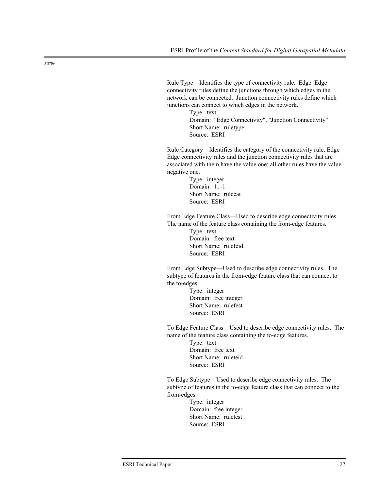Rule Type—Identifies the type of connectivity rule. Edge–Edge connectivity rules define the junctions through which edges in the network can be connected. Junction connectivity rules define which junctions can connect to which edges in the network.

> Type: text Domain: "Edge Connectivity", "Junction Connectivity" Short Name: ruletype Source: ESRI

Rule Category—Identifies the category of the connectivity rule. Edge– Edge connectivity rules and the junction connectivity rules that are associated with them have the value one; all other rules have the value negative one.

> Type: integer Domain: 1, -1 Short Name: rulecat Source: ESRI

From Edge Feature Class—Used to describe edge connectivity rules. The name of the feature class containing the from-edge features.

> Type: text Domain: free text Short Name: rulefeid Source: ESRI

From Edge Subtype—Used to describe edge connectivity rules. The subtype of features in the from-edge feature class that can connect to the to-edges.

> Type: integer Domain: free integer Short Name: rulefest Source: ESRI

To Edge Feature Class—Used to describe edge connectivity rules. The name of the feature class containing the to-edge features.

> Type: text Domain: free text Short Name: ruleteid Source: ESRI

To Edge Subtype—Used to describe edge connectivity rules. The subtype of features in the to-edge feature class that can connect to the from-edges.

> Type: integer Domain: free integer Short Name: ruletest Source: ESRI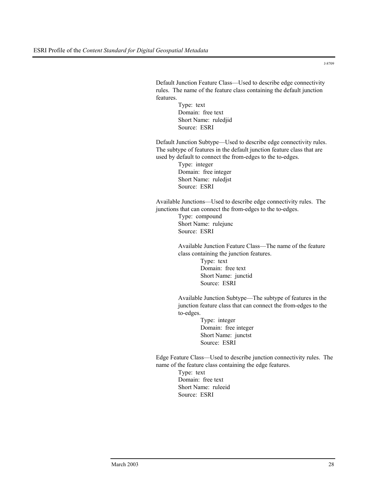Default Junction Feature Class—Used to describe edge connectivity rules. The name of the feature class containing the default junction features.

> Type: text Domain: free text Short Name: ruledjid Source: ESRI

Default Junction Subtype—Used to describe edge connectivity rules. The subtype of features in the default junction feature class that are used by default to connect the from-edges to the to-edges.

> Type: integer Domain: free integer Short Name: ruledjst Source: ESRI

Available Junctions—Used to describe edge connectivity rules. The junctions that can connect the from-edges to the to-edges.

> Type: compound Short Name: rulejunc Source: ESRI

Available Junction Feature Class—The name of the feature class containing the junction features. Type: text Domain: free text Short Name: junctid Source: ESRI

Available Junction Subtype—The subtype of features in the junction feature class that can connect the from-edges to the to-edges.

> Type: integer Domain: free integer Short Name: junctst Source: ESRI

Edge Feature Class—Used to describe junction connectivity rules. The name of the feature class containing the edge features.

> Type: text Domain: free text Short Name: ruleeid Source: ESRI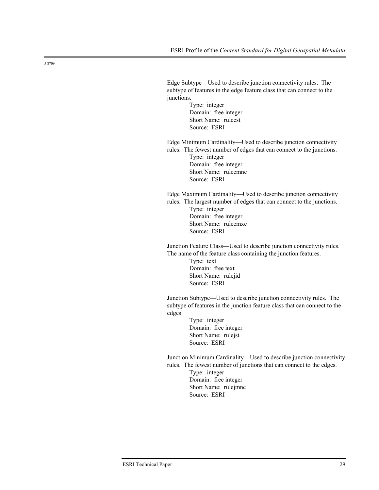Edge Subtype—Used to describe junction connectivity rules. The subtype of features in the edge feature class that can connect to the junctions.

> Type: integer Domain: free integer Short Name: ruleest Source: ESRI

Edge Minimum Cardinality—Used to describe junction connectivity rules. The fewest number of edges that can connect to the junctions.

Type: integer Domain: free integer Short Name: ruleemnc Source: ESRI

Edge Maximum Cardinality—Used to describe junction connectivity rules. The largest number of edges that can connect to the junctions. Type: integer

Domain: free integer Short Name: ruleemxc Source: ESRI

Junction Feature Class—Used to describe junction connectivity rules. The name of the feature class containing the junction features.

> Type: text Domain: free text Short Name: rulejid Source: ESRI

Junction Subtype—Used to describe junction connectivity rules. The subtype of features in the junction feature class that can connect to the edges.

> Type: integer Domain: free integer Short Name: rulejst Source: ESRI

Junction Minimum Cardinality—Used to describe junction connectivity rules. The fewest number of junctions that can connect to the edges.

> Type: integer Domain: free integer Short Name: rulejmnc Source: ESRI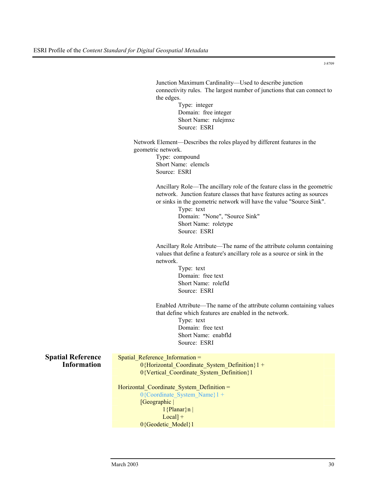Junction Maximum Cardinality—Used to describe junction connectivity rules. The largest number of junctions that can connect to the edges. Type: integer Domain: free integer Short Name: rulejmxc Source: ESRI Network Element—Describes the roles played by different features in the geometric network.

Type: compound Short Name: elemcls Source: ESRI

Ancillary Role—The ancillary role of the feature class in the geometric network. Junction feature classes that have features acting as sources or sinks in the geometric network will have the value "Source Sink".

> Type: text Domain: "None", "Source Sink" Short Name: roletype Source: ESRI

Ancillary Role Attribute—The name of the attribute column containing values that define a feature's ancillary role as a source or sink in the network.

> Type: text Domain: free text Short Name: rolefld Source: ESRI

Enabled Attribute—The name of the attribute column containing values that define which features are enabled in the network.

> Type: text Domain: free text Short Name: enabfld Source: ESRI

**Spatial Reference Information**  Spatial Reference Information = 0{Horizontal Coordinate System Definition}1 + 0{Vertical\_Coordinate\_System\_Definition}1

### Horizontal Coordinate System Definition =

0{Coordinate System Name}1 + [Geographic | 1{Planar}n | Local] + 0{Geodetic\_Model}1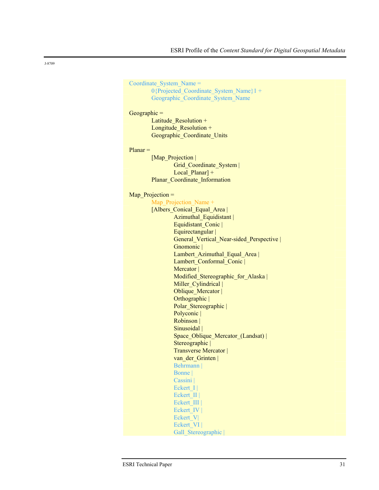Coordinate\_System\_Name = 0{Projected\_Coordinate\_System\_Name}1 + Geographic\_Coordinate\_System\_Name

### Geographic =

Latitude Resolution + Longitude\_Resolution + Geographic\_Coordinate\_Units

#### Planar =

[Map\_Projection | Grid\_Coordinate\_System | Local\_Planar] + Planar\_Coordinate\_Information

#### Map\_Projection =

| Map Projection Name +                   |
|-----------------------------------------|
| [Albers Conical Equal Area]             |
| Azimuthal Equidistant                   |
| Equidistant Conic                       |
| Equirectangular                         |
| General Vertical Near-sided Perspective |
| Gnomonic                                |
| Lambert Azimuthal Equal Area            |
| Lambert Conformal Conic                 |
| Mercator                                |
| Modified Stereographic for Alaska       |
| Miller Cylindrical                      |
| Oblique_Mercator                        |
| Orthographic                            |
| Polar Stereographic                     |
| Polyconic                               |
| Robinson                                |
| Sinusoidal                              |
| Space Oblique Mercator (Landsat)        |
| Stereographic                           |
| Transverse Mercator                     |
| van der Grinten                         |
| Behrmann                                |
| Bonne                                   |
| Cassini                                 |
| Eckert $I$                              |
| Eckert II                               |
| Eckert III                              |
| Eckert IV                               |
| Eckert_V                                |
| Eckert VI                               |
| Gall Stereographic                      |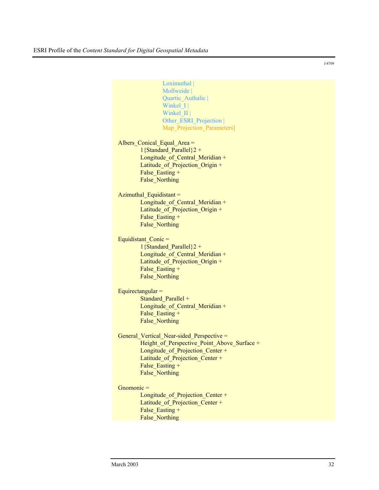|                 | Loximuthal                                  |
|-----------------|---------------------------------------------|
|                 | Mollweide                                   |
|                 | Quartic Authalic                            |
|                 | Winkel I                                    |
|                 | Winkel II                                   |
|                 | Other ESRI Projection                       |
|                 | Map Projection Parameters]                  |
|                 |                                             |
|                 | Albers Conical Equal Area =                 |
|                 | 1{Standard Parallel} $2 +$                  |
|                 | Longitude of Central Meridian +             |
|                 | Latitude of Projection Origin +             |
|                 | False Easting +                             |
|                 |                                             |
|                 | <b>False Northing</b>                       |
|                 |                                             |
|                 | Azimuthal Equidistant =                     |
|                 | Longitude of Central Meridian +             |
|                 | Latitude of Projection Origin +             |
|                 | False Easting +                             |
|                 | <b>False Northing</b>                       |
|                 |                                             |
|                 | Equidistant Conic =                         |
|                 | 1{Standard Parallel} $2 +$                  |
|                 | Longitude of Central Meridian +             |
|                 | Latitude of Projection Origin +             |
|                 | False Easting +                             |
|                 | False Northing                              |
|                 |                                             |
|                 | Equirectangular $=$                         |
|                 | Standard Parallel +                         |
|                 | Longitude of Central Meridian +             |
|                 | False Easting +                             |
|                 | <b>False Northing</b>                       |
|                 |                                             |
|                 | General Vertical Near-sided Perspective =   |
|                 | Height of Perspective Point Above Surface + |
|                 | Longitude of Projection Center +            |
|                 | Latitude of Projection Center +             |
|                 | False Easting +                             |
|                 | <b>False Northing</b>                       |
|                 |                                             |
| $G$ nomonic $=$ |                                             |
|                 | Longitude of Projection Center +            |
|                 | Latitude of Projection Center +             |
|                 | False Easting +                             |
|                 |                                             |
|                 | False Northing                              |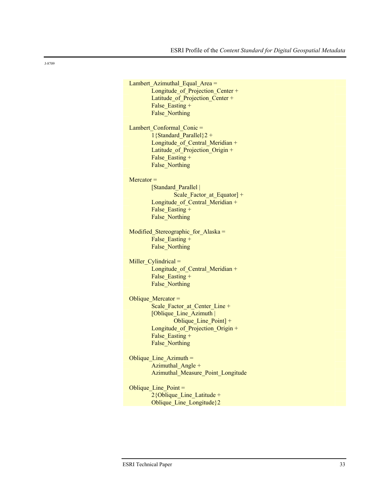Lambert Azimuthal\_Equal\_Area = Longitude of Projection Center + Latitude\_of\_Projection\_Center + False Easting + False Northing Lambert Conformal Conic = 1{Standard Parallel} $2 +$ Longitude of Central Meridian + Latitude of Projection Origin + False Easting + False\_Northing Mercator = [Standard\_Parallel | Scale Factor at Equator] + Longitude of Central Meridian + False Easting + False\_Northing Modified Stereographic for Alaska = False Easting + False\_Northing Miller\_Cylindrical = Longitude of Central Meridian + False Easting + False\_Northing Oblique Mercator = Scale\_Factor\_at\_Center\_Line + [Oblique\_Line\_Azimuth | Oblique Line Point] + Longitude of Projection Origin + False Easting + False\_Northing Oblique Line  $Azimuth =$ Azimuthal Angle + Azimuthal\_Measure\_Point\_Longitude Oblique Line  $Point =$  $2$ {Oblique Line Latitude + Oblique Line Longitude}2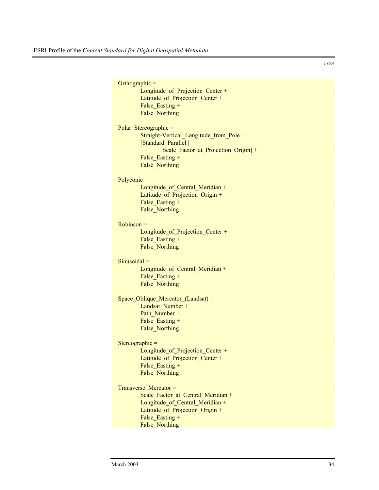|                | Orthographic $=$                        |
|----------------|-----------------------------------------|
|                | Longitude_of_Projection_Center +        |
|                | Latitude of Projection Center +         |
|                | False Easting +                         |
|                | <b>False Northing</b>                   |
|                |                                         |
|                | Polar Stereographic =                   |
|                | Straight-Vertical Longitude from Pole + |
|                | [Standard Parallel                      |
|                | Scale Factor at Projection Origin] +    |
|                | False_Easting +                         |
|                | False Northing                          |
|                |                                         |
| $Polyconic =$  |                                         |
|                | Longitude_of_Central_Meridian +         |
|                | Latitude of Projection Origin +         |
|                | False Easting +                         |
|                | False Northing                          |
|                |                                         |
| $Robinson =$   |                                         |
|                | Longitude of Projection Center +        |
|                | False Easting +                         |
|                | False Northing                          |
|                |                                         |
| $Sinusoidal =$ |                                         |
|                | Longitude of Central Meridian +         |
|                | False Easting +                         |
|                | <b>False Northing</b>                   |
|                |                                         |
|                | Space_Oblique_Mercator_(Landsat) =      |
|                | Landsat Number +                        |
|                | Path Number +                           |
|                | False Easting +                         |
|                | <b>False Northing</b>                   |
|                |                                         |
|                |                                         |
|                | Stereographic $=$                       |
|                | Longitude_of_Projection_Center +        |
|                | Latitude of Projection Center +         |
|                | False Easting +                         |
|                | False Northing                          |
|                |                                         |
|                | Transverse Mercator =                   |
|                | Scale Factor at Central Meridian +      |
|                | Longitude of Central Meridian +         |
|                | Latitude_of_Projection_Origin +         |
|                | False Easting +                         |
|                | False Northing                          |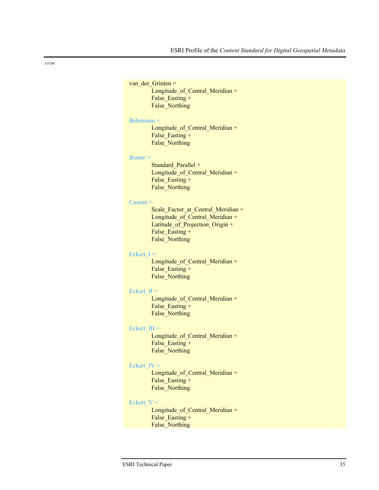```
van der Grinten =
        Longitude of Central Meridian +
        False Easting +
        False_Northing 
Behrmann =
        Longitude of Central Meridian +
        False Easting +
        False_Northing 
Bonne =Standard Parallel +
        Longitude of Central Meridian +
        False Easting +
        False_Northing 
Cassini =
        Scale Factor at Central Meridian +
        Longitude of Central Meridian +
        Latitude_of_Projection_Origin + 
        False Easting +
        False_Northing 
Eckert I =Longitude_of_Central_Meridian + 
        False Easting +
        False_Northing 
Eckert II =Longitude of Central Meridian +
        False Easting +
        False_Northing 
Eckert III =Longitude of Central Meridian +
        False Easting +
        False_Northing 
Eckert IV =Longitude_of_Central_Meridian + 
        False Easting +
        False_Northing 
Eckert V =Longitude of Central Meridian +
        False Easting +
        False_Northing
```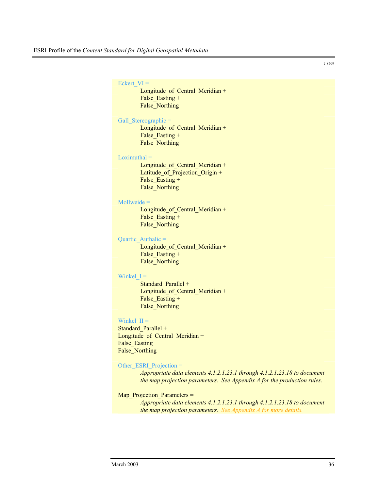#### Eckert  $VI =$

Longitude of Central Meridian + False Easting + False\_Northing

#### Gall\_Stereographic =

Longitude of Central Meridian + False Easting + False\_Northing

#### $Loximuthal =$

Longitude of Central Meridian + Latitude of Projection Origin + False Easting + False\_Northing

#### Mollweide =

Longitude of Central Meridian + False Easting + False\_Northing

#### Quartic Authalic =

Longitude of Central Meridian + False Easting + False\_Northing

#### Winkel  $I =$

Standard Parallel + Longitude of Central Meridian + False Easting + False\_Northing

### Winkel  $II =$

Standard Parallel + Longitude of Central Meridian + False Easting + False\_Northing

## Other\_ESRI\_Projection =

*Appropriate data elements 4.1.2.1.23.1 through 4.1.2.1.23.18 to document the map projection parameters. See Appendix A for the production rules.*

## Map\_Projection\_Parameters =

*Appropriate data elements 4.1.2.1.23.1 through 4.1.2.1.23.18 to document the map projection parameters. See Appendix A for more details.*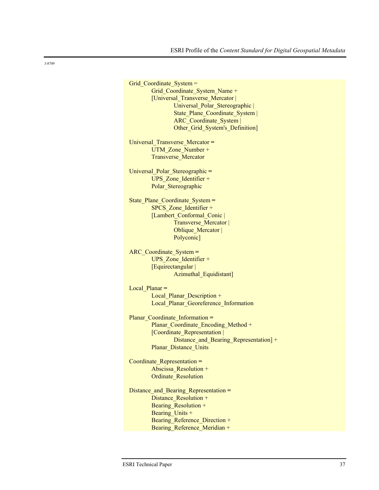Grid Coordinate System = Grid\_Coordinate\_System\_Name + [Universal\_Transverse\_Mercator | Universal Polar Stereographic | State\_Plane\_Coordinate\_System | ARC\_Coordinate\_System | Other Grid System's Definition] Universal\_Transverse\_Mercator **=** UTM Zone Number + Transverse\_Mercator Universal\_Polar\_Stereographic **=** UPS\_Zone\_Identifier + Polar Stereographic State Plane Coordinate System = SPCS Zone Identifier + [Lambert\_Conformal\_Conic | Transverse\_Mercator | Oblique Mercator | Polyconic] ARC\_Coordinate\_System **=** UPS Zone Identifier + [Equirectangular | Azimuthal Equidistant] Local\_Planar **=** Local Planar Description + Local\_Planar\_Georeference\_Information Planar\_Coordinate\_Information **=** Planar\_Coordinate\_Encoding\_Method + [Coordinate\_Representation | Distance\_and\_Bearing\_Representation] + Planar\_Distance\_Units Coordinate\_Representation **=** Abscissa\_Resolution + Ordinate\_Resolution Distance and Bearing Representation = Distance Resolution + Bearing Resolution + Bearing Units + Bearing Reference Direction + Bearing Reference Meridian +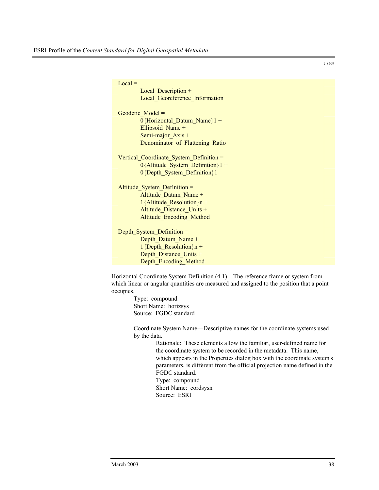Local **=** Local Description + Local Georeference Information Geodetic\_Model **=** 0{Horizontal Datum Name}1 + Ellipsoid Name + Semi-major Axis + Denominator of Flattening Ratio Vertical Coordinate System Definition = 0{Altitude System Definition}1 + 0{Depth\_System\_Definition}1 Altitude System Definition = Altitude Datum Name + 1{Altitude Resolution} $n +$ Altitude Distance Units + Altitude\_Encoding\_Method Depth\_System\_Definition = Depth\_Datum\_Name +  $1$ {Depth\_Resolution}n + Depth\_Distance\_Units + Depth\_Encoding\_Method

Horizontal Coordinate System Definition (4.1)—The reference frame or system from which linear or angular quantities are measured and assigned to the position that a point occupies.

> Type: compound Short Name: horizsys Source: FGDC standard

Coordinate System Name—Descriptive names for the coordinate systems used by the data.

> Rationale: These elements allow the familiar, user-defined name for the coordinate system to be recorded in the metadata. This name, which appears in the Properties dialog box with the coordinate system's parameters, is different from the official projection name defined in the FGDC standard. Type: compound Short Name: cordsysn

Source: ESRI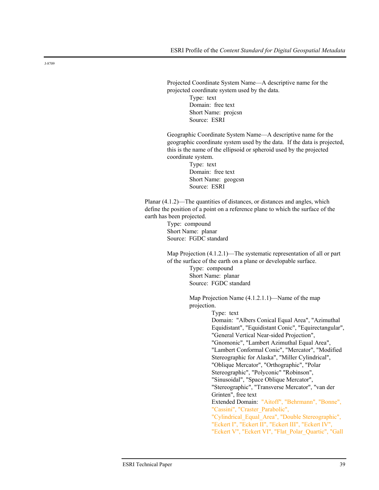Projected Coordinate System Name—A descriptive name for the projected coordinate system used by the data.

> Type: text Domain: free text Short Name: projcsn Source: ESRI

Geographic Coordinate System Name—A descriptive name for the geographic coordinate system used by the data. If the data is projected, this is the name of the ellipsoid or spheroid used by the projected coordinate system.

> Type: text Domain: free text Short Name: geogcsn Source: ESRI

Planar  $(4.1.2)$ —The quantities of distances, or distances and angles, which define the position of a point on a reference plane to which the surface of the earth has been projected.

> Type: compound Short Name: planar Source: FGDC standard

Map Projection  $(4.1.2.1)$ —The systematic representation of all or part of the surface of the earth on a plane or developable surface.

> Type: compound Short Name: planar Source: FGDC standard

Map Projection Name (4.1.2.1.1)—Name of the map projection.

Type: text

Domain: "Albers Conical Equal Area", "Azimuthal Equidistant", "Equidistant Conic", "Equirectangular", "General Vertical Near-sided Projection", "Gnomonic", "Lambert Azimuthal Equal Area", "Lambert Conformal Conic", "Mercator", "Modified Stereographic for Alaska", "Miller Cylindrical", "Oblique Mercator", "Orthographic", "Polar Stereographic", "Polyconic" "Robinson", "Sinusoidal", "Space Oblique Mercator", "Stereographic", "Transverse Mercator", "van der Grinten", free text Extended Domain: "Aitoff", "Behrmann", "Bonne", "Cassini", "Craster\_Parabolic", "Cylindrical\_Equal\_Area", "Double Stereographic", "Eckert I", "Eckert II", "Eckert III", "Eckert IV", "Eckert V", "Eckert VI", "Flat\_Polar\_Quartic", "Gall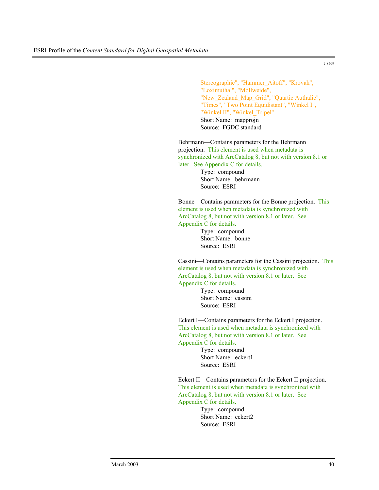Stereographic", "Hammer\_Aitoff", "Krovak", "Loximuthal", "Mollweide", "New\_Zealand\_Map\_Grid", "Quartic Authalic", "Times", "Two Point Equidistant", "Winkel I", "Winkel II", "Winkel Tripel" Short Name: mapprojn Source: FGDC standard

Behrmann—Contains parameters for the Behrmann projection. This element is used when metadata is synchronized with ArcCatalog 8, but not with version 8.1 or later. See Appendix C for details.

Type: compound Short Name: behrmann Source: ESRI

Bonne—Contains parameters for the Bonne projection. This element is used when metadata is synchronized with ArcCatalog 8, but not with version 8.1 or later. See Appendix C for details.

> Type: compound Short Name: bonne Source: ESRI

Cassini—Contains parameters for the Cassini projection. This element is used when metadata is synchronized with ArcCatalog 8, but not with version 8.1 or later. See Appendix C for details.

> Type: compound Short Name: cassini Source: ESRI

Eckert I—Contains parameters for the Eckert I projection. This element is used when metadata is synchronized with ArcCatalog 8, but not with version 8.1 or later. See Appendix C for details.

> Type: compound Short Name: eckert1 Source: ESRI

Eckert II—Contains parameters for the Eckert II projection. This element is used when metadata is synchronized with ArcCatalog 8, but not with version 8.1 or later. See Appendix C for details.

> Type: compound Short Name: eckert2 Source: ESRI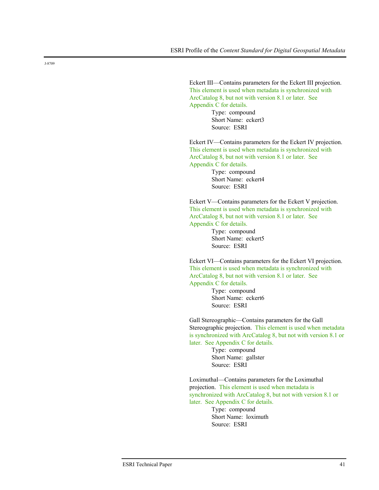Eckert III—Contains parameters for the Eckert III projection. This element is used when metadata is synchronized with ArcCatalog 8, but not with version 8.1 or later. See Appendix C for details.

Type: compound Short Name: eckert3 Source: ESRI

Eckert IV—Contains parameters for the Eckert IV projection. This element is used when metadata is synchronized with ArcCatalog 8, but not with version 8.1 or later. See Appendix C for details.

> Type: compound Short Name: eckert4 Source: ESRI

Eckert V—Contains parameters for the Eckert V projection. This element is used when metadata is synchronized with ArcCatalog 8, but not with version 8.1 or later. See Appendix C for details.

> Type: compound Short Name: eckert5 Source: ESRI

Eckert VI—Contains parameters for the Eckert VI projection. This element is used when metadata is synchronized with ArcCatalog 8, but not with version 8.1 or later. See Appendix C for details.

> Type: compound Short Name: eckert6 Source: ESRI

Gall Stereographic—Contains parameters for the Gall Stereographic projection. This element is used when metadata is synchronized with ArcCatalog 8, but not with version 8.1 or later. See Appendix C for details.

> Type: compound Short Name: gallster Source: ESRI

Loximuthal—Contains parameters for the Loximuthal projection. This element is used when metadata is synchronized with ArcCatalog 8, but not with version 8.1 or later. See Appendix C for details.

> Type: compound Short Name: loximuth Source: ESRI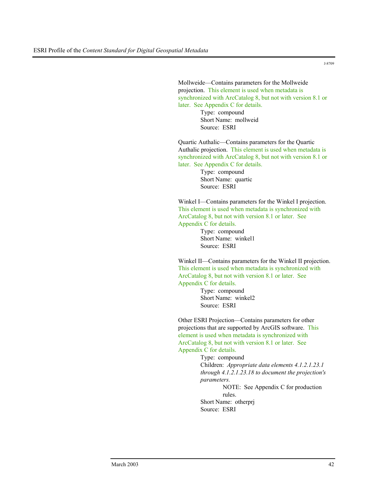Mollweide—Contains parameters for the Mollweide projection. This element is used when metadata is synchronized with ArcCatalog 8, but not with version 8.1 or later. See Appendix C for details.

Type: compound Short Name: mollweid Source: ESRI

Quartic Authalic—Contains parameters for the Quartic Authalic projection. This element is used when metadata is synchronized with ArcCatalog 8, but not with version 8.1 or later. See Appendix C for details.

> Type: compound Short Name: quartic Source: ESRI

Winkel I—Contains parameters for the Winkel I projection. This element is used when metadata is synchronized with ArcCatalog 8, but not with version 8.1 or later. See Appendix C for details.

> Type: compound Short Name: winkel1 Source: ESRI

Winkel II—Contains parameters for the Winkel II projection. This element is used when metadata is synchronized with ArcCatalog 8, but not with version 8.1 or later. See Appendix C for details.

> Type: compound Short Name: winkel2 Source: ESRI

Other ESRI Projection—Contains parameters for other projections that are supported by ArcGIS software. This element is used when metadata is synchronized with ArcCatalog 8, but not with version 8.1 or later. See Appendix C for details.

> Type: compound Children: *Appropriate data elements 4.1.2.1.23.1 through 4.1.2.1.23.18 to document the projection's parameters.*

NOTE: See Appendix C for production rules.

Short Name: otherprj Source: ESRI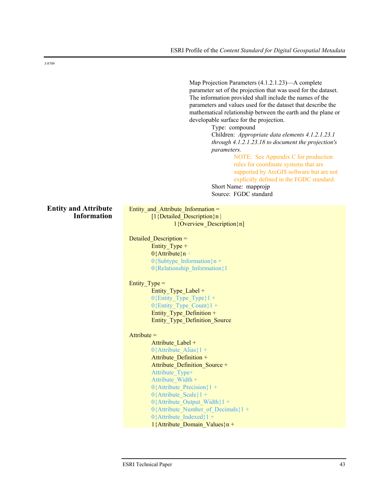Map Projection Parameters (4.1.2.1.23)—A complete parameter set of the projection that was used for the dataset. The information provided shall include the names of the parameters and values used for the dataset that describe the mathematical relationship between the earth and the plane or developable surface for the projection.

Type: compound

Children: *Appropriate data elements 4.1.2.1.23.1 through 4.1.2.1.23.18 to document the projection's parameters.* 

> NOTE: See Appendix C for production rules for coordinate systems that are supported by ArcGIS software but are not explicitly defined in the FGDC standard.

Short Name: mapprojp Source: FGDC standard

#### **Entity and Attribute Information**

Entity and Attribute Information = [1{Detailed\_Description}n | 1{Overview\_Description}n]

Detailed Description = Entity Type +  $0$ {Attribute}n +  $0$ {Subtype Information}n + 0{Relationship\_Information}1

## Entity  $Type =$

Entity Type Label  $+$  $0$ {Entity Type Type}1 +  $0$ {Entity Type Count}1 + Entity Type Definition  $+$ Entity\_Type\_Definition\_Source

## $Attribute =$

Attribute Label +  $0$ {Attribute Alias}1 + Attribute Definition + Attribute Definition Source + Attribute\_Type+ Attribute\_Width + 0{Attribute Precision}1 + 0{Attribute Scale}1 + 0{Attribute Output Width}1 + 0{Attribute Number of Decimals}1 + 0{Attribute Indexed}1 + 1{Attribute Domain Values}n +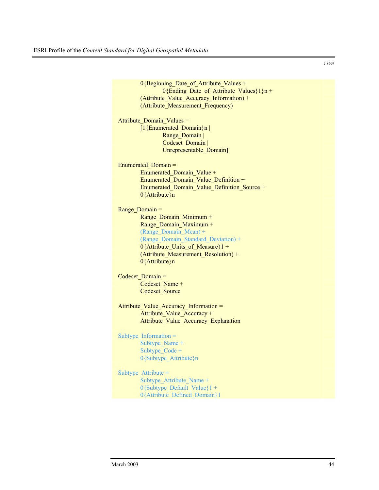| 0{Beginning_Date_of_Attribute_Values +      |
|---------------------------------------------|
| $0$ {Ending Date of Attribute Values}1}n +  |
| (Attribute_Value_Accuracy_Information) +    |
| (Attribute Measurement Frequency)           |
|                                             |
| Attribute Domain Values =                   |
| [ $1$ {Enumerated Domain}n                  |
| Range Domain                                |
| Codeset Domain                              |
| Unrepresentable_Domain]                     |
|                                             |
| Enumerated Domain =                         |
| Enumerated Domain Value +                   |
| Enumerated Domain Value Definition +        |
| Enumerated_Domain_Value_Definition_Source + |
| $0$ {Attribute}n                            |
|                                             |
| Range Domain =                              |
|                                             |
| Range_Domain_Minimum +                      |
| Range Domain Maximum +                      |
| (Range Domain Mean) +                       |
| (Range Domain Standard Deviation) +         |
| 0{Attribute Units of Measure}1 +            |
| (Attribute Measurement Resolution) +        |
| $0$ {Attribute}n                            |
|                                             |
| Codeset Domain =                            |
| Codeset Name +                              |
| <b>Codeset Source</b>                       |
|                                             |
| Attribute_Value_Accuracy_Information =      |
| Attribute Value Accuracy +                  |
| Attribute Value Accuracy Explanation        |
|                                             |
| Subtype Information $=$                     |
| Subtype Name +                              |
| Subtype Code +                              |
| 0{Subtype Attribute}n                       |
|                                             |
| Subtype Attribute $=$                       |
| Subtype Attribute Name +                    |
| $0$ {Subtype Default Value}1 +              |
| 0{Attribute_Defined_Domain}1                |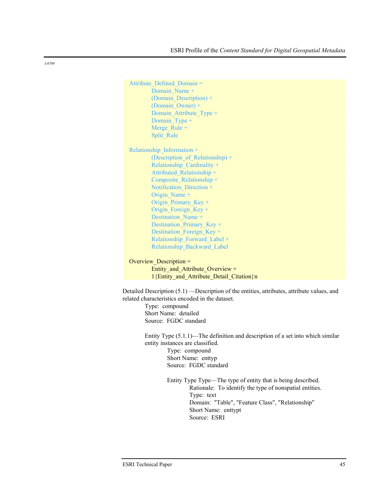Attribute Defined Domain = Domain Name + (Domain\_Description) + (Domain\_Owner) + Domain Attribute Type + Domain Type + Merge Rule + Split\_Rule Relationship\_Information = (Description of Relationship) + Relationship\_Cardinality + Attributed\_Relationship + Composite\_Relationship + Notification Direction + Origin\_Name + Origin Primary Key + Origin Foreign Key + Destination Name + Destination Primary Key + Destination Foreign Key + Relationship\_Forward\_Label + Relationship\_Backward\_Label Overview Description = Entity and Attribute Overview + 1{Entity and Attribute Detail Citation}n Detailed Description (5.1) —Description of the entities, attributes, attribute values, and related characteristics encoded in the dataset.

> Type: compound Short Name: detailed Source: FGDC standard

Entity Type (5.1.1)—The definition and description of a set into which similar entity instances are classified. Type: compound Short Name: enttyp Source: FGDC standard

> Entity Type Type—The type of entity that is being described. Rationale: To identify the type of nonspatial entities. Type: text Domain: "Table", "Feature Class", "Relationship" Short Name: enttypt Source: ESRI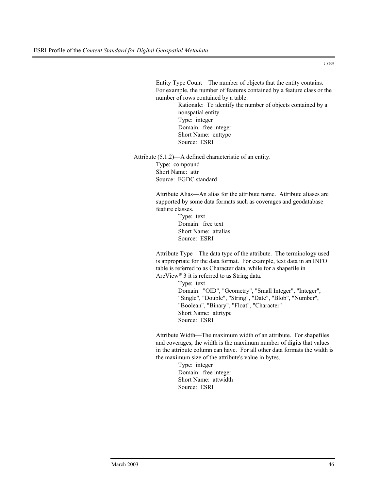Entity Type Count—The number of objects that the entity contains. For example, the number of features contained by a feature class or the number of rows contained by a table.

> Rationale: To identify the number of objects contained by a nonspatial entity. Type: integer Domain: free integer Short Name: enttypc Source: ESRI

Attribute (5.1.2)—A defined characteristic of an entity. Type: compound Short Name: attr Source: FGDC standard

> Attribute Alias—An alias for the attribute name. Attribute aliases are supported by some data formats such as coverages and geodatabase feature classes.

> > Type: text Domain: free text Short Name: attalias Source: ESRI

Attribute Type—The data type of the attribute. The terminology used is appropriate for the data format. For example, text data in an INFO table is referred to as Character data, while for a shapefile in ArcView® 3 it is referred to as String data.

> Type: text Domain: "OID", "Geometry", "Small Integer", "Integer", "Single", "Double", "String", "Date", "Blob", "Number", "Boolean", "Binary", "Float", "Character" Short Name: attrtype Source: ESRI

Attribute Width—The maximum width of an attribute. For shapefiles and coverages, the width is the maximum number of digits that values in the attribute column can have. For all other data formats the width is the maximum size of the attribute's value in bytes.

> Type: integer Domain: free integer Short Name: attwidth Source: ESRI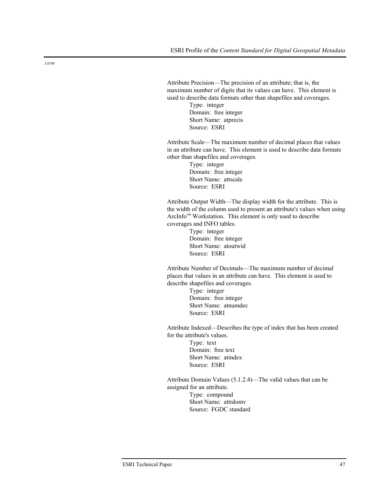Attribute Precision—The precision of an attribute; that is, the maximum number of digits that its values can have. This element is used to describe data formats other than shapefiles and coverages.

> Type: integer Domain: free integer Short Name: atprecis Source: ESRI

Attribute Scale—The maximum number of decimal places that values in an attribute can have. This element is used to describe data formats other than shapefiles and coverages.

> Type: integer Domain: free integer Short Name: attscale Source: ESRI

Attribute Output Width—The display width for the attribute. This is the width of the column used to present an attribute's values when using ArcInfo™ Workstation. This element is only used to describe coverages and INFO tables.

> Type: integer Domain: free integer Short Name: atoutwid Source: ESRI

Attribute Number of Decimals—The maximum number of decimal places that values in an attribute can have. This element is used to describe shapefiles and coverages.

> Type: integer Domain: free integer Short Name: atnumdec Source: ESRI

Attribute Indexed—Describes the type of index that has been created for the attribute's values. Type: text

Domain: free text Short Name: atindex Source: ESRI

Attribute Domain Values (5.1.2.4)—The valid values that can be assigned for an attribute. Type: compound Short Name: attrdomv Source: FGDC standard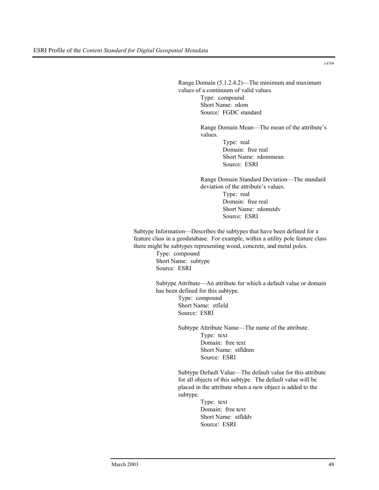Range Domain (5.1.2.4.2)—The minimum and maximum values of a continuum of valid values. Type: compound Short Name: rdom Source: FGDC standard

> Range Domain Mean—The mean of the attribute's values.

> > Type: real Domain: free real Short Name: rdommean Source: ESRI

Range Domain Standard Deviation—The standard deviation of the attribute's values. Type: real Domain: free real Short Name: rdomstdv

Subtype Information—Describes the subtypes that have been defined for a feature class in a geodatabase. For example, within a utility pole feature class there might be subtypes representing wood, concrete, and metal poles.

> Type: compound Short Name: subtype Source: ESRI

Subtype Attribute—An attribute for which a default value or domain has been defined for this subtype.

Source: ESRI

Type: compound Short Name: stfield Source: ESRI

Subtype Attribute Name—The name of the attribute. Type: text Domain: free text Short Name: stfldnm Source: ESRI

Subtype Default Value—The default value for this attribute for all objects of this subtype. The default value will be placed in the attribute when a new object is added to the subtype.

> Type: text Domain: free text Short Name: stflddv Source: ESRI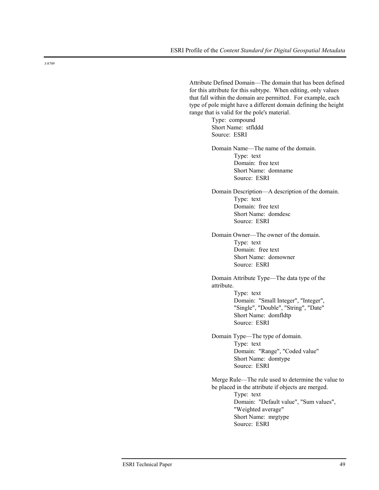Attribute Defined Domain—The domain that has been defined for this attribute for this subtype. When editing, only values that fall within the domain are permitted. For example, each type of pole might have a different domain defining the height range that is valid for the pole's material.

Type: compound Short Name: stflddd Source: ESRI

Domain Name—The name of the domain. Type: text Domain: free text Short Name: domname Source: ESRI

Domain Description—A description of the domain. Type: text Domain: free text Short Name: domdesc Source: ESRI

Domain Owner—The owner of the domain. Type: text Domain: free text Short Name: domowner Source: ESRI

Domain Attribute Type—The data type of the attribute. Type: text Domain: "Small Integer", "Integer", "Single", "Double", "String", "Date" Short Name: domfldtp Source: ESRI

Domain Type—The type of domain. Type: text Domain: "Range", "Coded value" Short Name: domtype Source: ESRI

Merge Rule—The rule used to determine the value to be placed in the attribute if objects are merged. Type: text Domain: "Default value", "Sum values", "Weighted average" Short Name: mrgtype Source: ESRI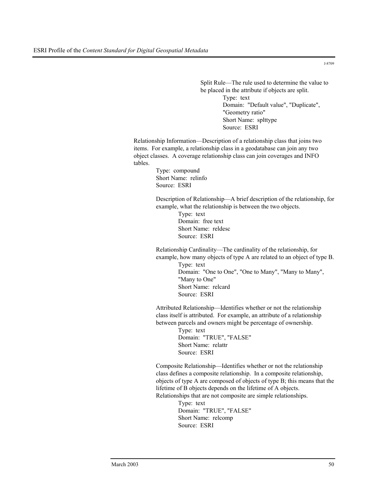Split Rule—The rule used to determine the value to be placed in the attribute if objects are split. Type: text Domain: "Default value", "Duplicate", "Geometry ratio" Short Name: splttype Source: ESRI

Relationship Information—Description of a relationship class that joins two items. For example, a relationship class in a geodatabase can join any two object classes. A coverage relationship class can join coverages and INFO tables.

> Type: compound Short Name: relinfo Source: ESRI

Description of Relationship—A brief description of the relationship, for example, what the relationship is between the two objects.

> Type: text Domain: free text Short Name: reldesc Source: ESRI

Relationship Cardinality—The cardinality of the relationship, for example, how many objects of type A are related to an object of type B. Type: text Domain: "One to One", "One to Many", "Many to Many", "Many to One" Short Name: relcard Source: ESRI

Attributed Relationship—Identifies whether or not the relationship class itself is attributed. For example, an attribute of a relationship between parcels and owners might be percentage of ownership.

> Type: text Domain: "TRUE", "FALSE" Short Name: relattr Source: ESRI

Composite Relationship—Identifies whether or not the relationship class defines a composite relationship. In a composite relationship, objects of type A are composed of objects of type B; this means that the lifetime of B objects depends on the lifetime of A objects. Relationships that are not composite are simple relationships.

> Type: text Domain: "TRUE", "FALSE" Short Name: relcomp Source: ESRI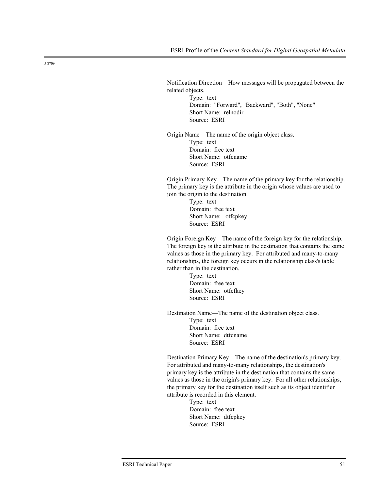Notification Direction—How messages will be propagated between the related objects.

> Type: text Domain: "Forward", "Backward", "Both", "None" Short Name: relnodir Source: ESRI

Origin Name—The name of the origin object class. Type: text Domain: free text Short Name: otfcname Source: ESRI

Origin Primary Key—The name of the primary key for the relationship. The primary key is the attribute in the origin whose values are used to join the origin to the destination.

> Type: text Domain: free text Short Name: otfcpkey Source: ESRI

Origin Foreign Key—The name of the foreign key for the relationship. The foreign key is the attribute in the destination that contains the same values as those in the primary key. For attributed and many-to-many relationships, the foreign key occurs in the relationship class's table rather than in the destination.

> Type: text Domain: free text Short Name: otfcfkey Source: ESRI

Destination Name—The name of the destination object class.

Type: text Domain: free text Short Name: dtfcname Source: ESRI

Destination Primary Key—The name of the destination's primary key. For attributed and many-to-many relationships, the destination's primary key is the attribute in the destination that contains the same values as those in the origin's primary key. For all other relationships, the primary key for the destination itself such as its object identifier attribute is recorded in this element.

> Type: text Domain: free text Short Name: dtfcpkey Source: ESRI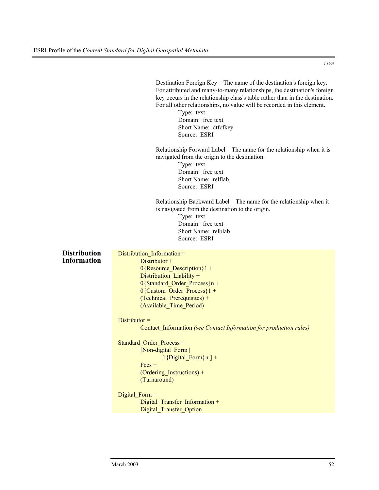|                                           | Destination Foreign Key—The name of the destination's foreign key.<br>For attributed and many-to-many relationships, the destination's foreign<br>key occurs in the relationship class's table rather than in the destination.<br>For all other relationships, no value will be recorded in this element.<br>Type: text<br>Domain: free text<br>Short Name: dtfcfkey<br>Source: ESRI                                                                           |
|-------------------------------------------|----------------------------------------------------------------------------------------------------------------------------------------------------------------------------------------------------------------------------------------------------------------------------------------------------------------------------------------------------------------------------------------------------------------------------------------------------------------|
|                                           | Relationship Forward Label-The name for the relationship when it is<br>navigated from the origin to the destination.<br>Type: text<br>Domain: free text<br>Short Name: relflab<br>Source: ESRI                                                                                                                                                                                                                                                                 |
|                                           | Relationship Backward Label—The name for the relationship when it<br>is navigated from the destination to the origin.<br>Type: text<br>Domain: free text<br>Short Name: relblab<br>Source: ESRI                                                                                                                                                                                                                                                                |
| <b>Distribution</b><br><b>Information</b> | Distribution Information =<br>Distributor +<br>$0$ {Resource Description}1 +<br>Distribution_Liability +<br>$0$ {Standard_Order_Process}n +<br>0{Custom_Order_Process}1 +<br>(Technical Prerequisites) +<br>(Available Time Period)<br>$Distributor =$<br>Contact Information (see Contact Information for production rules)<br>Standard Order Process =<br>[Non-digital Form  <br>$1\{\text{Digital\_Form}\}\$ n ] +<br>$Fees +$<br>(Ordering Instructions) + |
|                                           | (Turnaround)<br>Digital Form $=$<br>Digital Transfer Information +<br>Digital Transfer Option                                                                                                                                                                                                                                                                                                                                                                  |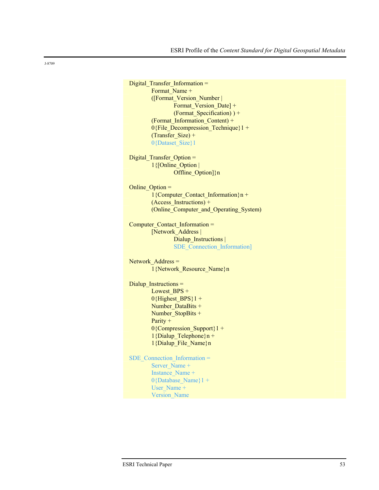```
Digital Transfer Information =
        Format Name +
        ([Format_Version_Number | 
                Format Version Date] +
                (Format Specification) ) +(Format_Information_Content) + 
        0{File Decompression Technique}1 +
        (Transfer Size) +
        0{Dataset_Size}1
Digital Transfer Option =
        1{[Online_Option | 
                Offline_Option]}n
Online_Option =
        1{Computer_Contact_Information}n + 
        (Access_Instructions) + 
        (Online_Computer_and_Operating_System) 
Computer_Contact_Information = 
        [Network_Address | 
                Dialup Instructions |
                SDE_Connection_Information]
Network_Address = 
        1{Network_Resource_Name}n 
Dialup Instructions =
        Lowest BPS +
        0{Highest BPS}1 +
        Number DataBits +
        Number StopBits +
        Parity + 
        0{Compression Support}1 +
        1{Dialup Telephone}n +
        1{Dialup_File_Name}n 
SDE Connection Information =
        Server_Name +
        Instance_Name +
        0{Database Name}1 +User_Name +
        Version_Name
```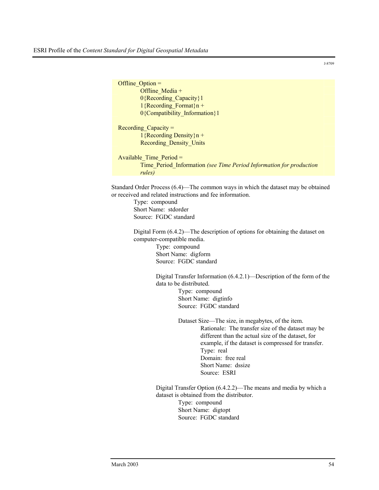| Offline Option $=$                                                  |
|---------------------------------------------------------------------|
| Offline Media $+$                                                   |
| 0{Recording Capacity}1                                              |
| $1$ {Recording Format}n +                                           |
| 0{Compatibility Information}1                                       |
|                                                                     |
| Recording Capacity $=$                                              |
| $1$ {Recording Density}n +                                          |
| <b>Recording Density Units</b>                                      |
|                                                                     |
| Available Time Period =                                             |
| Time Period Information (see Time Period Information for production |
| rules)                                                              |
|                                                                     |

Standard Order Process (6.4)—The common ways in which the dataset may be obtained or received and related instructions and fee information.

> Type: compound Short Name: stdorder Source: FGDC standard

Digital Form (6.4.2)—The description of options for obtaining the dataset on computer-compatible media.

Type: compound Short Name: digform Source: FGDC standard

Digital Transfer Information (6.4.2.1)—Description of the form of the data to be distributed.

Type: compound Short Name: digtinfo Source: FGDC standard

Dataset Size—The size, in megabytes, of the item. Rationale: The transfer size of the dataset may be different than the actual size of the dataset, for example, if the dataset is compressed for transfer. Type: real Domain: free real Short Name: dssize Source: ESRI

Digital Transfer Option (6.4.2.2)—The means and media by which a dataset is obtained from the distributor. Type: compound Short Name: digtopt Source: FGDC standard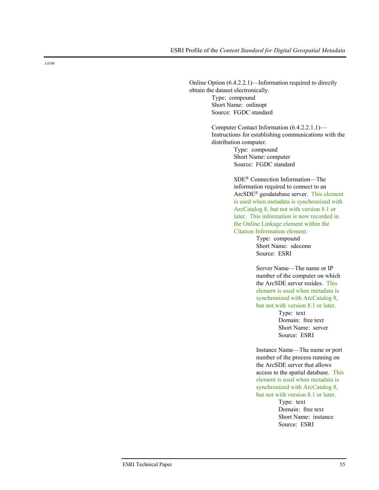Online Option (6.4.2.2.1)—Information required to directly obtain the dataset electronically. Type: compound Short Name: onlinopt Source: FGDC standard

> Computer Contact Information (6.4.2.2.1.1)— Instructions for establishing communications with the distribution computer.

Type: compound Short Name: computer Source: FGDC standard

SDE® Connection Information—The information required to connect to an ArcSDE® geodatabase server. This element is used when metadata is synchronized with ArcCatalog 8, but not with version 8.1 or later. This information is now recorded in the Online Linkage element within the Citation Information element.

> Type: compound Short Name: sdeconn Source: ESRI

Server Name—The name or IP number of the computer on which the ArcSDE server resides. This element is used when metadata is synchronized with ArcCatalog 8, but not with version 8.1 or later.

> Type: text Domain: free text Short Name: server Source: ESRI

Instance Name—The name or port number of the process running on the ArcSDE server that allows access to the spatial database. This element is used when metadata is synchronized with ArcCatalog 8, but not with version 8.1 or later.

> Type: text Domain: free text Short Name: instance Source: ESRI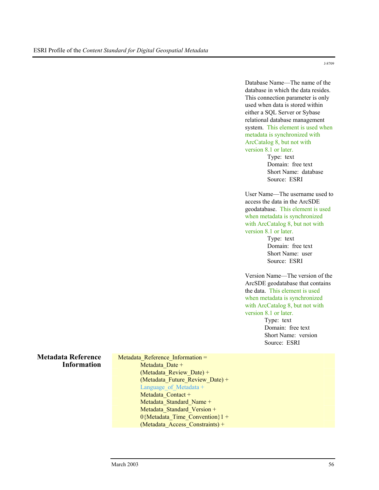Database Name—The name of the database in which the data resides. This connection parameter is only used when data is stored within either a SQL Server or Sybase relational database management system. This element is used when metadata is synchronized with ArcCatalog 8, but not with version 8.1 or later.

Type: text Domain: free text Short Name: database Source: ESRI

User Name—The username used to access the data in the ArcSDE geodatabase. This element is used when metadata is synchronized with ArcCatalog 8, but not with version 8.1 or later.

> Type: text Domain: free text Short Name: user Source: ESRI

Version Name—The version of the ArcSDE geodatabase that contains the data. This element is used when metadata is synchronized with ArcCatalog 8, but not with version 8.1 or later.

> Type: text Domain: free text Short Name: version Source: ESRI

## **Metadata Reference Information**

Metadata Reference Information = Metadata Date + (Metadata Review Date) + (Metadata Future Review Date) + Language of Metadata + Metadata Contact + Metadata Standard Name + Metadata Standard Version + 0{Metadata Time Convention}1 + (Metadata\_Access\_Constraints) +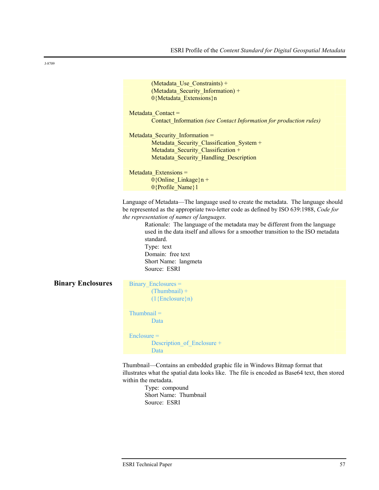|                          | (Metadata Use Constraints) +                                                                                                                                                                                                                                                                                                                                                                                                                                                        |
|--------------------------|-------------------------------------------------------------------------------------------------------------------------------------------------------------------------------------------------------------------------------------------------------------------------------------------------------------------------------------------------------------------------------------------------------------------------------------------------------------------------------------|
|                          | (Metadata Security Information) +                                                                                                                                                                                                                                                                                                                                                                                                                                                   |
|                          | 0{Metadata Extensions}n                                                                                                                                                                                                                                                                                                                                                                                                                                                             |
|                          |                                                                                                                                                                                                                                                                                                                                                                                                                                                                                     |
|                          | Metadata Contact =                                                                                                                                                                                                                                                                                                                                                                                                                                                                  |
|                          | Contact Information (see Contact Information for production rules)                                                                                                                                                                                                                                                                                                                                                                                                                  |
|                          | Metadata Security Information =                                                                                                                                                                                                                                                                                                                                                                                                                                                     |
|                          | Metadata Security Classification System +                                                                                                                                                                                                                                                                                                                                                                                                                                           |
|                          | Metadata_Security_Classification +                                                                                                                                                                                                                                                                                                                                                                                                                                                  |
|                          | Metadata_Security_Handling_Description                                                                                                                                                                                                                                                                                                                                                                                                                                              |
|                          |                                                                                                                                                                                                                                                                                                                                                                                                                                                                                     |
|                          | Metadata Extensions =                                                                                                                                                                                                                                                                                                                                                                                                                                                               |
|                          | $0$ {Online Linkage}n +                                                                                                                                                                                                                                                                                                                                                                                                                                                             |
|                          | 0{Profile Name}1                                                                                                                                                                                                                                                                                                                                                                                                                                                                    |
|                          | Language of Metadata—The language used to create the metadata. The language should<br>be represented as the appropriate two-letter code as defined by ISO 639:1988, Code for<br>the representation of names of languages.<br>Rationale: The language of the metadata may be different from the language<br>used in the data itself and allows for a smoother transition to the ISO metadata<br>standard.<br>Type: text<br>Domain: free text<br>Short Name: langmeta<br>Source: ESRI |
| <b>Binary Enclosures</b> | Binary Enclosures =<br>$(Thumbnail) +$<br>$(1{Enclosure}n)$                                                                                                                                                                                                                                                                                                                                                                                                                         |
|                          | $Thumbnail =$<br>Data                                                                                                                                                                                                                                                                                                                                                                                                                                                               |
|                          | $Enclosure =$<br>Description of Enclosure +<br>Data                                                                                                                                                                                                                                                                                                                                                                                                                                 |
|                          | Thumbnail—Contains an embedded graphic file in Windows Bitmap format that<br>illustrates what the spatial data looks like. The file is encoded as Base64 text, then stored<br>within the metadata.                                                                                                                                                                                                                                                                                  |

Type: compound Short Name: Thumbnail Source: ESRI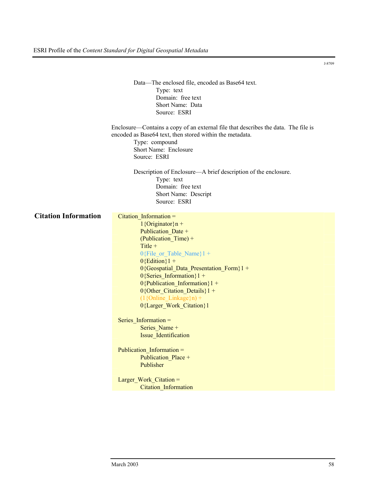|                             | Data-The enclosed file, encoded as Base64 text.<br>Type: text<br>Domain: free text<br>Short Name: Data<br>Source: ESRI                                                                                                                                                                                                                                                        |
|-----------------------------|-------------------------------------------------------------------------------------------------------------------------------------------------------------------------------------------------------------------------------------------------------------------------------------------------------------------------------------------------------------------------------|
|                             | Enclosure—Contains a copy of an external file that describes the data. The file is<br>encoded as Base64 text, then stored within the metadata.<br>Type: compound<br>Short Name: Enclosure<br>Source: ESRI                                                                                                                                                                     |
|                             | Description of Enclosure—A brief description of the enclosure.<br>Type: text<br>Domain: free text<br>Short Name: Descript<br>Source: ESRI                                                                                                                                                                                                                                     |
| <b>Citation Information</b> | Citation Information =<br>$1$ {Originator}n +<br>Publication Date +<br>(Publication Time) +<br>Title $+$<br>$0$ {File_or_Table_Name}1 +<br>$0$ {Edition}1 +<br>0{Geospatial_Data_Presentation_Form}1 +<br>$0$ {Series_Information}1 +<br>$0$ {Publication_Information}1 +<br>$0$ {Other_Citation_Details}1 +<br>$(1\{\text{Online\_Linked}\}\)$ +<br>0{Larger_Work_Citation}1 |
|                             | Series_Information =<br>Series_Name +<br>Issue Identification<br>Publication Information =                                                                                                                                                                                                                                                                                    |
|                             | Publication Place +<br>Publisher<br>Larger Work Citation =                                                                                                                                                                                                                                                                                                                    |
|                             | Citation Information                                                                                                                                                                                                                                                                                                                                                          |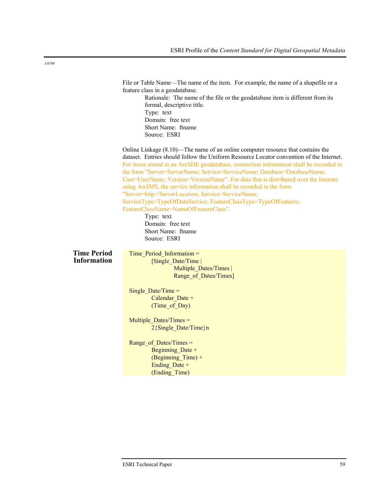|                                          | File or Table Name—The name of the item. For example, the name of a shapefile or a<br>feature class in a geodatabase.<br>Rationale: The name of the file or the geodatabase item is different from its<br>formal, descriptive title.<br>Type: text<br>Domain: free text<br>Short Name: ftname<br>Source: ESRI                                                                                                                                                                                                                                                                                                                                                                                                                                              |
|------------------------------------------|------------------------------------------------------------------------------------------------------------------------------------------------------------------------------------------------------------------------------------------------------------------------------------------------------------------------------------------------------------------------------------------------------------------------------------------------------------------------------------------------------------------------------------------------------------------------------------------------------------------------------------------------------------------------------------------------------------------------------------------------------------|
|                                          | Online Linkage (8.10)—The name of an online computer resource that contains the<br>dataset. Entries should follow the Uniform Resource Locator convention of the Internet.<br>For items stored in an ArcSDE geodatabase, connection information shall be recorded in<br>the form "Server=ServerName; Service=ServiceName; Database=DatabaseName;<br>User=UserName; Version=VersionName". For data that is distributed over the Internet<br>using ArcIMS, the service information shall be recorded in the form<br>"Server=http://ServerLocation; Service=ServiceName;<br>ServiceType=TypeOfDataService; FeatureClassType=TypeOfFeatures;<br>FeatureClassName=NameOfFeatureClass".<br>Type: text<br>Domain: free text<br>Short Name: ftname<br>Source: ESRI |
| <b>Time Period</b><br><b>Information</b> | Time_Period_Information =<br>[Single Date/Time]<br>Multiple Dates/Times  <br>Range of Dates/Times]<br>Single Date/Time $=$<br>Calendar Date +<br>(Time of Day)<br>Multiple Dates/Times =<br>2{Single_Date/Time}n<br>Range of Dates/Times =<br>Beginning Date +<br>(Beginning Time) +<br>Ending Date +<br>(Ending Time)                                                                                                                                                                                                                                                                                                                                                                                                                                     |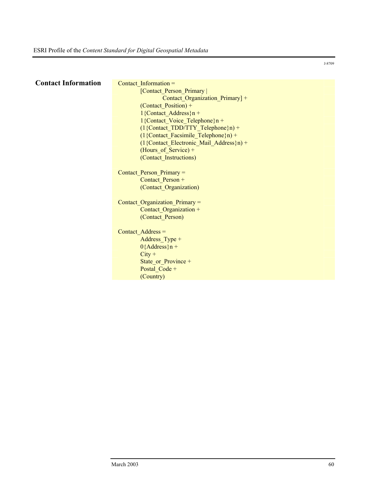| <b>Contact Information</b> | Contact Information $=$                        |
|----------------------------|------------------------------------------------|
|                            | [Contact_Person_Primary                        |
|                            | Contact_Organization_Primary] +                |
|                            | (Contact Position) +                           |
|                            | $1$ {Contact Address}n +                       |
|                            | $1$ {Contact Voice Telephone}n +               |
|                            | $(1\{Content_TDD/TTY_Tlelephone\}n)$ +         |
|                            | $(1\{Content\ Fascimile Telephone\}n) +$       |
|                            | $(1\{Content\_Electronic\_Mail\_Address\}n) +$ |
|                            | (Hours_of_Service) +                           |
|                            | (Contact Instructions)                         |
|                            |                                                |
|                            | Contact_Person_Primary =                       |
|                            | Contact Person +                               |
|                            | (Contact Organization)                         |
|                            |                                                |
|                            | Contact Organization Primary =                 |
|                            | Contact Organization +                         |
|                            | (Contact Person)                               |
|                            |                                                |
|                            | Contact Address =                              |
|                            | Address_Type +                                 |
|                            | $0$ {Address}n +                               |
|                            | $City +$                                       |
|                            | State or Province +                            |
|                            | Postal_Code +                                  |
|                            | (Country)                                      |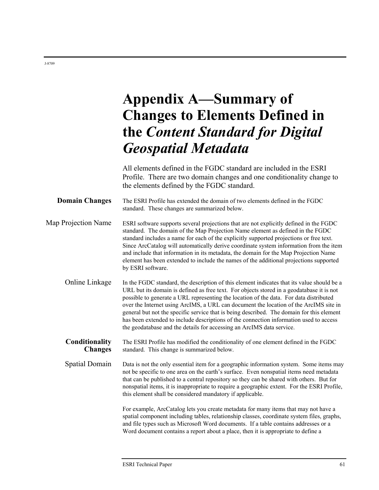# **Appendix A—Summary of Changes to Elements Defined in the** *Content Standard for Digital Geospatial Metadata*

All elements defined in the FGDC standard are included in the ESRI Profile. There are two domain changes and one conditionality change to the elements defined by the FGDC standard.

**Domain Changes** The ESRI Profile has extended the domain of two elements defined in the FGDC standard. These changes are summarized below.

Map Projection Name ESRI software supports several projections that are not explicitly defined in the FGDC standard. The domain of the Map Projection Name element as defined in the FGDC standard includes a name for each of the explicitly supported projections or free text. Since ArcCatalog will automatically derive coordinate system information from the item and include that information in its metadata, the domain for the Map Projection Name element has been extended to include the names of the additional projections supported by ESRI software.

Online Linkage In the FGDC standard, the description of this element indicates that its value should be a URL but its domain is defined as free text. For objects stored in a geodatabase it is not possible to generate a URL representing the location of the data. For data distributed over the Internet using ArcIMS, a URL can document the location of the ArcIMS site in general but not the specific service that is being described. The domain for this element has been extended to include descriptions of the connection information used to access the geodatabase and the details for accessing an ArcIMS data service.

**Conditionality Changes**  The ESRI Profile has modified the conditionality of one element defined in the FGDC standard. This change is summarized below.

Spatial Domain Data is not the only essential item for a geographic information system. Some items may not be specific to one area on the earth's surface. Even nonspatial items need metadata that can be published to a central repository so they can be shared with others. But for nonspatial items, it is inappropriate to require a geographic extent. For the ESRI Profile, this element shall be considered mandatory if applicable.

> For example, ArcCatalog lets you create metadata for many items that may not have a spatial component including tables, relationship classes, coordinate system files, graphs, and file types such as Microsoft Word documents. If a table contains addresses or a Word document contains a report about a place, then it is appropriate to define a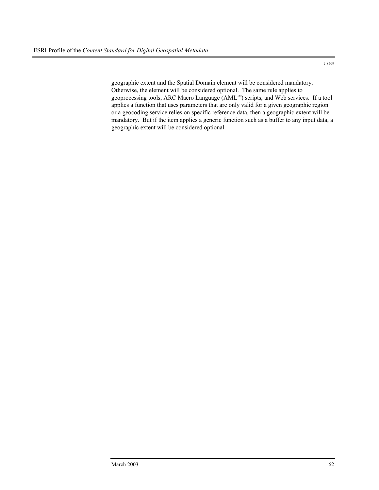geographic extent and the Spatial Domain element will be considered mandatory. Otherwise, the element will be considered optional. The same rule applies to geoprocessing tools, ARC Macro Language (AML™) scripts, and Web services. If a tool applies a function that uses parameters that are only valid for a given geographic region or a geocoding service relies on specific reference data, then a geographic extent will be mandatory. But if the item applies a generic function such as a buffer to any input data, a geographic extent will be considered optional.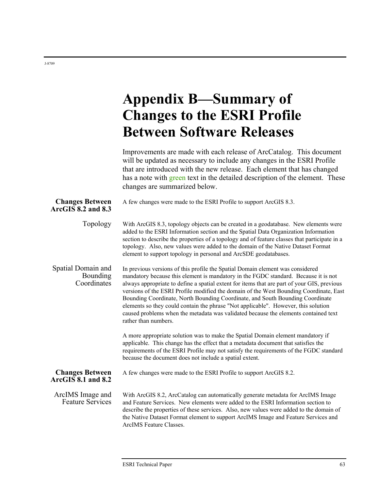## **Appendix B—Summary of Changes to the ESRI Profile Between Software Releases**

Improvements are made with each release of ArcCatalog. This document will be updated as necessary to include any changes in the ESRI Profile that are introduced with the new release. Each element that has changed has a note with green text in the detailed description of the element. These changes are summarized below.

| <b>Changes Between</b><br>ArcGIS 8.2 and 8.3  | A few changes were made to the ESRI Profile to support ArcGIS 8.3.                                                                                                                                                                                                                                                                                                                                                                                                                                                                                                                                                                                   |
|-----------------------------------------------|------------------------------------------------------------------------------------------------------------------------------------------------------------------------------------------------------------------------------------------------------------------------------------------------------------------------------------------------------------------------------------------------------------------------------------------------------------------------------------------------------------------------------------------------------------------------------------------------------------------------------------------------------|
| Topology                                      | With ArcGIS 8.3, topology objects can be created in a geodatabase. New elements were<br>added to the ESRI Information section and the Spatial Data Organization Information<br>section to describe the properties of a topology and of feature classes that participate in a<br>topology. Also, new values were added to the domain of the Native Dataset Format<br>element to support topology in personal and ArcSDE geodatabases.                                                                                                                                                                                                                 |
| Spatial Domain and<br>Bounding<br>Coordinates | In previous versions of this profile the Spatial Domain element was considered<br>mandatory because this element is mandatory in the FGDC standard. Because it is not<br>always appropriate to define a spatial extent for items that are part of your GIS, previous<br>versions of the ESRI Profile modified the domain of the West Bounding Coordinate, East<br>Bounding Coordinate, North Bounding Coordinate, and South Bounding Coordinate<br>elements so they could contain the phrase "Not applicable". However, this solution<br>caused problems when the metadata was validated because the elements contained text<br>rather than numbers. |
|                                               | A more appropriate solution was to make the Spatial Domain element mandatory if<br>applicable. This change has the effect that a metadata document that satisfies the<br>requirements of the ESRI Profile may not satisfy the requirements of the FGDC standard<br>because the document does not include a spatial extent.                                                                                                                                                                                                                                                                                                                           |
| <b>Changes Between</b><br>ArcGIS 8.1 and 8.2  | A few changes were made to the ESRI Profile to support ArcGIS 8.2.                                                                                                                                                                                                                                                                                                                                                                                                                                                                                                                                                                                   |
| ArcIMS Image and<br><b>Feature Services</b>   | With ArcGIS 8.2, ArcCatalog can automatically generate metadata for ArcIMS Image<br>and Feature Services. New elements were added to the ESRI Information section to<br>describe the properties of these services. Also, new values were added to the domain of<br>the Native Dataset Format element to support ArcIMS Image and Feature Services and<br>ArcIMS Feature Classes.                                                                                                                                                                                                                                                                     |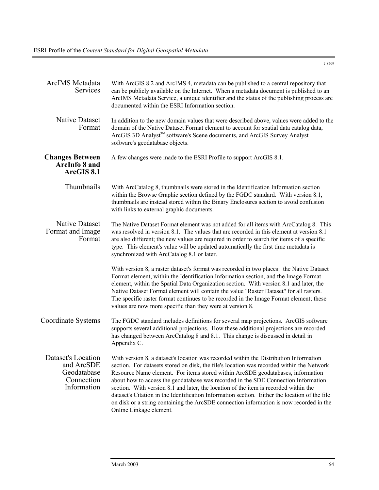| <b>ArcIMS</b> Metadata<br>Services                                           | With ArcGIS 8.2 and ArcIMS 4, metadata can be published to a central repository that<br>can be publicly available on the Internet. When a metadata document is published to an<br>ArcIMS Metadata Service, a unique identifier and the status of the publishing process are<br>documented within the ESRI Information section.                                                                                                                                                                                                                                                                                                                                             |
|------------------------------------------------------------------------------|----------------------------------------------------------------------------------------------------------------------------------------------------------------------------------------------------------------------------------------------------------------------------------------------------------------------------------------------------------------------------------------------------------------------------------------------------------------------------------------------------------------------------------------------------------------------------------------------------------------------------------------------------------------------------|
| <b>Native Dataset</b><br>Format                                              | In addition to the new domain values that were described above, values were added to the<br>domain of the Native Dataset Format element to account for spatial data catalog data,<br>ArcGIS 3D Analyst™ software's Scene documents, and ArcGIS Survey Analyst<br>software's geodatabase objects.                                                                                                                                                                                                                                                                                                                                                                           |
| <b>Changes Between</b><br><b>ArcInfo 8 and</b><br>ArcGIS 8.1                 | A few changes were made to the ESRI Profile to support ArcGIS 8.1.                                                                                                                                                                                                                                                                                                                                                                                                                                                                                                                                                                                                         |
| Thumbnails                                                                   | With ArcCatalog 8, thumbnails were stored in the Identification Information section<br>within the Browse Graphic section defined by the FGDC standard. With version 8.1,<br>thumbnails are instead stored within the Binary Enclosures section to avoid confusion<br>with links to external graphic documents.                                                                                                                                                                                                                                                                                                                                                             |
| Native Dataset<br>Format and Image<br>Format                                 | The Native Dataset Format element was not added for all items with ArcCatalog 8. This<br>was resolved in version 8.1. The values that are recorded in this element at version 8.1<br>are also different; the new values are required in order to search for items of a specific<br>type. This element's value will be updated automatically the first time metadata is<br>synchronized with ArcCatalog 8.1 or later.                                                                                                                                                                                                                                                       |
|                                                                              | With version 8, a raster dataset's format was recorded in two places: the Native Dataset<br>Format element, within the Identification Information section, and the Image Format<br>element, within the Spatial Data Organization section. With version 8.1 and later, the<br>Native Dataset Format element will contain the value "Raster Dataset" for all rasters.<br>The specific raster format continues to be recorded in the Image Format element; these<br>values are now more specific than they were at version 8.                                                                                                                                                 |
| Coordinate Systems                                                           | The FGDC standard includes definitions for several map projections. ArcGIS software<br>supports several additional projections. How these additional projections are recorded<br>has changed between ArcCatalog 8 and 8.1. This change is discussed in detail in<br>Appendix C.                                                                                                                                                                                                                                                                                                                                                                                            |
| Dataset's Location<br>and ArcSDE<br>Geodatabase<br>Connection<br>Information | With version 8, a dataset's location was recorded within the Distribution Information<br>section. For datasets stored on disk, the file's location was recorded within the Network<br>Resource Name element. For items stored within ArcSDE geodatabases, information<br>about how to access the geodatabase was recorded in the SDE Connection Information<br>section. With version 8.1 and later, the location of the item is recorded within the<br>dataset's Citation in the Identification Information section. Either the location of the file<br>on disk or a string containing the ArcSDE connection information is now recorded in the<br>Online Linkage element. |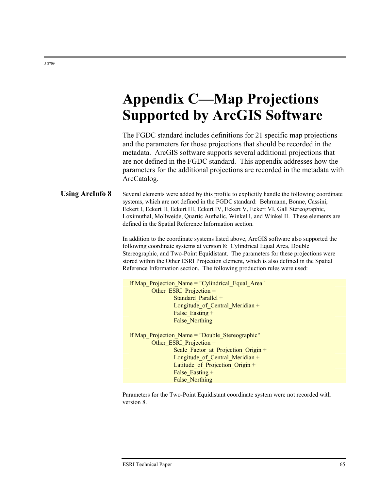# **Appendix C—Map Projections Supported by ArcGIS Software**

The FGDC standard includes definitions for 21 specific map projections and the parameters for those projections that should be recorded in the metadata. ArcGIS software supports several additional projections that are not defined in the FGDC standard. This appendix addresses how the parameters for the additional projections are recorded in the metadata with ArcCatalog.

**Using ArcInfo 8** Several elements were added by this profile to explicitly handle the following coordinate systems, which are not defined in the FGDC standard: Behrmann, Bonne, Cassini, Eckert I, Eckert II, Eckert III, Eckert IV, Eckert V, Eckert VI, Gall Stereographic, Loximuthal, Mollweide, Quartic Authalic, Winkel I, and Winkel II. These elements are defined in the Spatial Reference Information section.

> In addition to the coordinate systems listed above, ArcGIS software also supported the following coordinate systems at version 8: Cylindrical Equal Area, Double Stereographic, and Two-Point Equidistant. The parameters for these projections were stored within the Other ESRI Projection element, which is also defined in the Spatial Reference Information section. The following production rules were used:

| If Map Projection Name = "Cylindrical Equal Area" |
|---------------------------------------------------|
| Other ESRI Projection =                           |
| Standard Parallel +                               |
| Longitude of Central Meridian +                   |
| False Easting +                                   |
| False Northing                                    |
|                                                   |
| If Map Projection Name = "Double Stereographic"   |
| Other ESRI Projection =                           |
| Scale Factor at Projection Origin +               |
| Longitude of Central Meridian +                   |
| Latitude of Projection Origin $+$                 |
| False Easting +                                   |
| <b>False Northing</b>                             |

Parameters for the Two-Point Equidistant coordinate system were not recorded with version 8.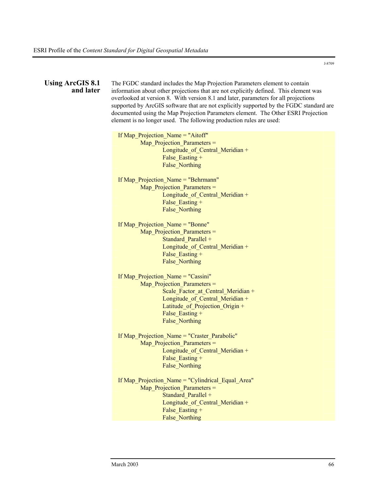| Using ArcGIS 8.1<br>and later | The FGDC standard includes the Map Projection Parameters element to contain<br>information about other projections that are not explicitly defined. This element was<br>overlooked at version 8. With version 8.1 and later, parameters for all projections<br>supported by ArcGIS software that are not explicitly supported by the FGDC standard are<br>documented using the Map Projection Parameters element. The Other ESRI Projection<br>element is no longer used. The following production rules are used: |
|-------------------------------|--------------------------------------------------------------------------------------------------------------------------------------------------------------------------------------------------------------------------------------------------------------------------------------------------------------------------------------------------------------------------------------------------------------------------------------------------------------------------------------------------------------------|
|                               | If Map_Projection_Name = "Aitoff"<br>Map Projection Parameters =<br>Longitude_of_Central_Meridian +<br>False Easting +<br><b>False Northing</b>                                                                                                                                                                                                                                                                                                                                                                    |
|                               | If Map_Projection_Name = "Behrmann"<br>Map_Projection_Parameters =<br>Longitude_of_Central_Meridian +<br>False Easting +<br>False Northing                                                                                                                                                                                                                                                                                                                                                                         |
|                               | If Map Projection Name = "Bonne"<br>Map Projection Parameters =<br>Standard Parallel +<br>Longitude_of_Central_Meridian +<br>False Easting +<br><b>False Northing</b>                                                                                                                                                                                                                                                                                                                                              |
|                               | If Map Projection Name = "Cassini"<br>Map Projection Parameters =<br>Scale_Factor_at_Central_Meridian +<br>Longitude of Central Meridian +<br>Latitude_of_Projection_Origin +<br>False Easting +<br>False Northing                                                                                                                                                                                                                                                                                                 |
|                               | If Map Projection Name = "Craster Parabolic"<br>Map_Projection_Parameters =<br>Longitude of Central Meridian +<br>False_Easting +<br><b>False Northing</b>                                                                                                                                                                                                                                                                                                                                                         |
|                               | If Map_Projection_Name = "Cylindrical_Equal_Area"<br>Map_Projection_Parameters =<br>Standard Parallel +<br>Longitude_of_Central_Meridian +<br>False_Easting +<br>False_Northing                                                                                                                                                                                                                                                                                                                                    |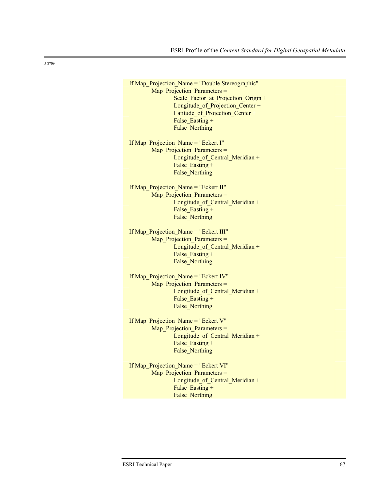If Map Projection Name = "Double Stereographic" Map Projection Parameters = Scale Factor at Projection Origin + Longitude of Projection Center + Latitude of Projection Center + False Easting + False\_Northing

If Map Projection Name = "Eckert I" Map Projection Parameters = Longitude of Central Meridian + False Easting + False\_Northing

If Map\_Projection\_Name = "Eckert II" Map Projection Parameters = Longitude of Central Meridian + False Easting + False Northing

If Map Projection Name = "Eckert III" Map Projection Parameters = Longitude of Central Meridian + False Easting + False\_Northing

If Map\_Projection\_Name = "Eckert IV" Map Projection Parameters = Longitude of Central Meridian + False Easting + False Northing

If Map Projection Name = "Eckert V" Map Projection Parameters = Longitude of Central Meridian + False Easting + False Northing

If Map Projection Name = "Eckert VI" Map Projection Parameters = Longitude of Central Meridian + False Easting + False\_Northing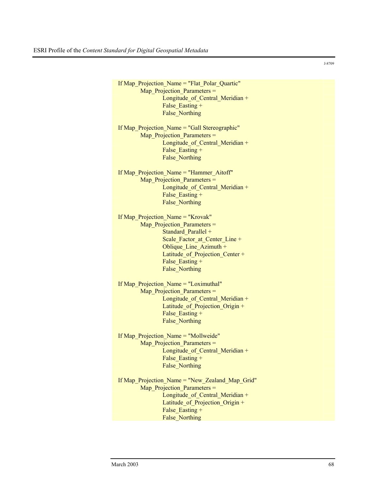If Map\_Projection\_Name = "Flat\_Polar\_Quartic" Map Projection Parameters = Longitude\_of\_Central\_Meridian + False Easting + False\_Northing If Map Projection Name = "Gall Stereographic" Map Projection Parameters = Longitude of Central Meridian + False Easting + False\_Northing If Map\_Projection\_Name = "Hammer\_Aitoff" Map Projection Parameters = Longitude of Central Meridian + False Easting + False\_Northing If Map\_Projection\_Name = "Krovak" Map Projection Parameters = Standard Parallel + Scale Factor at Center Line + Oblique Line Azimuth + Latitude of Projection Center + False Easting + False\_Northing If Map Projection Name = "Loximuthal" Map Projection Parameters = Longitude of Central Meridian + Latitude\_of\_Projection\_Origin + False Easting + False\_Northing If Map Projection Name = "Mollweide" Map Projection Parameters = Longitude of Central Meridian + False Easting + False\_Northing If Map Projection Name = "New Zealand Map Grid" Map Projection Parameters = Longitude of Central Meridian + Latitude of Projection Origin + False Easting + False\_Northing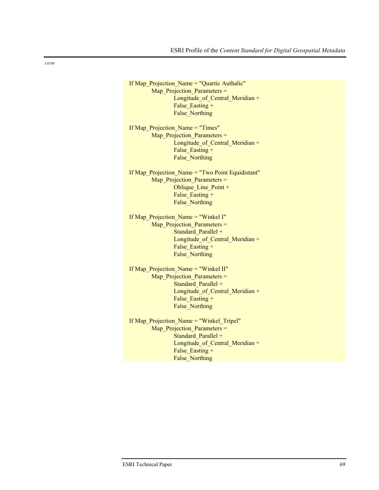If Map Projection Name = "Quartic Authalic" Map Projection Parameters = Longitude\_of\_Central\_Meridian + False Easting + False Northing

If Map Projection Name = "Times" Map Projection Parameters = Longitude\_of\_Central\_Meridian + False Easting + False Northing

If Map Projection Name = "Two Point Equidistant" Map Projection Parameters = Oblique Line Point + False Easting + False Northing

If Map\_Projection\_Name = "Winkel I" Map Projection Parameters = Standard Parallel + Longitude of Central Meridian + False Easting + False Northing

If Map Projection Name = "Winkel II" Map Projection Parameters = Standard Parallel + Longitude of Central Meridian + False Easting + False\_Northing

If Map Projection Name = "Winkel Tripel" Map Projection Parameters = Standard Parallel + Longitude\_of\_Central\_Meridian + False Easting + False\_Northing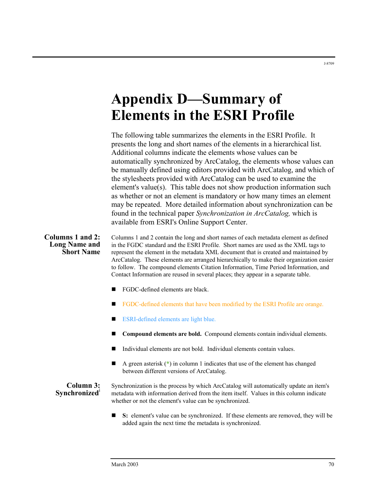# **Appendix D—Summary of Elements in the ESRI Profile**

The following table summarizes the elements in the ESRI Profile. It presents the long and short names of the elements in a hierarchical list. Additional columns indicate the elements whose values can be automatically synchronized by ArcCatalog, the elements whose values can be manually defined using editors provided with ArcCatalog, and which of the stylesheets provided with ArcCatalog can be used to examine the element's value(s). This table does not show production information such as whether or not an element is mandatory or how many times an element may be repeated. More detailed information about synchronization can be found in the technical paper *Synchronization in ArcCatalog,* which is available from ESRI's Online Support Center.

**Columns 1 and 2: Long Name and Short Name**  Columns 1 and 2 contain the long and short names of each metadata element as defined in the FGDC standard and the ESRI Profile*.* Short names are used as the XML tags to represent the element in the metadata XML document that is created and maintained by ArcCatalog. These elements are arranged hierarchically to make their organization easier to follow. The compound elements Citation Information, Time Period Information, and Contact Information are reused in several places; they appear in a separate table.

- FGDC-defined elements are black.
- FGDC-defined elements that have been modified by the ESRI Profile are orange.
- **ESRI-defined elements are light blue.**
- **Compound elements are bold.** Compound elements contain individual elements.
- Individual elements are not bold. Individual elements contain values.
- A green asterisk (\*) in column 1 indicates that use of the element has changed between different versions of ArcCatalog.

**Column 3:** 

**Synchronized** Synchronization is the process by which ArcCatalog will automatically update an item's synchronized metadata with information derived from the item itself. Values in this column indicate whether or not the element's value can be synchronized.

> ■ S: element's value can be synchronized. If these elements are removed, they will be added again the next time the metadata is synchronized.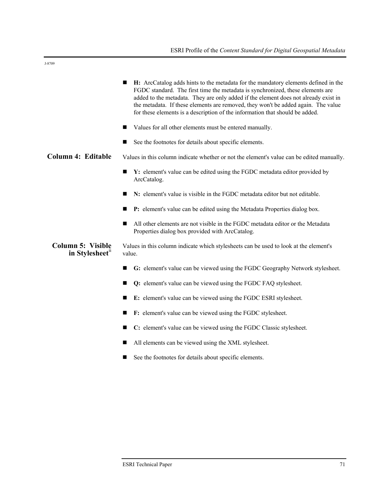| I |
|---|

|                                            | H: ArcCatalog adds hints to the metadata for the mandatory elements defined in the<br>FGDC standard. The first time the metadata is synchronized, these elements are<br>added to the metadata. They are only added if the element does not already exist in<br>the metadata. If these elements are removed, they won't be added again. The value<br>for these elements is a description of the information that should be added. |
|--------------------------------------------|----------------------------------------------------------------------------------------------------------------------------------------------------------------------------------------------------------------------------------------------------------------------------------------------------------------------------------------------------------------------------------------------------------------------------------|
|                                            | Values for all other elements must be entered manually.<br>■                                                                                                                                                                                                                                                                                                                                                                     |
|                                            | See the footnotes for details about specific elements.<br>■                                                                                                                                                                                                                                                                                                                                                                      |
| <b>Column 4: Editable</b>                  | Values in this column indicate whether or not the element's value can be edited manually.                                                                                                                                                                                                                                                                                                                                        |
|                                            | Y: element's value can be edited using the FGDC metadata editor provided by<br>■<br>ArcCatalog.                                                                                                                                                                                                                                                                                                                                  |
|                                            | N: element's value is visible in the FGDC metadata editor but not editable.<br>٠                                                                                                                                                                                                                                                                                                                                                 |
|                                            | P: element's value can be edited using the Metadata Properties dialog box.<br>■                                                                                                                                                                                                                                                                                                                                                  |
|                                            | All other elements are not visible in the FGDC metadata editor or the Metadata<br>ш<br>Properties dialog box provided with ArcCatalog.                                                                                                                                                                                                                                                                                           |
| <b>Column 5: Visible</b><br>in Stylesheet" | Values in this column indicate which stylesheets can be used to look at the element's<br>value.                                                                                                                                                                                                                                                                                                                                  |
|                                            | G: element's value can be viewed using the FGDC Geography Network stylesheet.<br>■                                                                                                                                                                                                                                                                                                                                               |
|                                            | Q: element's value can be viewed using the FGDC FAQ stylesheet.<br>■                                                                                                                                                                                                                                                                                                                                                             |
|                                            | E: element's value can be viewed using the FGDC ESRI stylesheet.<br>■                                                                                                                                                                                                                                                                                                                                                            |
|                                            | F: element's value can be viewed using the FGDC stylesheet.<br>■                                                                                                                                                                                                                                                                                                                                                                 |
|                                            | C: element's value can be viewed using the FGDC Classic stylesheet.<br>■                                                                                                                                                                                                                                                                                                                                                         |
|                                            | All elements can be viewed using the XML stylesheet.                                                                                                                                                                                                                                                                                                                                                                             |

See the footnotes for details about specific elements.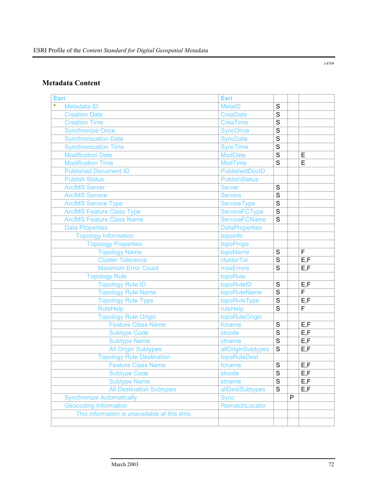## **Metadata Content**

| <b>Esri</b>                                   | <b>Esri</b>           |                |   |                                    |
|-----------------------------------------------|-----------------------|----------------|---|------------------------------------|
| $\star$<br>Metadata ID                        | <b>MetaID</b>         | $\mathbf S$    |   |                                    |
| <b>Creation Date</b>                          | <b>CreaDate</b>       | S              |   |                                    |
| <b>Creation Time</b>                          | <b>CreaTime</b>       | S              |   |                                    |
| <b>Synchronize Once</b>                       | <b>SyncOnce</b>       | $\mathbf S$    |   |                                    |
| <b>Synchronization Date</b>                   | <b>SyncDate</b>       | $\overline{s}$ |   |                                    |
| <b>Synchronization Time</b>                   | <b>SyncTime</b>       | $\overline{s}$ |   |                                    |
| <b>Modification Date</b>                      | <b>ModDate</b>        | $\overline{s}$ |   | E                                  |
| <b>Modification Time</b>                      | <b>ModTime</b>        | S              |   | E                                  |
| <b>Published Document ID</b>                  | PublishedDocID        |                |   |                                    |
| <b>Publish Status</b>                         | <b>PublishStatus</b>  |                |   |                                    |
| <b>ArcIMS Server</b>                          | <b>Server</b>         | $\mathbf S$    |   |                                    |
| <b>ArcIMS Service</b>                         | <b>Service</b>        | $\overline{s}$ |   |                                    |
| <b>ArcIMS Service Type</b>                    | <b>ServiceType</b>    | $\overline{s}$ |   |                                    |
| <b>ArcIMS Feature Class Type</b>              | <b>ServiceFCType</b>  | $\overline{s}$ |   |                                    |
| <b>ArcIMS Feature Class Name</b>              | <b>ServiceFCName</b>  | $\mathbf S$    |   |                                    |
| <b>Data Properties</b>                        | <b>DataProperties</b> |                |   |                                    |
| <b>Topology Information</b>                   | topoinfo              |                |   |                                    |
| <b>Topology Properties</b>                    | topoProps             |                |   |                                    |
| <b>Topology Name</b>                          | topoName              | S              |   | $\mathsf F$                        |
| <b>Cluster Tolerance</b>                      | clusterTol            | S              |   | E, F                               |
| <b>Maximum Error Count</b>                    | maxErrors             | S              |   | E, F                               |
| <b>Topology Rule</b>                          | topoRule              |                |   |                                    |
| <b>Topology Rule ID</b>                       | topoRuleID            | $\mathbf S$    |   | E, F                               |
| <b>Topology Rule Name</b>                     | topoRuleName          | $\mathbf S$    |   | F                                  |
| <b>Topology Rule Type</b>                     | topoRuleType          | $\mathbf S$    |   | E, F                               |
| <b>RuleHelp</b>                               | ruleHelp              | $\mathbf S$    |   | F                                  |
| <b>Topology Rule Origin</b>                   | topoRuleOrigin        |                |   |                                    |
| <b>Feature Class Name</b>                     | fcname                | $\mathbf S$    |   | E, F                               |
| <b>Subtype Code</b>                           | stcode                | $\mathbf S$    |   | E, F                               |
| <b>Subtype Name</b>                           | stname                | $\overline{s}$ |   | E, F                               |
| <b>All Origin Subtypes</b>                    | allOriginSubtypes     | $\mathbf S$    |   | E, F                               |
| <b>Topology Rule Destination</b>              | topoRuleDest          |                |   |                                    |
| <b>Feature Class Name</b>                     | fcname                | S              |   | E, F                               |
| Subtype Code                                  | stcode                | $\overline{s}$ |   | $\overline{\mathsf{E}.\mathsf{F}}$ |
| <b>Subtype Name</b>                           | stname                | $\overline{s}$ |   | E, F                               |
| <b>All Destination Subtypes</b>               | allDestSubtypes       | $\mathbf S$    |   | E, F                               |
| <b>Synchronize Automatically</b>              | <b>Sync</b>           |                | P |                                    |
| <b>Geocoding Information</b>                  | RematchLocator        |                |   |                                    |
| This information is unavailable at this time. |                       |                |   |                                    |
|                                               |                       |                |   |                                    |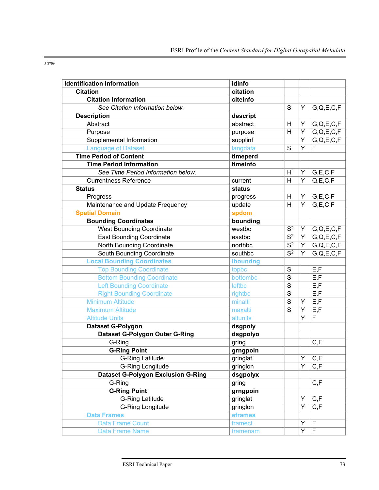| <b>Identification Information</b>         | idinfo          |                  |   |                |
|-------------------------------------------|-----------------|------------------|---|----------------|
| <b>Citation</b>                           | citation        |                  |   |                |
| <b>Citation Information</b>               | citeinfo        |                  |   |                |
| See Citation Information below.           |                 | S                | Υ | G,Q,E,C,F      |
| <b>Description</b>                        | descript        |                  |   |                |
| Abstract                                  | abstract        | Н                | Y | G,Q,E,C,F      |
| Purpose                                   | purpose         | H                | Υ | G,Q,E,C,F      |
| Supplemental Information                  | supplinf        |                  | Ý | G,Q,E,C,F      |
| <b>Language of Dataset</b>                | langdata        | S                | Ý | F              |
| <b>Time Period of Content</b>             | timeperd        |                  |   |                |
| <b>Time Period Information</b>            | timeinfo        |                  |   |                |
| See Time Period Information below.        |                 | H <sup>1</sup>   | Y | G, E, C, F     |
| <b>Currentness Reference</b>              | current         | H                | Y | Q, E, C, F     |
| <b>Status</b>                             | status          |                  |   |                |
| Progress                                  | progress        | H                | Υ | G, E, C, F     |
| Maintenance and Update Frequency          | update          | H                | Y | G, E, C, F     |
| <b>Spatial Domain</b>                     | spdom           |                  |   |                |
| <b>Bounding Coordinates</b>               | bounding        |                  |   |                |
| <b>West Bounding Coordinate</b>           | westbc          | S <sup>2</sup>   | Υ | G,Q,E,C,F      |
| <b>East Bounding Coordinate</b>           | eastbc          | $\overline{S^2}$ | Υ | G,Q,E,C,F      |
| North Bounding Coordinate                 | northbc         | $\overline{S^2}$ | Υ | G,Q,E,C,F      |
| South Bounding Coordinate                 | southbc         | $\overline{S^2}$ | Y | G,Q,E,C,F      |
| <b>Local Bounding Coordinates</b>         | <b>Iboundng</b> |                  |   |                |
| <b>Top Bounding Coordinate</b>            | topbc           | $\mathbf S$      |   | E, F           |
| <b>Bottom Bounding Coordinate</b>         | bottombc        | S                |   | E, F           |
| <b>Left Bounding Coordinate</b>           | leftbc          | $\overline{s}$   |   | E, F           |
| <b>Right Bounding Coordinate</b>          | rightbc         | $\overline{s}$   |   | E, F           |
| <b>Minimum Altitude</b>                   | minalti         | $\overline{s}$   | Υ | E, F           |
| <b>Maximum Altitude</b>                   | maxalti         | S                | Y | E, F           |
| <b>Altitude Units</b>                     | altunits        |                  | Y | $\overline{F}$ |
| Dataset G-Polygon                         | dsgpoly         |                  |   |                |
| <b>Dataset G-Polygon Outer G-Ring</b>     | dsgpolyo        |                  |   |                |
| G-Ring                                    | gring           |                  |   | C, F           |
| <b>G-Ring Point</b>                       | grngpoin        |                  |   |                |
| <b>G-Ring Latitude</b>                    | gringlat        |                  | Y | C, F           |
| G-Ring Longitude                          | gringlon        |                  | Y | C, F           |
| <b>Dataset G-Polygon Exclusion G-Ring</b> | dsgpolyx        |                  |   |                |
| G-Ring                                    | gring           |                  |   | C, F           |
| <b>G-Ring Point</b>                       | grngpoin        |                  |   |                |
| <b>G-Ring Latitude</b>                    | gringlat        |                  | Y | C, F           |
| G-Ring Longitude                          | gringlon        |                  | Y | C, F           |
| <b>Data Frames</b>                        | eframes         |                  |   |                |
| <b>Data Frame Count</b>                   | framect         |                  | Υ | F              |
| Data Frame Name                           | framenam        |                  | Υ | $\mathsf F$    |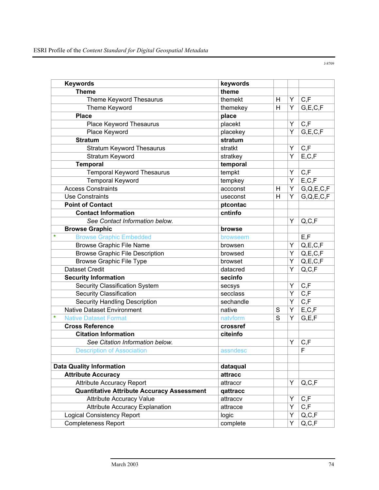| <b>Keywords</b>                                   | keywords  |   |   |                                    |
|---------------------------------------------------|-----------|---|---|------------------------------------|
| <b>Theme</b>                                      | theme     |   |   |                                    |
| Theme Keyword Thesaurus                           | themekt   | H | Y | C, F                               |
| Theme Keyword                                     | themekey  | H | Y | G, E, C, F                         |
| <b>Place</b>                                      | place     |   |   |                                    |
| Place Keyword Thesaurus                           | placekt   |   | Υ | C, F                               |
| Place Keyword                                     | placekey  |   | Y | G, E, C, F                         |
| <b>Stratum</b>                                    | stratum   |   |   |                                    |
| <b>Stratum Keyword Thesaurus</b>                  | stratkt   |   | Υ | C, F                               |
| Stratum Keyword                                   | stratkey  |   | Y | E, C, F                            |
| <b>Temporal</b>                                   | temporal  |   |   |                                    |
| <b>Temporal Keyword Thesaurus</b>                 | tempkt    |   | Υ | C, F                               |
| <b>Temporal Keyword</b>                           | tempkey   |   | Y | E, C, F                            |
| <b>Access Constraints</b>                         | accconst  | H | Υ | G,Q,E,C,F                          |
| <b>Use Constraints</b>                            | useconst  | H | Y | G,Q,E,C,F                          |
| <b>Point of Contact</b>                           | ptcontac  |   |   |                                    |
| <b>Contact Information</b>                        | cntinfo   |   |   |                                    |
| See Contact Information below.                    |           |   | Y | Q, C, F                            |
| <b>Browse Graphic</b>                             | browse    |   |   |                                    |
| $\star$<br><b>Browse Graphic Embedded</b>         | browseem  |   |   | E, F                               |
| <b>Browse Graphic File Name</b>                   | browsen   |   | Υ | Q, E, C, F                         |
| <b>Browse Graphic File Description</b>            | browsed   |   | Υ | Q, E, C, F                         |
| <b>Browse Graphic File Type</b>                   | browset   |   | Υ | Q, E, C, F                         |
| <b>Dataset Credit</b>                             | datacred  |   | Y | Q, C, F                            |
| <b>Security Information</b>                       | secinfo   |   |   |                                    |
| Security Classification System                    | secsys    |   | Υ | C, F                               |
| <b>Security Classification</b>                    | secclass  |   | Υ | $\overline{C,F}$                   |
| <b>Security Handling Description</b>              | sechandle |   | Υ | $\overline{C,F}$                   |
| <b>Native Dataset Environment</b>                 | native    | S | Υ | E, C, F                            |
| $\star$<br><b>Native Dataset Format</b>           | natvform  | S | Y | G, E, F                            |
| <b>Cross Reference</b>                            | crossref  |   |   |                                    |
| <b>Citation Information</b>                       | citeinfo  |   |   |                                    |
| See Citation Information below.                   |           |   | Υ | C, F                               |
| <b>Description of Association</b>                 | assndesc  |   |   | F                                  |
|                                                   |           |   |   |                                    |
| <b>Data Quality Information</b>                   | dataqual  |   |   |                                    |
| <b>Attribute Accuracy</b>                         | attracc   |   |   |                                    |
| <b>Attribute Accuracy Report</b>                  | attraccr  |   | Y | Q, C, F                            |
| <b>Quantitative Attribute Accuracy Assessment</b> | qattracc  |   |   |                                    |
| <b>Attribute Accuracy Value</b>                   | attraccv  |   | Y | C, F                               |
| <b>Attribute Accuracy Explanation</b>             | attracce  |   | Y | C, F                               |
| <b>Logical Consistency Report</b>                 | logic     |   | Y | Q, C, F                            |
| <b>Completeness Report</b>                        | complete  |   | Υ | $\mathsf{Q},\mathsf{C},\mathsf{F}$ |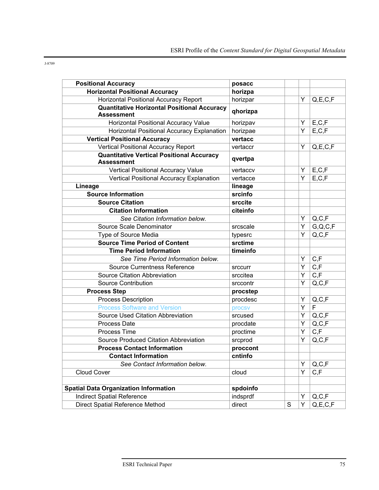| i<br>۰, | I<br>۰, | ٧ | I<br>٧ |
|---------|---------|---|--------|
|         |         |   |        |

| <b>Positional Accuracy</b>                                              | posacc   |             |   |                         |
|-------------------------------------------------------------------------|----------|-------------|---|-------------------------|
| <b>Horizontal Positional Accuracy</b>                                   | horizpa  |             |   |                         |
| <b>Horizontal Positional Accuracy Report</b>                            | horizpar |             | Y | Q, E, C, F              |
| <b>Quantitative Horizontal Positional Accuracy</b><br><b>Assessment</b> | qhorizpa |             |   |                         |
| <b>Horizontal Positional Accuracy Value</b>                             | horizpav |             | Y | E, C, F                 |
| Horizontal Positional Accuracy Explanation                              | horizpae |             | Y | E, C, F                 |
| <b>Vertical Positional Accuracy</b>                                     | vertacc  |             |   |                         |
| Vertical Positional Accuracy Report                                     | vertaccr |             | Y | Q, E, C, F              |
| <b>Quantitative Vertical Positional Accuracy</b><br><b>Assessment</b>   | qvertpa  |             |   |                         |
| Vertical Positional Accuracy Value                                      | vertaccv |             | Υ | E, C, F                 |
| Vertical Positional Accuracy Explanation                                | vertacce |             | Y | E, C, F                 |
| Lineage                                                                 | lineage  |             |   |                         |
| <b>Source Information</b>                                               | srcinfo  |             |   |                         |
| <b>Source Citation</b>                                                  | srccite  |             |   |                         |
| <b>Citation Information</b>                                             | citeinfo |             |   |                         |
| See Citation Information below.                                         |          |             | Υ | Q, C, F                 |
| Source Scale Denominator                                                | srcscale |             | Y | G, Q, C, F              |
| Type of Source Media                                                    | typesrc  |             | Y | Q, C, F                 |
| <b>Source Time Period of Content</b>                                    | srctime  |             |   |                         |
| <b>Time Period Information</b>                                          | timeinfo |             |   |                         |
| See Time Period Information below.                                      |          |             | Υ | C, F                    |
| <b>Source Currentness Reference</b>                                     | srccurr  |             | Y | C, F                    |
| Source Citation Abbreviation                                            | srccitea |             | Ý | $\mathsf{C},\mathsf{F}$ |
| Source Contribution                                                     | srccontr |             | Y | Q, C, F                 |
| <b>Process Step</b>                                                     | procstep |             |   |                         |
| Process Description                                                     | procdesc |             | Υ | Q, C, F                 |
| <b>Process Software and Version</b>                                     | procsv   |             | Ý | F                       |
| Source Used Citation Abbreviation                                       | srcused  |             | Y | Q, C, F                 |
| <b>Process Date</b>                                                     | procdate |             | Υ | Q, C, F                 |
| Process Time                                                            | proctime |             | Y | C, F                    |
| Source Produced Citation Abbreviation                                   | srcprod  |             | Υ | Q, C, F                 |
| <b>Process Contact Information</b>                                      | proccont |             |   |                         |
| <b>Contact Information</b>                                              | cntinfo  |             |   |                         |
| See Contact Information below.                                          |          |             | Υ | Q, C, F                 |
| Cloud Cover                                                             | cloud    |             | Y | C, F                    |
|                                                                         |          |             |   |                         |
| <b>Spatial Data Organization Information</b>                            | spdoinfo |             |   |                         |
| <b>Indirect Spatial Reference</b>                                       | indsprdf |             | Υ | Q, C, F                 |
| <b>Direct Spatial Reference Method</b>                                  | direct   | $\mathbf S$ | Υ | Q, E, C, F              |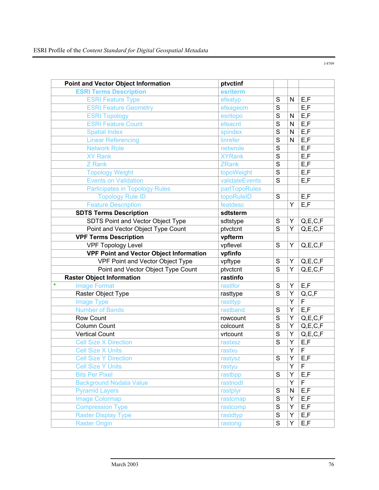|         | <b>Point and Vector Object Information</b>     | ptvctinf       |                |                |                |
|---------|------------------------------------------------|----------------|----------------|----------------|----------------|
|         | <b>ESRI Terms Description</b>                  | esriterm       |                |                |                |
|         | <b>ESRI Feature Type</b>                       | efeatyp        | S              | N              | E, F           |
|         | <b>ESRI Feature Geometry</b>                   | efeageom       | S              |                | E, F           |
|         | <b>ESRI Topology</b>                           | esritopo       | S              | $\mathsf{N}$   | E, F           |
|         | <b>ESRI Feature Count</b>                      | efeacnt        | $\overline{s}$ | ${\sf N}$      | E, F           |
|         | <b>Spatial Index</b>                           | spindex        | $\overline{s}$ | $\mathsf{N}$   | E, F           |
|         | <b>Linear Referencing</b>                      | linrefer       | $\overline{s}$ | $\mathsf{N}$   | E, F           |
|         | <b>Network Role</b>                            | netwrole       | $\overline{s}$ |                | E, F           |
|         | <b>XY Rank</b>                                 | <b>XYRank</b>  | $\overline{s}$ |                | E, F           |
|         | Z Rank                                         | <b>ZRank</b>   | $\overline{s}$ |                | E, F           |
|         | <b>Topology Weight</b>                         | topoWeight     | $\overline{s}$ |                | E, F           |
|         | <b>Events on Validation</b>                    | validateEvents | S              |                | E, F           |
|         | <b>Participates in Topology Rules</b>          | partTopoRules  |                |                |                |
|         | <b>Topology Rule ID</b>                        | topoRuleID     | S              |                | E, F           |
|         | <b>Feature Description</b>                     | featdesc       |                | Ý              | E, F           |
|         | <b>SDTS Terms Description</b>                  | sdtsterm       |                |                |                |
|         | SDTS Point and Vector Object Type              | sdtstype       | S              | Υ              | Q, E, C, F     |
|         | Point and Vector Object Type Count             | ptvctcnt       | S              | Υ              | Q, E, C, F     |
|         | <b>VPF Terms Description</b>                   | vpfterm        |                |                |                |
|         | <b>VPF Topology Level</b>                      | vpflevel       | $\overline{s}$ | Y              | Q, E, C, F     |
|         | <b>VPF Point and Vector Object Information</b> | vpfinfo        |                |                |                |
|         | VPF Point and Vector Object Type               | vpftype        | S              | Υ              | Q, E, C, F     |
|         | Point and Vector Object Type Count             | ptvctcnt       | $\overline{s}$ | Y              | Q, E, C, F     |
|         | <b>Raster Object Information</b>               | rastinfo       |                |                |                |
| $\star$ | <b>Image Format</b>                            | rastifor       | S              | Y              | E, F           |
|         | Raster Object Type                             | rasttype       | S              | Y              | Q, C, F        |
|         | <b>Image Type</b>                              | rastityp       |                | $\overline{Y}$ | $\overline{F}$ |
|         | <b>Number of Bands</b>                         | rastband       | S              | Y              | E, F           |
|         | Row Count                                      | rowcount       | $\overline{s}$ | Υ              | Q, E, C, F     |
|         | Column Count                                   | colcount       | S              | Y              | Q, E, C, F     |
|         | <b>Vertical Count</b>                          | vrtcount       | S              | Υ              | Q, E, C, F     |
|         | <b>Cell Size X Direction</b>                   | rastxsz        | S              | Υ              | E, F           |
|         | <b>Cell Size X Units</b>                       | rastxu         |                | Y              | $\mathsf F$    |
|         | <b>Cell Size Y Direction</b>                   | rastysz        | $\overline{s}$ | $\overline{Y}$ | E, F           |
|         | <b>Cell Size Y Units</b>                       | rastyu         |                | Υ              | F              |
|         | <b>Bits Per Pixel</b>                          | rastbpp        | S              | Υ              | E, F           |
|         | <b>Background Nodata Value</b>                 | rastnodt       |                | Υ              | F              |
|         | <b>Pyramid Layers</b>                          | rastplyr       | $\mathbf S$    | ${\sf N}$      | E, F           |
|         | <b>Image Colormap</b>                          | rastcmap       | $\mathbf S$    | Y              | E, F           |
|         | <b>Compression Type</b>                        | rastcomp       | $\mathbf S$    | Υ              | E, F           |
|         | <b>Raster Display Type</b>                     | rastdtyp       | $\overline{s}$ | Υ              | E, F           |
|         | <b>Raster Origin</b>                           | rastorig       | $\overline{s}$ | Y              | E, F           |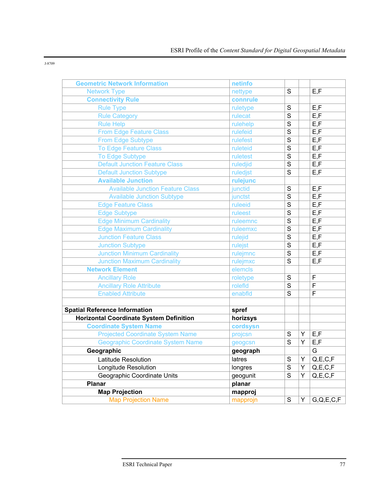| <b>Geometric Network Information</b>           | netinfo  |                |   |            |
|------------------------------------------------|----------|----------------|---|------------|
| <b>Network Type</b>                            | nettype  | S              |   | E, F       |
| <b>Connectivity Rule</b>                       | connrule |                |   |            |
| <b>Rule Type</b>                               | ruletype | ${\mathsf S}$  |   | E, F       |
| <b>Rule Category</b>                           | rulecat  | $\overline{s}$ |   | E, F       |
| <b>Rule Help</b>                               | rulehelp | $\overline{s}$ |   | E, F       |
| <b>From Edge Feature Class</b>                 | rulefeid | $\overline{s}$ |   | E, F       |
| From Edge Subtype                              | rulefest | $\overline{s}$ |   | E, F       |
| <b>To Edge Feature Class</b>                   | ruleteid | $\overline{s}$ |   | E, F       |
| <b>To Edge Subtype</b>                         | ruletest | $\overline{s}$ |   | E, F       |
| <b>Default Junction Feature Class</b>          | ruledjid | $\overline{s}$ |   | E, F       |
| Default Junction Subtype                       | ruledjst | $\overline{s}$ |   | E, F       |
| <b>Available Junction</b>                      | rulejunc |                |   |            |
| <b>Available Junction Feature Class</b>        | junctid  | $\mathbf S$    |   | E, F       |
| <b>Available Junction Subtype</b>              | junctst  | $\overline{s}$ |   | E, F       |
| <b>Edge Feature Class</b>                      | ruleeid  | $\overline{s}$ |   | E, F       |
| <b>Edge Subtype</b>                            | ruleest  | $\overline{s}$ |   | E, F       |
| <b>Edge Minimum Cardinality</b>                | ruleemnc | $\overline{s}$ |   | E, F       |
| <b>Edge Maximum Cardinality</b>                | ruleemxc | $\mathbf S$    |   | E, F       |
| <b>Junction Feature Class</b>                  | rulejid  | $\overline{s}$ |   | E, F       |
| <b>Junction Subtype</b>                        | rulejst  | $\overline{s}$ |   | E, F       |
| <b>Junction Minimum Cardinality</b>            | rulejmnc | $\overline{s}$ |   | E, F       |
| <b>Junction Maximum Cardinality</b>            | rulejmxc | $\overline{s}$ |   | E, F       |
| <b>Network Element</b>                         | elemcls  |                |   |            |
| <b>Ancillary Role</b>                          | roletype | $\mathbf S$    |   | F          |
| <b>Ancillary Role Attribute</b>                | rolefId  | $\overline{s}$ |   | F          |
| <b>Enabled Attribute</b>                       | enabfld  | $\overline{s}$ |   | F          |
|                                                |          |                |   |            |
| <b>Spatial Reference Information</b>           | spref    |                |   |            |
| <b>Horizontal Coordinate System Definition</b> | horizsys |                |   |            |
| <b>Coordinate System Name</b>                  | cordsysn |                |   |            |
| <b>Projected Coordinate System Name</b>        | projcsn  | $\mathbf S$    | Υ | E, F       |
| <b>Geographic Coordinate System Name</b>       | geogcsn  | S              | Υ | E, F       |
| Geographic                                     | geograph |                |   | G          |
| Latitude Resolution                            | latres   | S              | Y | Q, E, C, F |
| Longitude Resolution                           | longres  | $\mathbf S$    | Y | Q, E, C, F |
| Geographic Coordinate Units                    | geogunit | $\overline{s}$ | Y | Q, E, C, F |
| <b>Planar</b>                                  | planar   |                |   |            |
| <b>Map Projection</b>                          | mapproj  |                |   |            |
| <b>Map Projection Name</b>                     | mapprojn | ${\mathsf S}$  | Y | G,Q,E,C,F  |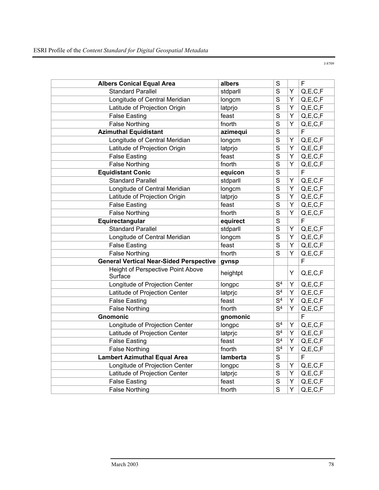**Albers Conical Equal Area albers S S F** Standard Parallel stdparll stdparll S Y Q,E,C,F Longitude of Central Meridian longcm S Y Q,E,C,F Latitude of Projection Origin  $\vert$ latprio  $\vert$ S  $\vert$ Y  $\vert$ Q,E,C,F False Easting False East S Y Q, E, C, F False Northing **False North** fnorth S Y Q.E.C.F **Azimuthal Equidistant azimegui S** F Longitude of Central Meridian | longcm S Y Q,E,C,F Latitude of Projection Origin  $\vert$ latprio  $\vert$  S  $\vert$  Y  $\vert$  Q, E, C, F False Easting False East Solution Section 1 S | Y | Q,E,C,F False Northing  $\vert$  fnorth  $\vert$  S  $\vert$  Y  $\vert$  Q, E, C, F **Equidistant Conic equicon S** F Standard Parallel stdparll stdparll S Y Q,E,C,F Longitude of Central Meridian  $\vert$ longcm  $\vert$ S  $\vert$ Y  $\vert$ Q,E,C,F Latitude of Projection Origin  $|$ latprjo  $|S|$  Y  $|Q,E,C,F|$ False Easting False East S Y Q, E, C, F False Northing  $\vert$  fnorth  $\vert$  S  $\vert$  Y  $\vert$  Q, E, C, F **Equirectangular equirect equirect S** F Standard Parallel Standard Parallel Standard Parallel Standard Parallel Standard Standard Standard Standard St Longitude of Central Meridian | longcm  $\begin{array}{c|c} |S| & Y & Q, E, C, F \end{array}$ False Easting False East S Y Q, E, C, F False Northing  $\vert$  fnorth  $\vert$  S  $\vert$  Y  $\vert$  Q,E,C,F **General Vertical Near-Sided Perspective gvnsp Fig. 1.1. Separate Service Service Service Service Service Service Service Service Service Service Service Service Service Service Service Service Service Service Service Serv** Height of Perspective Point Above Surface Network Contrabove heightpt N TV Q,E,C,F Longitude of Projection Center | longpc | S<sup>4</sup> | Y | Q,E,C,F Latitude of Projection Center |  $\vert$  | atpric  $\vert S^4 \vert Y \vert Q, E, C, F$ False Easting  $\vert$  feast  $\vert$  S<sup>4</sup>  $\vert$  Y  $\vert$  Q, E, C, F False Northing  $\vert$  fnorth  $\vert$  S<sup>4</sup>  $\vert$  Y  $\vert$  Q, E, C, F **Gnomonic gnomonic F** Longitude of Projection Center |  $\Box$  | longpc  $\Box$  S<sup>4</sup> | Y | Q,E,C,F Latitude of Projection Center  $\vert$  latpric  $\vert S^4 \vert Y \vert Q$ , E, C, F False Easting False East The State Section of S4 Y Q, E, C, F False Northing  $\vert$  fnorth  $\vert$  S<sup>4</sup>  $\vert$  Y  $\vert$  Q, E, C, F **Lambert Azimuthal Equal Area** | **lamberta** | S | F Longitude of Projection Center  $\vert$  longpc  $\vert S \vert Y \vert Q, E, C, F$ Latitude of Projection Center  $|$ latpric  $|S|$  Y  $|Q,E,C,F|$ False Easting False East S Y Q, E, C, F False Northing False North S Y Q,E,C,F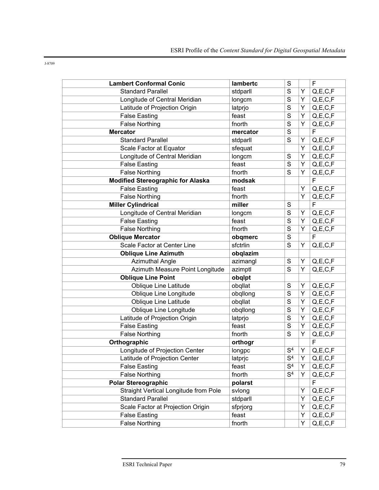| $\sim$<br>۰,<br>٧<br>٧ |
|------------------------|
|------------------------|

| <b>Lambert Conformal Conic</b>           | lambertc | $\mathbf S$      |   | $\mathsf F$             |
|------------------------------------------|----------|------------------|---|-------------------------|
| <b>Standard Parallel</b>                 | stdparll | S                | Y | Q, E, C, F              |
| Longitude of Central Meridian            | longcm   | S                | Υ | Q, E, C, F              |
| Latitude of Projection Origin            | latprjo  | S                | Υ | Q, E, C, F              |
| <b>False Easting</b>                     | feast    | S                | Y | Q, E, C, F              |
| <b>False Northing</b>                    | fnorth   | $\overline{s}$   | Υ | Q, E, C, F              |
| <b>Mercator</b>                          | mercator | $\overline{s}$   |   | F                       |
| <b>Standard Parallel</b>                 | stdparll | S                | Y | Q, E, C, F              |
| Scale Factor at Equator                  | sfequat  |                  | Υ | Q, E, C, F              |
| Longitude of Central Meridian            | longcm   | S                | Υ | Q, E, C, F              |
| <b>False Easting</b>                     | feast    | S                | Υ | Q, E, C, F              |
| <b>False Northing</b>                    | fnorth   | S                | Y | Q, E, C, F              |
| <b>Modified Stereographic for Alaska</b> | modsak   |                  |   | F                       |
| <b>False Easting</b>                     | feast    |                  | Υ | Q, E, C, F              |
| <b>False Northing</b>                    | fnorth   |                  | Y | $Q, E, \overline{C, F}$ |
| <b>Miller Cylindrical</b>                | miller   | S                |   | $\mathsf F$             |
| Longitude of Central Meridian            | longcm   | S                | Υ | Q, E, C, F              |
| <b>False Easting</b>                     | feast    | $\overline{s}$   | Y | Q, E, C, F              |
| <b>False Northing</b>                    | fnorth   | S                | Y | Q, E, C, F              |
| <b>Oblique Mercator</b>                  | obqmerc  | $\mathbf S$      |   | F                       |
| Scale Factor at Center Line              | sfctrlin | $\overline{s}$   | Υ | Q, E, C, F              |
| <b>Oblique Line Azimuth</b>              | obqlazim |                  |   |                         |
| <b>Azimuthal Angle</b>                   | azimangl | S                | Y | Q, E, C, F              |
| Azimuth Measure Point Longitude          | azimptl  | S                | Y | Q, E, C, F              |
| <b>Oblique Line Point</b>                | obqlpt   |                  |   |                         |
| <b>Oblique Line Latitude</b>             | obqllat  | S                | Υ | Q, E, C, F              |
| Oblique Line Longitude                   | obqllong | $\overline{s}$   | Y | Q, E, C, F              |
| Oblique Line Latitude                    | obqllat  | $\overline{s}$   | Υ | Q, E, C, F              |
| Oblique Line Longitude                   | obqllong | $\overline{s}$   | Υ | Q, E, C, F              |
| Latitude of Projection Origin            | latprjo  | S                | Υ | Q, E, C, F              |
| <b>False Easting</b>                     | feast    | $\mathbf S$      | Υ | Q, E, C, F              |
| <b>False Northing</b>                    | fnorth   | S                | Y | Q, E, C, F              |
| Orthographic                             | orthogr  |                  |   | F                       |
| Longitude of Projection Center           | longpc   | S <sup>4</sup>   | Y | Q, E, C, F              |
| Latitude of Projection Center            | latprjc  | S <sup>4</sup>   | Υ | Q, E, C, F              |
| <b>False Easting</b>                     | feast    | $\overline{S^4}$ | Y | Q, E, C, F              |
| <b>False Northing</b>                    | fnorth   | $\overline{S^4}$ | Y | Q, E, C, F              |
| <b>Polar Stereographic</b>               | polarst  |                  |   | F                       |
| Straight Vertical Longitude from Pole    | svlong   |                  | Υ | Q, E, C, F              |
| <b>Standard Parallel</b>                 | stdparll |                  | Υ | Q, E, C, F              |
| Scale Factor at Projection Origin        | sfprjorg |                  | Υ | Q, E, C, F              |
| <b>False Easting</b>                     | feast    |                  | Υ | Q, E, C, F              |
| <b>False Northing</b>                    | fnorth   |                  | Υ | Q, E, C, F              |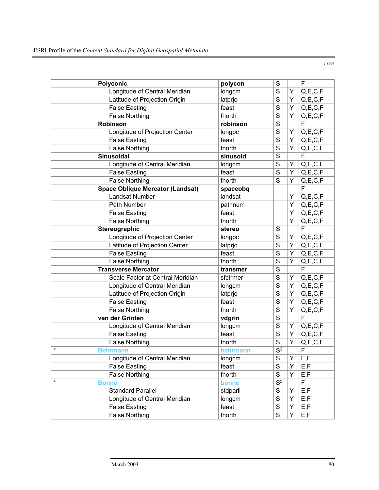Polyconic **Polycon Polycon Polycon Polycon Polycon Polycon Polycon Polycon** Longitude of Central Meridian  $\vert$ longcm  $\vert$ S  $\vert$ Y  $\vert$ Q,E,C,F Latitude of Projection Origin and latprio S Y Q,E,C,F False Easting False East S Y Q, E, C, F False Northing  $\vert$  fnorth  $\vert$  S  $\vert$  Y  $\vert$  Q, E, C, F **Robinson robinson** S F Longitude of Projection Center | longpc | S | Y | Q,E,C,F False Easting False Fast S Y Q,E,C,F False Northing **False** Northing **Francisco Francisco F**  $\left|\n \begin{array}{c|c}\n S & Y & Q, E, C, F \\
\hline\n \end{array}\n \right|$ **Sinusoidal** sinusoid Sinusoid S Longitude of Central Meridian  $\sqrt{\log m}$  longcm S Y Q,E,C,F False Easting False East Solution Section 1 S | Y | Q,E,C,F False Northing  $\vert$  fnorth  $\vert$  S  $\vert$  Y  $\vert$  Q,E,C,F **Space Oblique Mercator (Landsat)** spaceobg **Figure 3** Landsat Number | landsat | Y | Q,E,C,F Path Number pathnum  $\vert$  pathnum  $\vert$  Y Q,E,C,F False Easting The Teast Teast Teast The Teast Teast Teast Teast Teast Teast Teast Teast Teast Teast Teast Teas False Northing **False North** fnorth  $\vert Y \vert Q, E, C, F \vert Q$ **Stereographic** stereo SFF Longitude of Projection Center  $\vert$  longpc  $\vert S \vert Y \vert Q, E, C, F$ Latitude of Projection Center |  $\vert$  | atpric | S | Y | Q,E,C,F False Easting False East S | S | Y | Q,E,C,F False Northing  $|\text{short}|\text{S}|\text{Y}|Q,E,C,F$ **Transverse Mercator** Transmer **Transverse Mercator** Scale Factor at Central Meridian statement state  $|S|$  Y  $|Q, E, C, F$ Longitude of Central Meridian  $\vert$ longcm  $\vert$ S  $\vert$ Y  $\vert$ Q,E,C,F Latitude of Projection Origin | latprio | S | Y | Q,E,C,F False Easting False East S Y Q, E, C, F False Northing **f**north S Y Q,E,C,F **van der Grinten van der Grinten voor de volgrin** van der Grinten van de volgrin van de volgrin van de volgrin Longitude of Central Meridian  $\vert$ longcm  $\vert$ S  $\vert$ Y  $\vert$ Q,E,C,F False Easting False East S Y Q, E, C, F False Northing False North S Y Q,E,C,F **Example 18 F Behrmann S**<sup>3</sup> F Longitude of Central Meridian  $\vert$ longcm  $\vert$ S  $\vert$ Y  $\vert$ E,F False Easting False Easting False East S | Y | E,F False Northing False Northing  $\vert$  fnorth  $\vert$  S  $\vert$  Y  $\vert$  E, F **\* Bonne bonne S**3 **F** Standard Parallel Standard Parallel Standard Parallel Standard Standard Standard Standard Standard S Longitude of Central Meridian  $\vert$  longcm  $\vert$  S  $\vert$  Y  $\vert$  E, F False Easting  $\vert$  feast  $\vert$  S  $\vert$  Y  $\vert$  E, F False Northing False Northing fnorth S Y E,F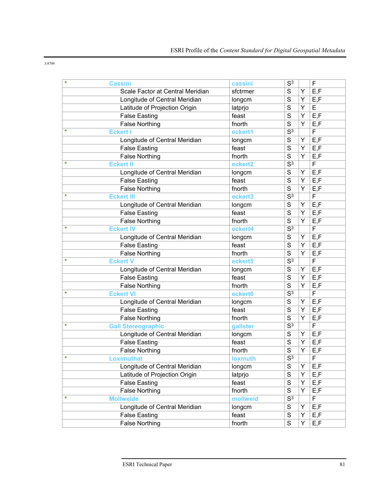| $\star$ | <b>Cassini</b>                   | cassini        | S <sup>3</sup>   |   | F                       |
|---------|----------------------------------|----------------|------------------|---|-------------------------|
|         | Scale Factor at Central Meridian | sfctrmer       | S                | Y | E, F                    |
|         | Longitude of Central Meridian    | longcm         | S                | Y | E, F                    |
|         | Latitude of Projection Origin    | latprjo        | S                | Y | E                       |
|         | <b>False Easting</b>             | feast          | S                | Y | E, F                    |
|         | <b>False Northing</b>            | fnorth         | S                | Y | E, F                    |
| ÷       | <b>Eckert I</b>                  | eckert1        | $\overline{S^3}$ |   | F                       |
|         | Longitude of Central Meridian    | longcm         | $\overline{s}$   | Υ | E, F                    |
|         | <b>False Easting</b>             | feast          | S                | Y | E, F                    |
|         | <b>False Northing</b>            | fnorth         | S                | Y | E, F                    |
| ÷       | <b>Eckert II</b>                 | eckert2        | $\overline{S^3}$ |   | $\overline{F}$          |
|         | Longitude of Central Meridian    | longcm         | S                | Y | E, F                    |
|         | <b>False Easting</b>             | feast          | S                | Y | E, F                    |
|         | <b>False Northing</b>            | fnorth         | S                | Ý | E, F                    |
| $\ast$  | <b>Eckert III</b>                | eckert3        | $\overline{S^3}$ |   | $\overline{\mathsf{F}}$ |
|         | Longitude of Central Meridian    | longcm         | S                | Y | E, F                    |
|         | <b>False Easting</b>             | feast          | S                | Y | E, F                    |
|         | <b>False Northing</b>            | fnorth         | S                | Y | E, F                    |
| ÷       | <b>Eckert IV</b>                 | eckert4        | $\overline{S^3}$ |   | $\overline{F}$          |
|         | Longitude of Central Meridian    | longcm         | S                | Υ | E, F                    |
|         | <b>False Easting</b>             | feast          | S                | Y | E, F                    |
|         | <b>False Northing</b>            | fnorth         | $\overline{s}$   | Y | E, F                    |
| $\ast$  | <b>Eckert V</b>                  | eckert5        | $\overline{S^3}$ |   | F                       |
|         | Longitude of Central Meridian    | longcm         | S                | Y | E, F                    |
|         | <b>False Easting</b>             | feast          | S                | Y | E, F                    |
|         | <b>False Northing</b>            | fnorth         | S                | Y | E, F                    |
| ÷       | <b>Eckert VI</b>                 | eckert6        | $\overline{S^3}$ |   | F                       |
|         | Longitude of Central Meridian    | longcm         | S                | Y | E, F                    |
|         | <b>False Easting</b>             | feast          | S                | Y | E, F                    |
|         | <b>False Northing</b>            | fnorth         | $\overline{s}$   | Y | E, F                    |
| ÷       | <b>Gall Stereographic</b>        | gallster       | $\overline{S^3}$ |   | F                       |
|         | Longitude of Central Meridian    | longcm         | S                | Y | E, F                    |
|         | <b>False Easting</b>             | feast          | S                | Y | E, F                    |
|         | <b>False Northing</b>            | fnorth         | S                | Y | E, F                    |
| *       | <b>Loximuthal</b>                | <b>loxmuth</b> | S <sup>3</sup>   |   | F                       |
|         | Longitude of Central Meridian    | longcm         | $\overline{s}$   | Υ | E, F                    |
|         | Latitude of Projection Origin    | latprjo        | $\overline{s}$   | Υ | E, F                    |
|         | <b>False Easting</b>             | feast          | S                | Υ | E, F                    |
|         | <b>False Northing</b>            | fnorth         | $\overline{s}$   | Y | E, F                    |
| $\star$ | <b>Mollweide</b>                 | mollweid       | $\overline{S^3}$ |   | F                       |
|         | Longitude of Central Meridian    | longcm         | $\mathbf S$      | Υ | E, F                    |
|         | <b>False Easting</b>             | feast          | $\overline{s}$   | Υ | E, F                    |
|         | <b>False Northing</b>            | fnorth         | $\overline{s}$   | Υ | E, F                    |
|         |                                  |                |                  |   |                         |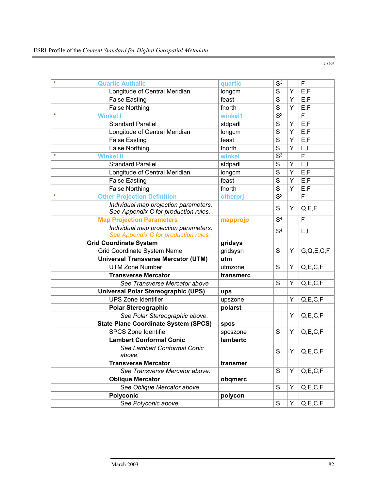**Quartic Authalic has a constructed a constructed a constructed a construction of**  $\mathbf{S}^3$  **F** Longitude of Central Meridian  $\vert$ longcm  $\vert$ S  $\vert$ Y  $\vert$ E,F False Easting False East The Teast The State Teast Teast Teast Teast Teast Teast Teast Teast Teast Teast Teast False Northing  $\vert$  fnorth  $\vert$  S  $\vert$  Y  $\vert$  E, F **\* Winkel I winkel1** S3 F Standard Parallel Standard Parallel Standard Parallel Standard Standard Standard Standard Standard Standard St Longitude of Central Meridian |  $\log$ cm | S | Y | E, F False Easting False East The State State State State State State State State State State State State State State State State State State State State State State State State State State State State State State State State S False Northing False North  $\sim$  | fnorth  $\sim$  | S | Y | E,F **\* Winkel II winkel** S3 F Standard Parallel Standard Parallel Standard S S Y E,F Longitude of Central Meridian | longcm | S | Y | E,F False Easting  $\vert$  feast  $\vert$  S  $\vert$  Y  $\vert$  E, F False Northing False North  $\sim$  | fnorth  $\sim$  | S | Y | E,F **Other Projection Definition below by the otherprj**  $\begin{array}{|c|c|c|c|}\n\hline\n\text{83} & \text{F}\n\end{array}$ *Individual map projection parameters. Individual map projection parameters.*<br>See Appendix C for production rules.  $\begin{vmatrix} S & Y & Q,E,F \end{vmatrix}$ **Map Projection Parameters happrojp**  $\begin{array}{|c|c|c|c|c|c|}\n\hline\n\text{Map Projection Parameters} & \text{mapprojp} & \text{S}^4 & \text{F}\n\end{array}$ *Individual map projection parameters. Individual map projection parameters.*<br>See Appendix C for production rules.  $\begin{vmatrix} S^4 & | & | \end{vmatrix}$  E,F **Grid Coordinate System gridsys** Grid Coordinate System Name gridsysn S | Y | G,Q,E,C,F **Universal Transverse Mercator (UTM) utm**  UTM Zone Number UTM 2006 utmzone S Y Q,E,C,F **Transverse Mercator transmerc See Transverse Mercator above** S Y Q,E,C,F **Universal Polar Stereographic (UPS) ups**  UPS Zone Identifier values and values are values and values of  $\vert$  Y  $\vert$  Q,E,C,F Polar Stereographic **polarst polarst** *See Polar Stereographic above.* Y Q,E,C,F **State Plane Coordinate System (SPCS)** spcs SPCS Zone Identifier SPCS Zone SPCS Zone Identifier SPCS Zone SPCS Zone SPCS Zone SPCS SPCS **Lambert Conformal Conic lambertc** *See Lambert Conformal Conic*  above. **See Lambert Comorman Como**<br>above. **S** S Y Q,E,C,F **Transverse Mercator Transmer is transmer** *See Transverse Mercator above.* | S | Y | Q,E,C,F **Oblique Mercator obqmerc** *See Oblique Mercator above.* S Y Q,E,C,F Polyconic polycon **polycon** *See Polyconic above.*  $\vert S \vert Y \vert Q, E, C, F$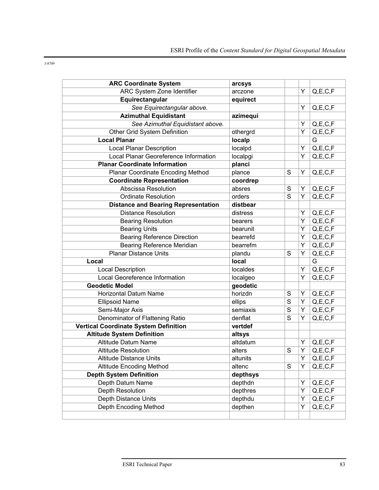| $\sim$<br>۰,<br>٧<br>٧ |
|------------------------|
|------------------------|

| <b>ARC Coordinate System</b>                 | arcsys   |                |   |                         |
|----------------------------------------------|----------|----------------|---|-------------------------|
| ARC System Zone Identifier                   | arczone  |                | Υ | Q, E, C, F              |
| Equirectangular                              | equirect |                |   |                         |
| See Equirectangular above.                   |          |                | Y | Q, E, C, F              |
| <b>Azimuthal Equidistant</b>                 | azimequi |                |   |                         |
| See Azimuthal Equidistant above.             |          |                | Υ | Q, E, C, F              |
| Other Grid System Definition                 | othergrd |                | Y | $Q, E, C, \overline{F}$ |
| <b>Local Planar</b>                          | localp   |                |   | G                       |
| <b>Local Planar Description</b>              | localpd  |                | Υ | Q, E, C, F              |
| Local Planar Georeference Information        | localpgi |                | Y | Q, E, C, F              |
| <b>Planar Coordinate Information</b>         | planci   |                |   |                         |
| Planar Coordinate Encoding Method            | plance   | S              | Υ | Q, E, C, F              |
| <b>Coordinate Representation</b>             | coordrep |                |   |                         |
| Abscissa Resolution                          | absres   | S              | Υ | Q, E, C, F              |
| <b>Ordinate Resolution</b>                   | orders   | S              | Y | Q, E, C, F              |
| <b>Distance and Bearing Representation</b>   | distbear |                |   |                         |
| <b>Distance Resolution</b>                   | distress |                | Υ | Q, E, C, F              |
| <b>Bearing Resolution</b>                    | bearers  |                | Υ | Q, E, C, F              |
| <b>Bearing Units</b>                         | bearunit |                | Υ | Q, E, C, F              |
| <b>Bearing Reference Direction</b>           | bearrefd |                | Υ | Q, E, C, F              |
| <b>Bearing Reference Meridian</b>            | bearrefm |                | Y | Q, E, C, F              |
| <b>Planar Distance Units</b>                 | plandu   | S              | Υ | Q, E, C, F              |
| Local                                        | local    |                |   | G                       |
| Local Description                            | localdes |                | Υ | $Q, E, C, \overline{F}$ |
| Local Georeference Information               | localgeo |                | Y | Q, E, C, F              |
| <b>Geodetic Model</b>                        | geodetic |                |   |                         |
| <b>Horizontal Datum Name</b>                 | horizdn  | S              | Υ | Q, E, C, F              |
| <b>Ellipsoid Name</b>                        | ellips   | $\overline{s}$ | Υ | Q, E, C, F              |
| Semi-Major Axis                              | semiaxis | S              | Υ | Q, E, C, F              |
| Denominator of Flattening Ratio              | denflat  | S              | Y | Q, E, C, F              |
| <b>Vertical Coordinate System Definition</b> | vertdef  |                |   |                         |
| <b>Altitude System Definition</b>            | altsys   |                |   |                         |
| <b>Altitude Datum Name</b>                   | altdatum |                | Y | Q, E, C, F              |
| <b>Altitude Resolution</b>                   | alters   | S              | Υ | Q, E, C, F              |
| <b>Altitude Distance Units</b>               | altunits |                | Y | Q, E, C, F              |
| <b>Altitude Encoding Method</b>              | altenc   | S              | Y | Q, E, C, F              |
| <b>Depth System Definition</b>               | depthsys |                |   |                         |
| Depth Datum Name                             | depthdn  |                | Y | Q, E, C, F              |
| Depth Resolution                             | depthres |                | Υ | Q, E, C, F              |
| Depth Distance Units                         | depthdu  |                | Υ | Q, E, C, F              |
| Depth Encoding Method                        | depthen  |                | Y | Q, E, C, F              |
|                                              |          |                |   |                         |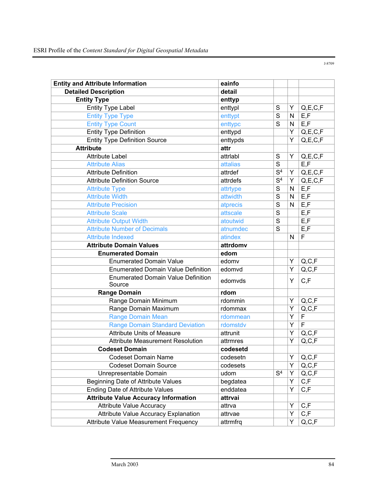**Entity and Attribute Information eainfo Detailed Description detail detail Entity Type**  entryp Entity Type Label enttypl  $\vert$  enttypl  $\vert$  S  $\vert$  Y  $\vert$  Q, E, C, F Entity Type Type entity of the entitypt S N E,F Entity Type Count entertainment of the entrypc  $\begin{array}{c|c|c|c|c} \text{S} & \text{N} & \text{E,F} \end{array}$ Entity Type Definition **Entitypo Controllect Controllect A** A G,E,C,F Entity Type Definition Source All enttypds All Property Property Research Property All Property Research Property Research Property Research Property Research Property Research Property Research Property Research Property **Attribute attribute attribute** Attribute Label attribute Cabel attribute Cabel attribute Cabel attribute Cabel attribute Cabel attribute Cabe Attribute Alias attalias attalias attalias attalias attalias attalias attalias attalias attalias attalias attal Attribute Definition attribute Definition attribute Definition Attribute Definition Source attribute Definition Source attribute Definition Source Attribute Type and attribute Type attribute Type and S N E,F Attribute Width **Attribute Width** S N E,F Attribute Precision atprecis atprecis S N E,F Attribute Scale attscale attscale S E,F Attribute Output Width Attribute Output Width Attribute Output Width Attribute Output Width Attribute Control o Attribute Number of Decimals atnumence S E,F Attribute Indexed atindex N F **Attribute Domain Values attribute Domain Values Enumerated Domain edom** Enumerated Domain Value **Enumerated Domain Value** edomy  $\vert \cdot \cdot \vert$  Y | Q, C, F Enumerated Domain Value Definition edomvd  $\forall$  Q,C,F Enumerated Domain Value Definition  $\left\{ \begin{array}{c} \text{Equation:} \\ \text{Source} \end{array} \right. \left\{\begin{array}{c} \text{equations:} \\ \text{Equation:} \end{array} \right\} \left\{\begin{array}{c} \text{equations:} \\ \text{Equation:} \end{array} \right\}$ **Range Domain rdom rdom** Range Domain Minimum rdommin | Y Q,C,F Range Domain Maximum rdommax | | | Y | Q,C,F Range Domain Mean real rdommean Y F Range Domain Standard Deviation rdomstdv | Y F Attribute Units of Measure attrunit Task Task Attribute Units of Measure Attribute Measurement Resolution attrmres TV Q,C,F **Codeset Domain codesetd**  Codeset Domain Name codesetn | Y | Q,C,F Codeset Domain Source codesets Y Q,C,F Unrepresentable Domain  $\vert$ udom  $\vert S^4 \vert Y \vert Q, C, F$ Beginning Date of Attribute Values begdatea | Y C,F Ending Date of Attribute Values enddatea Financial Renddatea Financial American V C, Financial B **Attribute Value Accuracy Information attrvai**  Attribute Value Accuracy attriva Attribute Value Accuracy Attribute Value Accuracy Explanation  $\vert$  attrvae  $\vert$   $\vert$  Y  $\vert$  C, F Attribute Value Measurement Frequency attrmfrq Y Q,C,F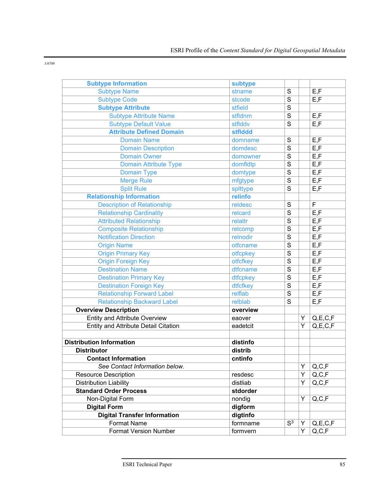| <b>Subtype Information</b>           | subtype  |                |   |                   |
|--------------------------------------|----------|----------------|---|-------------------|
| <b>Subtype Name</b>                  | stname   | $\overline{s}$ |   | E, F              |
| <b>Subtype Code</b>                  | stcode   | S              |   | E, F              |
| <b>Subtype Attribute</b>             | stfield  | $\overline{s}$ |   |                   |
| <b>Subtype Attribute Name</b>        | stfldnm  | $\overline{s}$ |   | E, F              |
| <b>Subtype Default Value</b>         | stflddv  | S              |   | E, F              |
| <b>Attribute Defined Domain</b>      | stflddd  |                |   |                   |
| <b>Domain Name</b>                   | domname  | $\mathbf S$    |   | E, F              |
| <b>Domain Description</b>            | domdesc  | $\overline{s}$ |   | E, F              |
| <b>Domain Owner</b>                  | domowner | $\overline{s}$ |   | E, F              |
| <b>Domain Attribute Type</b>         | domfldtp | $\overline{s}$ |   | E, F              |
| <b>Domain Type</b>                   | domtype  | $\overline{s}$ |   | E, F              |
| <b>Merge Rule</b>                    | mfgtype  | S              |   | E, F              |
| <b>Split Rule</b>                    | splttype | $\overline{s}$ |   | E, F              |
| <b>Relationship Information</b>      | relinfo  |                |   |                   |
| <b>Description of Relationship</b>   | reldesc  | $\mathbf S$    |   | F                 |
| <b>Relationship Cardinality</b>      | relcard  | $\overline{s}$ |   | E, F              |
| <b>Attributed Relationship</b>       | relattr  | S              |   | E, F              |
| <b>Composite Relationship</b>        | relcomp  | $\overline{s}$ |   | E, F              |
| <b>Notification Direction</b>        | relnodir | $\overline{s}$ |   | $E, \overline{F}$ |
| <b>Origin Name</b>                   | otfcname | $\overline{s}$ |   | E, F              |
| <b>Origin Primary Key</b>            | otfcpkey | $\overline{s}$ |   | E, F              |
| <b>Origin Foreign Key</b>            | otfcfkey | $\overline{s}$ |   | E, F              |
| <b>Destination Name</b>              | dtfcname | S              |   | E, F              |
| <b>Destination Primary Key</b>       | dtfcpkey | S              |   | E, F              |
| <b>Destination Foreign Key</b>       | dtfcfkey | $\overline{s}$ |   | E, F              |
| <b>Relationship Forward Label</b>    | relflab  | $\overline{s}$ |   | E, F              |
| <b>Relationship Backward Label</b>   | relblab  | $\overline{s}$ |   | E, F              |
| <b>Overview Description</b>          | overview |                |   |                   |
| <b>Entity and Attribute Overview</b> | eaover   |                | Υ | Q, E, C, F        |
| Entity and Attribute Detail Citation | eadetcit |                | Ý | Q, E, C, F        |
|                                      |          |                |   |                   |
| <b>Distribution Information</b>      | distinfo |                |   |                   |
| <b>Distributor</b>                   | distrib  |                |   |                   |
| <b>Contact Information</b>           | cntinfo  |                |   |                   |
| See Contact Information below.       |          |                | Υ | Q, C, F           |
| <b>Resource Description</b>          | resdesc  |                | Υ | Q, C, F           |
| <b>Distribution Liability</b>        | distliab |                | Y | Q, C, F           |
| <b>Standard Order Process</b>        | stdorder |                |   |                   |
| Non-Digital Form                     | nondig   |                | Y | Q, C, F           |
| <b>Digital Form</b>                  | digform  |                |   |                   |
| <b>Digital Transfer Information</b>  | digtinfo |                |   |                   |
| <b>Format Name</b>                   | formname | S <sup>3</sup> | Y | Q, E, C, F        |
| <b>Format Version Number</b>         | formvern |                | Y | Q, C, F           |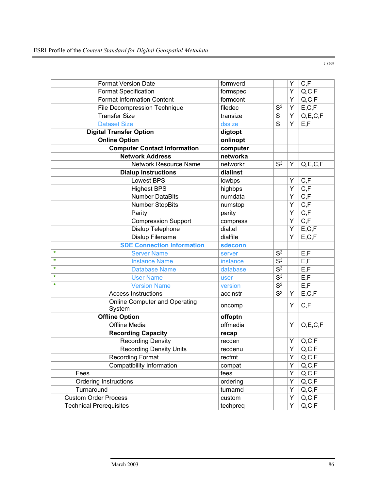| <b>Format Version Date</b>                     | formverd |                  | Υ                       | C, F                                   |
|------------------------------------------------|----------|------------------|-------------------------|----------------------------------------|
| <b>Format Specification</b>                    | formspec |                  | Υ                       | Q, C, F                                |
| <b>Format Information Content</b>              | formcont |                  | Y                       | $\mathsf{Q},\!\mathsf{C},\!\mathsf{F}$ |
| File Decompression Technique                   | filedec  | S <sup>3</sup>   | Υ                       | $\mathsf{E} , \mathsf{C} , \mathsf{F}$ |
| <b>Transfer Size</b>                           | transize | S                | Υ                       | Q, E, C, F                             |
| <b>Dataset Size</b>                            | dssize   | S                | Y                       | E, F                                   |
| <b>Digital Transfer Option</b>                 | digtopt  |                  |                         |                                        |
| <b>Online Option</b>                           | onlinopt |                  |                         |                                        |
| <b>Computer Contact Information</b>            | computer |                  |                         |                                        |
| <b>Network Address</b>                         | networka |                  |                         |                                        |
| Network Resource Name                          | networkr | S <sup>3</sup>   | Y                       | Q, E, C, F                             |
| <b>Dialup Instructions</b>                     | dialinst |                  |                         |                                        |
| <b>Lowest BPS</b>                              | lowbps   |                  | Υ                       | C, F                                   |
| <b>Highest BPS</b>                             | highbps  |                  | $\overline{\mathsf{Y}}$ | C, F                                   |
| <b>Number DataBits</b>                         | numdata  |                  | Y                       | C, F                                   |
| <b>Number StopBits</b>                         | numstop  |                  | Y                       | C, F                                   |
| Parity                                         | parity   |                  | Ý                       | C, F                                   |
| <b>Compression Support</b>                     | compress |                  | Y                       | C, F                                   |
| Dialup Telephone                               | dialtel  |                  | Υ                       | E, C, F                                |
| Dialup Filename                                | dialfile |                  | Υ                       | E, C, F                                |
| <b>SDE Connection Information</b>              | sdeconn  |                  |                         |                                        |
| ÷<br><b>Server Name</b>                        | server   | $\overline{S^3}$ |                         | E, F                                   |
| ÷<br><b>Instance Name</b>                      | instance | $\overline{S^3}$ |                         | E, F                                   |
| ÷<br><b>Database Name</b>                      | database | S <sup>3</sup>   |                         | E, F                                   |
| ÷<br><b>User Name</b>                          | user     | $\overline{S^3}$ |                         | $\mathsf{E},\mathsf{F}$                |
| ÷<br><b>Version Name</b>                       | version  | $\overline{S^3}$ |                         | E, F                                   |
| <b>Access Instructions</b>                     | accinstr | $\overline{S^3}$ | Y                       | E, C, F                                |
| <b>Online Computer and Operating</b><br>System | oncomp   |                  | Y                       | C, F                                   |
| <b>Offline Option</b>                          | offoptn  |                  |                         |                                        |
| Offline Media                                  | offmedia |                  | Y                       | Q, E, C, F                             |
| <b>Recording Capacity</b>                      | recap    |                  |                         |                                        |
| <b>Recording Density</b>                       | recden   |                  | Υ                       | $\mathsf{Q},\mathsf{C},\mathsf{F}$     |
| <b>Recording Density Units</b>                 | recdenu  |                  | Υ                       | Q, C, F                                |
| <b>Recording Format</b>                        | recfmt   |                  | Y.                      | Q, C, F                                |
| Compatibility Information                      | compat   |                  | Υ                       | Q, C, F                                |
| Fees                                           | fees     |                  | Y                       | Q, C, F                                |
| <b>Ordering Instructions</b>                   | ordering |                  | Y                       | $\mathsf{Q},\mathsf{C},\mathsf{F}$     |
| Turnaround                                     | turnarnd |                  | Y                       | Q, C, F                                |
| <b>Custom Order Process</b>                    | custom   |                  | Υ                       | Q, C, F                                |
| <b>Technical Prerequisites</b>                 | techpreq |                  | Υ                       | Q, C, F                                |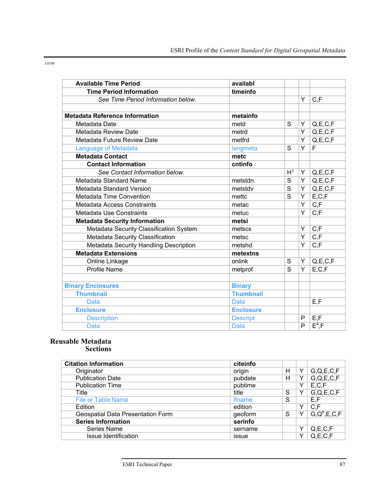| <b>Available Time Period</b>            | availabl         |                |                |                                               |
|-----------------------------------------|------------------|----------------|----------------|-----------------------------------------------|
| <b>Time Period Information</b>          | timeinfo         |                |                |                                               |
| See Time Period Information below.      |                  |                | Y              | C, F                                          |
|                                         |                  |                |                |                                               |
| <b>Metadata Reference Information</b>   | metainfo         |                |                |                                               |
| Metadata Date                           | metd             | S              | Υ              | $\mathsf{Q},\mathsf{E},\mathsf{C},\mathsf{F}$ |
| Metadata Review Date                    | metrd            |                | Y              | Q, E, C, F                                    |
| Metadata Future Review Date             | metfrd           |                | Y              | Q, E, C, F                                    |
| <b>Language of Metadata</b>             | langmeta         | S              | Y              | F                                             |
| <b>Metadata Contact</b>                 | metc             |                |                |                                               |
| <b>Contact Information</b>              | cntinfo          |                |                |                                               |
| See Contact Information below.          |                  | H <sup>1</sup> | Y              | $\mathsf{Q},\mathsf{E},\mathsf{C},\mathsf{F}$ |
| Metadata Standard Name                  | metstdn          | S              | Y              | Q, E, C, F                                    |
| Metadata Standard Version               | metstdv          | S              | Υ              | Q, E, C, F                                    |
| Metadata Time Convention                | mettc            | S              | Y              | E, C, F                                       |
| Metadata Access Constraints             | metac            |                | Y              | $\overline{C,F}$                              |
| Metadata Use Constraints                | metuc            |                | Y              | C, F                                          |
| <b>Metadata Security Information</b>    | metsi            |                |                |                                               |
| Metadata Security Classification System | metscs           |                | Y              | C, F                                          |
| Metadata Security Classification        | metsc            |                | Y              | C, F                                          |
| Metadata Security Handling Description  | metshd           |                | Y              | C, F                                          |
| <b>Metadata Extensions</b>              | metextns         |                |                |                                               |
| Online Linkage                          | onlink           | S              | Y              | Q, E, C, F                                    |
| Profile Name                            | metprof          | S              | $\overline{Y}$ | E, C, F                                       |
|                                         |                  |                |                |                                               |
| <b>Binary Enclosures</b>                | <b>Binary</b>    |                |                |                                               |
| <b>Thumbnail</b>                        | <b>Thumbnail</b> |                |                |                                               |
| <b>Data</b>                             | <b>Data</b>      |                |                | E, F                                          |
| <b>Enclosure</b>                        | <b>Enclosure</b> |                |                |                                               |
| <b>Description</b>                      | <b>Descript</b>  |                | P              | E, F                                          |
| <b>Data</b>                             | <b>Data</b>      |                | P              | $E^a$ , F                                     |

### **Reusable Metadata Sections**

| <b>Citation Information</b>       | citeinfo |   |   |                  |
|-----------------------------------|----------|---|---|------------------|
| Originator                        | origin   | н |   | G,Q,E,C,F        |
| <b>Publication Date</b>           | pubdate  | Н | v | G,Q,E,C,F        |
| <b>Publication Time</b>           | pubtime  |   | v | E, C, F          |
| Title                             | title    | S | v | G,Q,E,C,F        |
| <b>File or Table Name</b>         | ftname   | S |   | E, F             |
| Edition                           | edition  |   | v | C, F             |
| Geospatial Data Presentation Form | geoform  | S | v | $G,Q^b, E, C, F$ |
| <b>Series Information</b>         | serinfo  |   |   |                  |
| Series Name                       | sername  |   | v | Q, E, C, F       |
| <b>Issue Identification</b>       | issue    |   | v | Q, E, C, F       |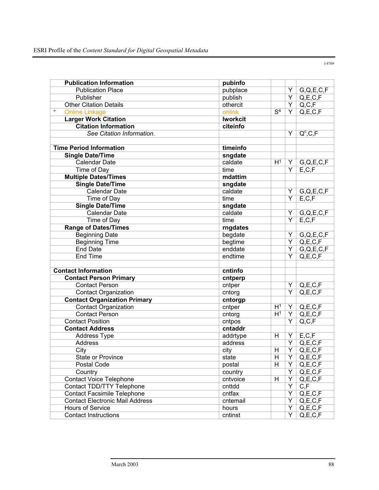| <b>Publication Information</b>         | pubinfo         |                         |                         |                        |
|----------------------------------------|-----------------|-------------------------|-------------------------|------------------------|
| <b>Publication Place</b>               | pubplace        |                         | Υ                       | G,Q,E,C,F              |
| Publisher                              | publish         |                         | $\overline{Y}$          | Q, E, C, F             |
| <b>Other Citation Details</b>          | othercit        |                         | $\overline{Y}$          | Q, C, F                |
| ÷<br><b>Online Linkage</b>             | onlink          | $\overline{S^4}$        | $\overline{Y}$          | Q, E, C, F             |
| <b>Larger Work Citation</b>            | <b>Iworkcit</b> |                         |                         |                        |
| <b>Citation Information</b>            | citeinfo        |                         |                         |                        |
| See Citation Information.              |                 |                         | $\overline{Y}$          | $Q^c, C, F$            |
|                                        |                 |                         |                         |                        |
| <b>Time Period Information</b>         | timeinfo        |                         |                         |                        |
| <b>Single Date/Time</b>                | sngdate         |                         |                         |                        |
| Calendar Date                          | caldate         | H <sup>1</sup>          | Y                       | G,Q,E,C,F              |
| Time of Day                            | time            |                         | Y                       | E, C, F                |
| <b>Multiple Dates/Times</b>            | mdattim         |                         |                         |                        |
| <b>Single Date/Time</b>                | sngdate         |                         |                         |                        |
| <b>Calendar Date</b>                   | caldate         |                         | Υ                       | G,Q,E,C,F              |
| Time of Day                            | time            |                         | $\overline{Y}$          | E, C, F                |
| <b>Single Date/Time</b>                | sngdate         |                         |                         |                        |
| <b>Calendar Date</b>                   | caldate         |                         | Υ                       | G,Q,E,C,F              |
| Time of Day                            | time            |                         | $\overline{Y}$          | E, C, F                |
| <b>Range of Dates/Times</b>            | rngdates        |                         |                         |                        |
| <b>Beginning Date</b>                  | begdate         |                         | Υ                       | G,Q,E,C,F              |
| <b>Beginning Time</b>                  | begtime         |                         | $\overline{Y}$          | Q, E, C, F             |
| <b>End Date</b>                        | enddate         |                         | $\overline{\mathsf{Y}}$ | G,Q,E,C,F              |
| <b>End Time</b>                        | endtime         |                         | $\overline{\mathsf{Y}}$ | Q, E, C, F             |
|                                        |                 |                         |                         |                        |
| <b>Contact Information</b>             | cntinfo         |                         |                         |                        |
| <b>Contact Person Primary</b>          | cntperp         |                         |                         |                        |
| <b>Contact Person</b>                  | cntper          |                         | Y                       | Q, E, C, F             |
| <b>Contact Organization</b>            | cntorg          |                         | $\overline{Y}$          | Q, E, C, F             |
| <b>Contact Organization Primary</b>    | cntorgp         |                         |                         |                        |
| Contact Organization                   | cntper          | H <sup>1</sup>          | Y                       | Q, E, C, F             |
| <b>Contact Person</b>                  | cntorg          | H <sup>1</sup>          | $\overline{\mathsf{Y}}$ | Q, E, C, F             |
| <b>Contact Position</b>                | cntpos          |                         | $\overline{Y}$          | Q, C, F                |
| <b>Contact Address</b>                 | cntaddr         |                         |                         |                        |
| Address Type                           | addrtype        | H                       | Y                       | E, C, F                |
| Address                                | address         |                         | Y                       | Q, E, C, F             |
| City                                   | city            | H                       | $\overline{Y}$          | Q, E, C, F             |
| <b>State or Province</b>               | state           | $\overline{H}$          |                         | $\boxed{Y}$ Q, E, C, F |
| Postal Code                            | postal          | $\overline{\mathsf{H}}$ | Y                       | Q, E, C, F             |
| Country                                | country         |                         | $\overline{Y}$          | Q, E, C, F             |
| <b>Contact Voice Telephone</b>         | cntvoice        | н                       | Y                       | Q, E, C, F             |
| Contact TDD/TTY Telephone              | cnttdd          |                         | Y                       | C, F                   |
| <b>Contact Facsimile Telephone</b>     | cntfax          |                         | $\overline{Y}$          | Q, E, C, F             |
| <b>Contact Electronic Mail Address</b> | cntemail        |                         | Y                       | Q, E, C, F             |
| Hours of Service                       | hours           |                         | Y                       | Q, E, C, F             |
| <b>Contact Instructions</b>            | cntinst         |                         | $\overline{Y}$          | Q, E, C, F             |
|                                        |                 |                         |                         |                        |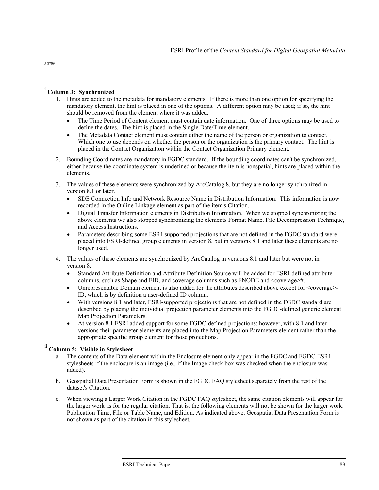$\overline{a}$ 

#### i **Column 3: Synchronized**

- 1. Hints are added to the metadata for mandatory elements. If there is more than one option for specifying the mandatory element, the hint is placed in one of the options. A different option may be used; if so, the hint should be removed from the element where it was added.
	- The Time Period of Content element must contain date information. One of three options may be used to define the dates. The hint is placed in the Single Date/Time element.
	- The Metadata Contact element must contain either the name of the person or organization to contact. Which one to use depends on whether the person or the organization is the primary contact. The hint is placed in the Contact Organization within the Contact Organization Primary element.
- 2. Bounding Coordinates are mandatory in FGDC standard. If the bounding coordinates can't be synchronized, either because the coordinate system is undefined or because the item is nonspatial, hints are placed within the elements.
- 3. The values of these elements were synchronized by ArcCatalog 8, but they are no longer synchronized in version 8.1 or later.
	- SDE Connection Info and Network Resource Name in Distribution Information. This information is now recorded in the Online Linkage element as part of the item's Citation.
	- Digital Transfer Information elements in Distribution Information. When we stopped synchronizing the above elements we also stopped synchronizing the elements Format Name, File Decompression Technique, and Access Instructions.
	- Parameters describing some ESRI-supported projections that are not defined in the FGDC standard were placed into ESRI-defined group elements in version 8, but in versions 8.1 and later these elements are no longer used.
- 4. The values of these elements are synchronized by ArcCatalog in versions 8.1 and later but were not in version 8.
	- Standard Attribute Definition and Attribute Definition Source will be added for ESRI-defined attribute columns, such as Shape and FID, and coverage columns such as FNODE and <coverage>#.
	- Unrepresentable Domain element is also added for the attributes described above except for <coverage> ID, which is by definition a user-defined ID column.
	- With versions 8.1 and later, ESRI-supported projections that are not defined in the FGDC standard are described by placing the individual projection parameter elements into the FGDC-defined generic element Map Projection Parameters.
	- At version 8.1 ESRI added support for some FGDC-defined projections; however, with 8.1 and later versions their parameter elements are placed into the Map Projection Parameters element rather than the appropriate specific group element for those projections.

### ii **Column 5: Visible in Stylesheet**

- The contents of the Data element within the Enclosure element only appear in the FGDC and FGDC ESRI stylesheets if the enclosure is an image (i.e., if the Image check box was checked when the enclosure was added).
- b. Geospatial Data Presentation Form is shown in the FGDC FAQ stylesheet separately from the rest of the dataset's Citation.
- c. When viewing a Larger Work Citation in the FGDC FAQ stylesheet, the same citation elements will appear for the larger work as for the regular citation. That is, the following elements will not be shown for the larger work: Publication Time, File or Table Name, and Edition. As indicated above, Geospatial Data Presentation Form is not shown as part of the citation in this stylesheet.